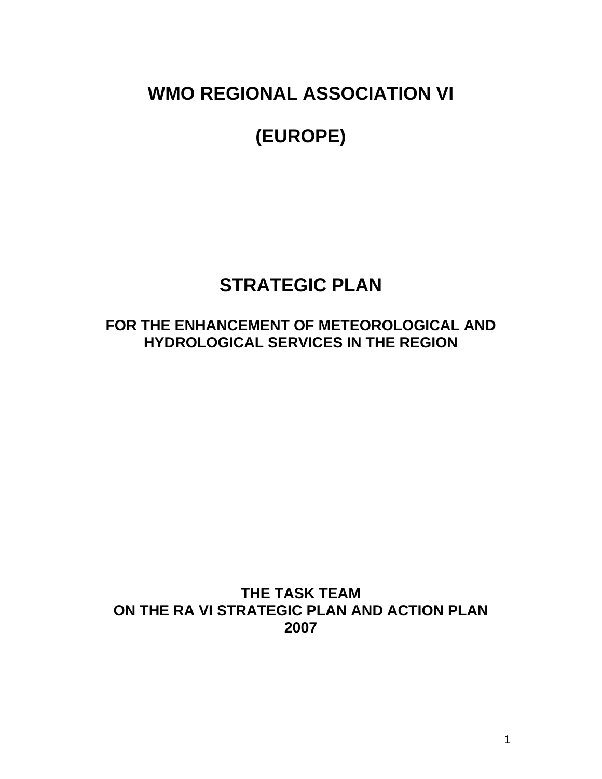**WMO REGIONAL ASSOCIATION VI** 

# **(EUROPE)**

# **STRATEGIC PLAN**

# **FOR THE ENHANCEMENT OF METEOROLOGICAL AND HYDROLOGICAL SERVICES IN THE REGION**

# **THE TASK TEAM ON THE RA VI STRATEGIC PLAN AND ACTION PLAN 2007**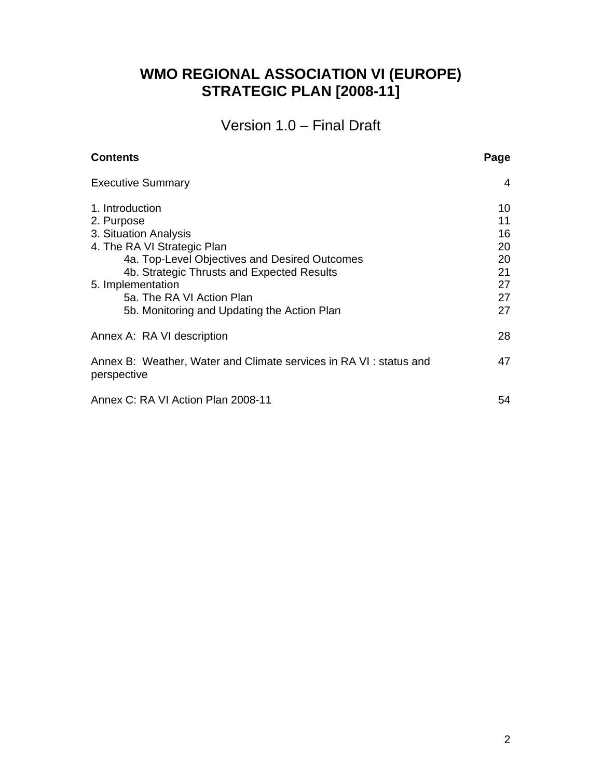# **WMO REGIONAL ASSOCIATION VI (EUROPE) STRATEGIC PLAN [2008-11]**

Version 1.0 – Final Draft

| <b>Executive Summary</b>                                                          | 4  |
|-----------------------------------------------------------------------------------|----|
| 1. Introduction                                                                   | 10 |
| 2. Purpose                                                                        | 11 |
| 3. Situation Analysis                                                             | 16 |
| 4. The RA VI Strategic Plan                                                       | 20 |
| 4a. Top-Level Objectives and Desired Outcomes                                     | 20 |
| 4b. Strategic Thrusts and Expected Results                                        | 21 |
| 5. Implementation                                                                 | 27 |
| 5a. The RA VI Action Plan                                                         | 27 |
| 5b. Monitoring and Updating the Action Plan                                       | 27 |
| Annex A: RA VI description                                                        | 28 |
| Annex B: Weather, Water and Climate services in RA VI : status and<br>perspective | 47 |
| Annex C: RA VI Action Plan 2008-11                                                | 54 |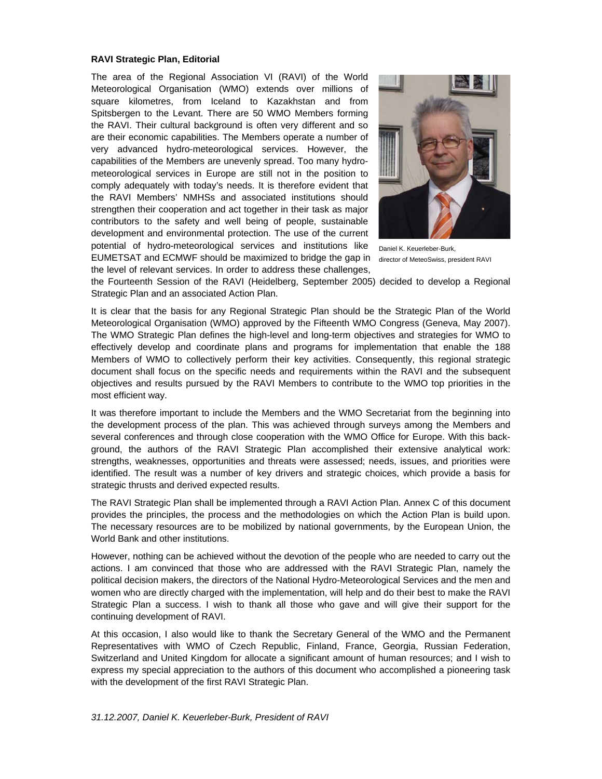#### **RAVI Strategic Plan, Editorial**

The area of the Regional Association VI (RAVI) of the World Meteorological Organisation (WMO) extends over millions of square kilometres, from Iceland to Kazakhstan and from Spitsbergen to the Levant. There are 50 WMO Members forming the RAVI. Their cultural background is often very different and so are their economic capabilities. The Members operate a number of very advanced hydro-meteorological services. However, the capabilities of the Members are unevenly spread. Too many hydrometeorological services in Europe are still not in the position to comply adequately with today's needs. It is therefore evident that the RAVI Members' NMHSs and associated institutions should strengthen their cooperation and act together in their task as major contributors to the safety and well being of people, sustainable development and environmental protection. The use of the current potential of hydro-meteorological services and institutions like EUMETSAT and ECMWF should be maximized to bridge the gap in director of MeteoSwiss, president RAVI the level of relevant services. In order to address these challenges,



Daniel K. Keuerleber-Burk,

the Fourteenth Session of the RAVI (Heidelberg, September 2005) decided to develop a Regional Strategic Plan and an associated Action Plan.

It is clear that the basis for any Regional Strategic Plan should be the Strategic Plan of the World Meteorological Organisation (WMO) approved by the Fifteenth WMO Congress (Geneva, May 2007). The WMO Strategic Plan defines the high-level and long-term objectives and strategies for WMO to effectively develop and coordinate plans and programs for implementation that enable the 188 Members of WMO to collectively perform their key activities. Consequently, this regional strategic document shall focus on the specific needs and requirements within the RAVI and the subsequent objectives and results pursued by the RAVI Members to contribute to the WMO top priorities in the most efficient way.

It was therefore important to include the Members and the WMO Secretariat from the beginning into the development process of the plan. This was achieved through surveys among the Members and several conferences and through close cooperation with the WMO Office for Europe. With this background, the authors of the RAVI Strategic Plan accomplished their extensive analytical work: strengths, weaknesses, opportunities and threats were assessed; needs, issues, and priorities were identified. The result was a number of key drivers and strategic choices, which provide a basis for strategic thrusts and derived expected results.

The RAVI Strategic Plan shall be implemented through a RAVI Action Plan. Annex C of this document provides the principles, the process and the methodologies on which the Action Plan is build upon. The necessary resources are to be mobilized by national governments, by the European Union, the World Bank and other institutions.

However, nothing can be achieved without the devotion of the people who are needed to carry out the actions. I am convinced that those who are addressed with the RAVI Strategic Plan, namely the political decision makers, the directors of the National Hydro-Meteorological Services and the men and women who are directly charged with the implementation, will help and do their best to make the RAVI Strategic Plan a success. I wish to thank all those who gave and will give their support for the continuing development of RAVI.

At this occasion, I also would like to thank the Secretary General of the WMO and the Permanent Representatives with WMO of Czech Republic, Finland, France, Georgia, Russian Federation, Switzerland and United Kingdom for allocate a significant amount of human resources; and I wish to express my special appreciation to the authors of this document who accomplished a pioneering task with the development of the first RAVI Strategic Plan.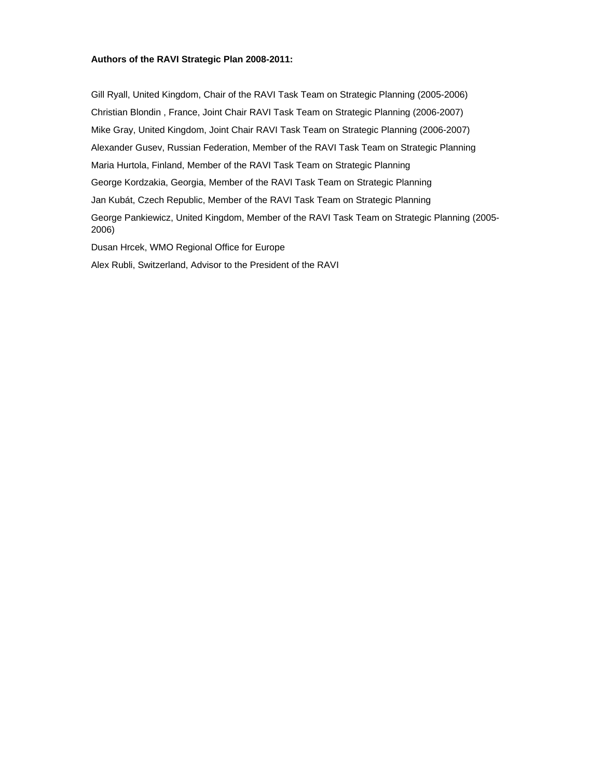#### **Authors of the RAVI Strategic Plan 2008-2011:**

Gill Ryall, United Kingdom, Chair of the RAVI Task Team on Strategic Planning (2005-2006) Christian Blondin , France, Joint Chair RAVI Task Team on Strategic Planning (2006-2007) Mike Gray, United Kingdom, Joint Chair RAVI Task Team on Strategic Planning (2006-2007) Alexander Gusev, Russian Federation, Member of the RAVI Task Team on Strategic Planning Maria Hurtola, Finland, Member of the RAVI Task Team on Strategic Planning George Kordzakia, Georgia, Member of the RAVI Task Team on Strategic Planning Jan Kubát, Czech Republic, Member of the RAVI Task Team on Strategic Planning George Pankiewicz, United Kingdom, Member of the RAVI Task Team on Strategic Planning (2005- 2006) Dusan Hrcek, WMO Regional Office for Europe

Alex Rubli, Switzerland, Advisor to the President of the RAVI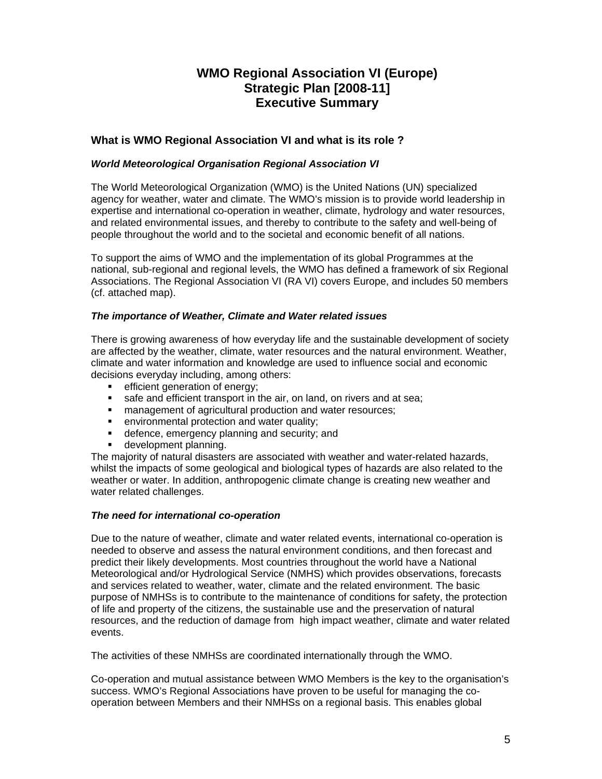# **WMO Regional Association VI (Europe) Strategic Plan [2008-11] Executive Summary**

# **What is WMO Regional Association VI and what is its role ?**

#### *World Meteorological Organisation Regional Association VI*

The World Meteorological Organization (WMO) is the United Nations (UN) specialized agency for weather, water and climate. The WMO's mission is to provide world leadership in expertise and international co-operation in weather, climate, hydrology and water resources, and related environmental issues, and thereby to contribute to the safety and well-being of people throughout the world and to the societal and economic benefit of all nations.

To support the aims of WMO and the implementation of its global Programmes at the national, sub-regional and regional levels, the WMO has defined a framework of six Regional Associations. The Regional Association VI (RA VI) covers Europe, and includes 50 members (cf. attached map).

#### *The importance of Weather, Climate and Water related issues*

There is growing awareness of how everyday life and the sustainable development of society are affected by the weather, climate, water resources and the natural environment. Weather, climate and water information and knowledge are used to influence social and economic decisions everyday including, among others:

- **EXECUTE:** efficient generation of energy;
- safe and efficient transport in the air, on land, on rivers and at sea;
- **EXECT** management of agricultural production and water resources;
- **EXECT** environmental protection and water quality;
- **defence, emergency planning and security; and**
- **development planning.**

The majority of natural disasters are associated with weather and water-related hazards, whilst the impacts of some geological and biological types of hazards are also related to the weather or water. In addition, anthropogenic climate change is creating new weather and water related challenges.

#### *The need for international co-operation*

Due to the nature of weather, climate and water related events, international co-operation is needed to observe and assess the natural environment conditions, and then forecast and predict their likely developments. Most countries throughout the world have a National Meteorological and/or Hydrological Service (NMHS) which provides observations, forecasts and services related to weather, water, climate and the related environment. The basic purpose of NMHSs is to contribute to the maintenance of conditions for safety, the protection of life and property of the citizens, the sustainable use and the preservation of natural resources, and the reduction of damage from high impact weather, climate and water related events.

The activities of these NMHSs are coordinated internationally through the WMO.

Co-operation and mutual assistance between WMO Members is the key to the organisation's success. WMO's Regional Associations have proven to be useful for managing the cooperation between Members and their NMHSs on a regional basis. This enables global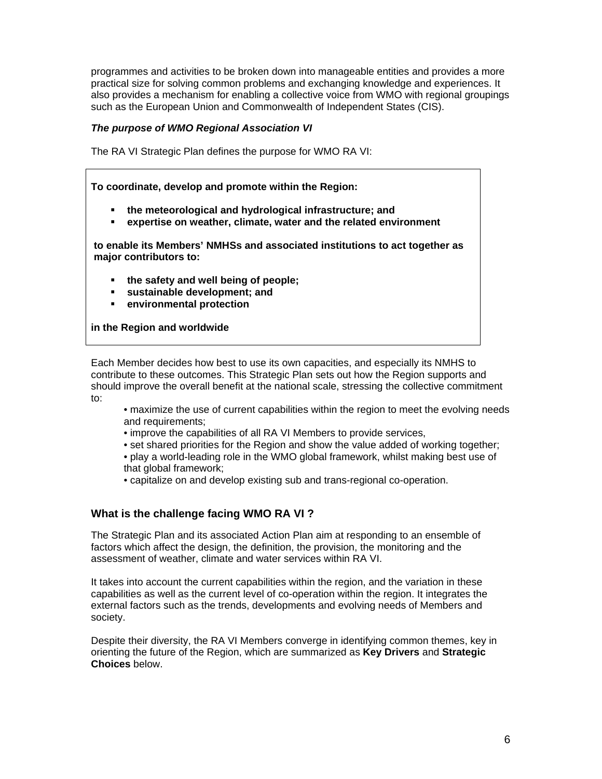programmes and activities to be broken down into manageable entities and provides a more practical size for solving common problems and exchanging knowledge and experiences. It also provides a mechanism for enabling a collective voice from WMO with regional groupings such as the European Union and Commonwealth of Independent States (CIS).

### *The purpose of WMO Regional Association VI*

The RA VI Strategic Plan defines the purpose for WMO RA VI:

**To coordinate, develop and promote within the Region:** 

- **the meteorological and hydrological infrastructure; and**
- **expertise on weather, climate, water and the related environment**

**to enable its Members' NMHSs and associated institutions to act together as major contributors to:** 

- **the safety and well being of people;**
- **sustainable development; and**
- **environmental protection**

**in the Region and worldwide** 

Each Member decides how best to use its own capacities, and especially its NMHS to contribute to these outcomes. This Strategic Plan sets out how the Region supports and should improve the overall benefit at the national scale, stressing the collective commitment to:

- maximize the use of current capabilities within the region to meet the evolving needs and requirements;
- improve the capabilities of all RA VI Members to provide services,
- set shared priorities for the Region and show the value added of working together;
- play a world-leading role in the WMO global framework, whilst making best use of that global framework;
- capitalize on and develop existing sub and trans-regional co-operation.

# **What is the challenge facing WMO RA VI ?**

The Strategic Plan and its associated Action Plan aim at responding to an ensemble of factors which affect the design, the definition, the provision, the monitoring and the assessment of weather, climate and water services within RA VI.

It takes into account the current capabilities within the region, and the variation in these capabilities as well as the current level of co-operation within the region. It integrates the external factors such as the trends, developments and evolving needs of Members and society.

Despite their diversity, the RA VI Members converge in identifying common themes, key in orienting the future of the Region, which are summarized as **Key Drivers** and **Strategic Choices** below.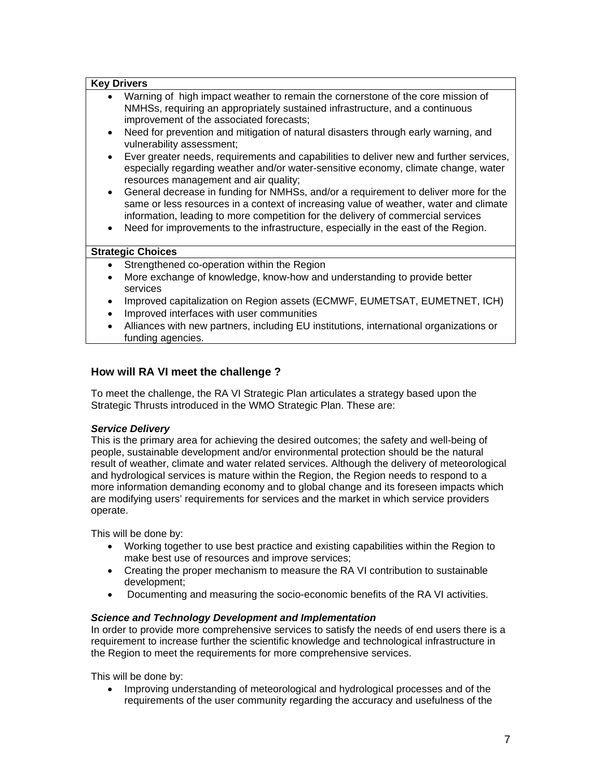| <b>Key Drivers</b> |                                                                                                                                                                                                                                                                                                                                                                                                                                                                                                                                                                                                                                                                                                                                                                                                                                                                                                                   |
|--------------------|-------------------------------------------------------------------------------------------------------------------------------------------------------------------------------------------------------------------------------------------------------------------------------------------------------------------------------------------------------------------------------------------------------------------------------------------------------------------------------------------------------------------------------------------------------------------------------------------------------------------------------------------------------------------------------------------------------------------------------------------------------------------------------------------------------------------------------------------------------------------------------------------------------------------|
| $\bullet$          | Warning of high impact weather to remain the cornerstone of the core mission of<br>NMHSs, requiring an appropriately sustained infrastructure, and a continuous<br>improvement of the associated forecasts;<br>Need for prevention and mitigation of natural disasters through early warning, and<br>vulnerability assessment;<br>Ever greater needs, requirements and capabilities to deliver new and further services,<br>especially regarding weather and/or water-sensitive economy, climate change, water<br>resources management and air quality;<br>General decrease in funding for NMHSs, and/or a requirement to deliver more for the<br>same or less resources in a context of increasing value of weather, water and climate<br>information, leading to more competition for the delivery of commercial services<br>Need for improvements to the infrastructure, especially in the east of the Region. |
|                    | <b>Strategic Choices</b>                                                                                                                                                                                                                                                                                                                                                                                                                                                                                                                                                                                                                                                                                                                                                                                                                                                                                          |
|                    | Strengthened co-operation within the Region                                                                                                                                                                                                                                                                                                                                                                                                                                                                                                                                                                                                                                                                                                                                                                                                                                                                       |
| $\bullet$          | More exchange of knowledge, know-how and understanding to provide better<br>services                                                                                                                                                                                                                                                                                                                                                                                                                                                                                                                                                                                                                                                                                                                                                                                                                              |
| ٠                  | Improved capitalization on Region assets (ECMWF, EUMETSAT, EUMETNET, ICH)                                                                                                                                                                                                                                                                                                                                                                                                                                                                                                                                                                                                                                                                                                                                                                                                                                         |
|                    | Improved interfaces with user communities                                                                                                                                                                                                                                                                                                                                                                                                                                                                                                                                                                                                                                                                                                                                                                                                                                                                         |
|                    | Alliances with new partners, including EU institutions, international organizations or<br>funding agencies.                                                                                                                                                                                                                                                                                                                                                                                                                                                                                                                                                                                                                                                                                                                                                                                                       |

# **How will RA VI meet the challenge ?**

To meet the challenge, the RA VI Strategic Plan articulates a strategy based upon the Strategic Thrusts introduced in the WMO Strategic Plan. These are:

### *Service Delivery*

This is the primary area for achieving the desired outcomes; the safety and well-being of people, sustainable development and/or environmental protection should be the natural result of weather, climate and water related services. Although the delivery of meteorological and hydrological services is mature within the Region, the Region needs to respond to a more information demanding economy and to global change and its foreseen impacts which are modifying users' requirements for services and the market in which service providers operate.

This will be done by:

- Working together to use best practice and existing capabilities within the Region to make best use of resources and improve services;
- Creating the proper mechanism to measure the RA VI contribution to sustainable development;
- Documenting and measuring the socio-economic benefits of the RA VI activities.

### *Science and Technology Development and Implementation*

In order to provide more comprehensive services to satisfy the needs of end users there is a requirement to increase further the scientific knowledge and technological infrastructure in the Region to meet the requirements for more comprehensive services.

This will be done by:

• Improving understanding of meteorological and hydrological processes and of the requirements of the user community regarding the accuracy and usefulness of the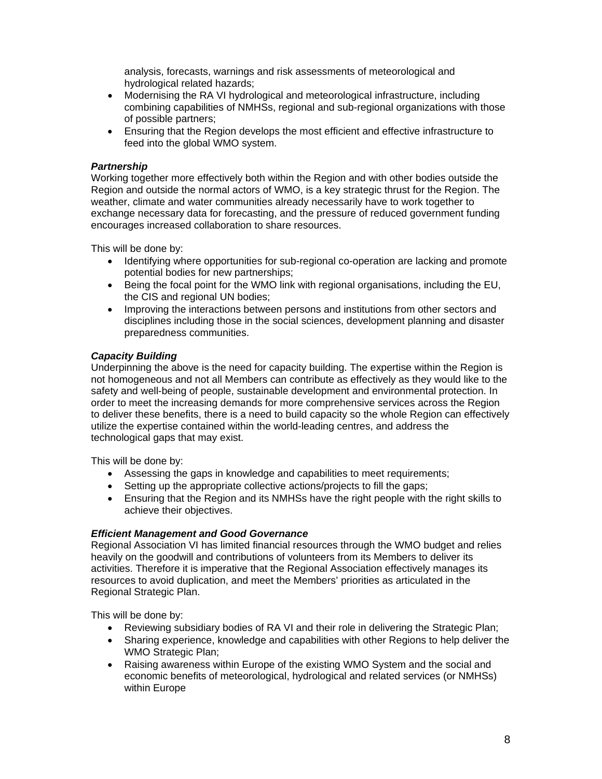analysis, forecasts, warnings and risk assessments of meteorological and hydrological related hazards;

- Modernising the RA VI hydrological and meteorological infrastructure, including combining capabilities of NMHSs, regional and sub-regional organizations with those of possible partners;
- Ensuring that the Region develops the most efficient and effective infrastructure to feed into the global WMO system.

#### *Partnership*

Working together more effectively both within the Region and with other bodies outside the Region and outside the normal actors of WMO, is a key strategic thrust for the Region. The weather, climate and water communities already necessarily have to work together to exchange necessary data for forecasting, and the pressure of reduced government funding encourages increased collaboration to share resources.

This will be done by:

- Identifying where opportunities for sub-regional co-operation are lacking and promote potential bodies for new partnerships;
- Being the focal point for the WMO link with regional organisations, including the EU, the CIS and regional UN bodies;
- Improving the interactions between persons and institutions from other sectors and disciplines including those in the social sciences, development planning and disaster preparedness communities.

#### *Capacity Building*

Underpinning the above is the need for capacity building. The expertise within the Region is not homogeneous and not all Members can contribute as effectively as they would like to the safety and well-being of people, sustainable development and environmental protection. In order to meet the increasing demands for more comprehensive services across the Region to deliver these benefits, there is a need to build capacity so the whole Region can effectively utilize the expertise contained within the world-leading centres, and address the technological gaps that may exist.

This will be done by:

- Assessing the gaps in knowledge and capabilities to meet requirements;
- Setting up the appropriate collective actions/projects to fill the gaps;
- Ensuring that the Region and its NMHSs have the right people with the right skills to achieve their objectives.

### *Efficient Management and Good Governance*

Regional Association VI has limited financial resources through the WMO budget and relies heavily on the goodwill and contributions of volunteers from its Members to deliver its activities. Therefore it is imperative that the Regional Association effectively manages its resources to avoid duplication, and meet the Members' priorities as articulated in the Regional Strategic Plan.

This will be done by:

- Reviewing subsidiary bodies of RA VI and their role in delivering the Strategic Plan;
- Sharing experience, knowledge and capabilities with other Regions to help deliver the WMO Strategic Plan;
- Raising awareness within Europe of the existing WMO System and the social and economic benefits of meteorological, hydrological and related services (or NMHSs) within Europe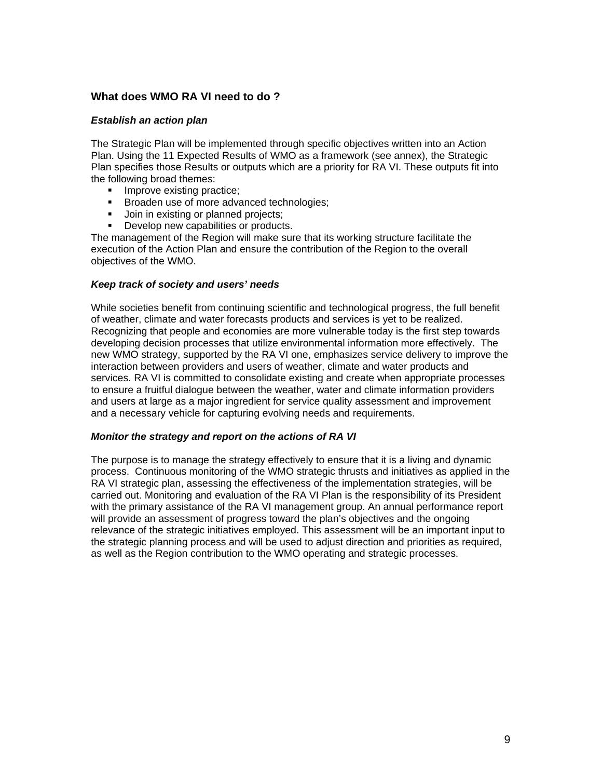# **What does WMO RA VI need to do ?**

#### *Establish an action plan*

The Strategic Plan will be implemented through specific objectives written into an Action Plan. Using the 11 Expected Results of WMO as a framework (see annex), the Strategic Plan specifies those Results or outputs which are a priority for RA VI. These outputs fit into the following broad themes:

- **Improve existing practice;**
- **Broaden use of more advanced technologies;**
- **Join in existing or planned projects;**
- Develop new capabilities or products.

The management of the Region will make sure that its working structure facilitate the execution of the Action Plan and ensure the contribution of the Region to the overall objectives of the WMO.

#### *Keep track of society and users' needs*

While societies benefit from continuing scientific and technological progress, the full benefit of weather, climate and water forecasts products and services is yet to be realized. Recognizing that people and economies are more vulnerable today is the first step towards developing decision processes that utilize environmental information more effectively. The new WMO strategy, supported by the RA VI one, emphasizes service delivery to improve the interaction between providers and users of weather, climate and water products and services. RA VI is committed to consolidate existing and create when appropriate processes to ensure a fruitful dialogue between the weather, water and climate information providers and users at large as a major ingredient for service quality assessment and improvement and a necessary vehicle for capturing evolving needs and requirements.

#### *Monitor the strategy and report on the actions of RA VI*

The purpose is to manage the strategy effectively to ensure that it is a living and dynamic process. Continuous monitoring of the WMO strategic thrusts and initiatives as applied in the RA VI strategic plan, assessing the effectiveness of the implementation strategies, will be carried out. Monitoring and evaluation of the RA VI Plan is the responsibility of its President with the primary assistance of the RA VI management group. An annual performance report will provide an assessment of progress toward the plan's objectives and the ongoing relevance of the strategic initiatives employed. This assessment will be an important input to the strategic planning process and will be used to adjust direction and priorities as required, as well as the Region contribution to the WMO operating and strategic processes.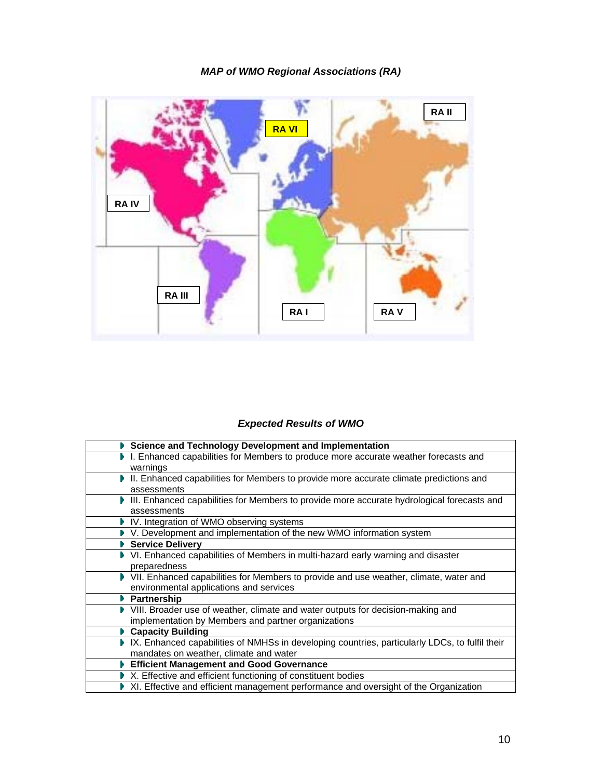# *MAP of WMO Regional Associations (RA)*



# *Expected Results of WMO*

| Science and Technology Development and Implementation                                          |
|------------------------------------------------------------------------------------------------|
| I. Enhanced capabilities for Members to produce more accurate weather forecasts and            |
| warnings                                                                                       |
| ▶ II. Enhanced capabilities for Members to provide more accurate climate predictions and       |
| assessments                                                                                    |
| III. Enhanced capabilities for Members to provide more accurate hydrological forecasts and     |
| assessments                                                                                    |
| ▶ IV. Integration of WMO observing systems                                                     |
| ▶ V. Development and implementation of the new WMO information system                          |
| ▶ Service Delivery                                                                             |
| ▶ VI. Enhanced capabilities of Members in multi-hazard early warning and disaster              |
| preparedness                                                                                   |
| ▶ VII. Enhanced capabilities for Members to provide and use weather, climate, water and        |
| environmental applications and services                                                        |
| <b>Partnership</b>                                                                             |
| ▶ VIII. Broader use of weather, climate and water outputs for decision-making and              |
| implementation by Members and partner organizations                                            |
| ▶ Capacity Building                                                                            |
| IX. Enhanced capabilities of NMHSs in developing countries, particularly LDCs, to fulfil their |
| mandates on weather, climate and water                                                         |
| <b>Efficient Management and Good Governance</b>                                                |
| ▶ X. Effective and efficient functioning of constituent bodies                                 |
| ▶ XI. Effective and efficient management performance and oversight of the Organization         |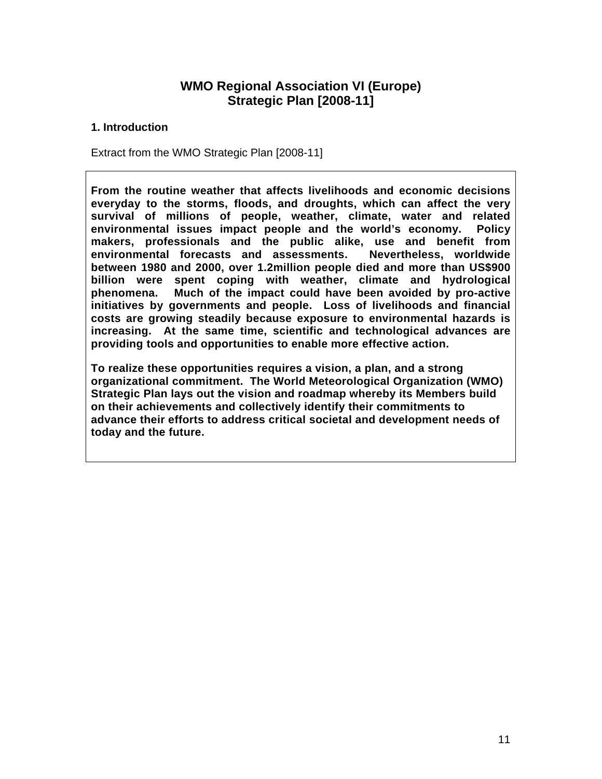# **WMO Regional Association VI (Europe) Strategic Plan [2008-11]**

# **1. Introduction**

Extract from the WMO Strategic Plan [2008-11]

**From the routine weather that affects livelihoods and economic decisions everyday to the storms, floods, and droughts, which can affect the very survival of millions of people, weather, climate, water and related environmental issues impact people and the world's economy. Policy makers, professionals and the public alike, use and benefit from environmental forecasts and assessments. Nevertheless, worldwide between 1980 and 2000, over 1.2million people died and more than US\$900 billion were spent coping with weather, climate and hydrological phenomena. Much of the impact could have been avoided by pro-active initiatives by governments and people. Loss of livelihoods and financial costs are growing steadily because exposure to environmental hazards is increasing. At the same time, scientific and technological advances are providing tools and opportunities to enable more effective action.** 

**To realize these opportunities requires a vision, a plan, and a strong organizational commitment. The World Meteorological Organization (WMO) Strategic Plan lays out the vision and roadmap whereby its Members build on their achievements and collectively identify their commitments to advance their efforts to address critical societal and development needs of today and the future.**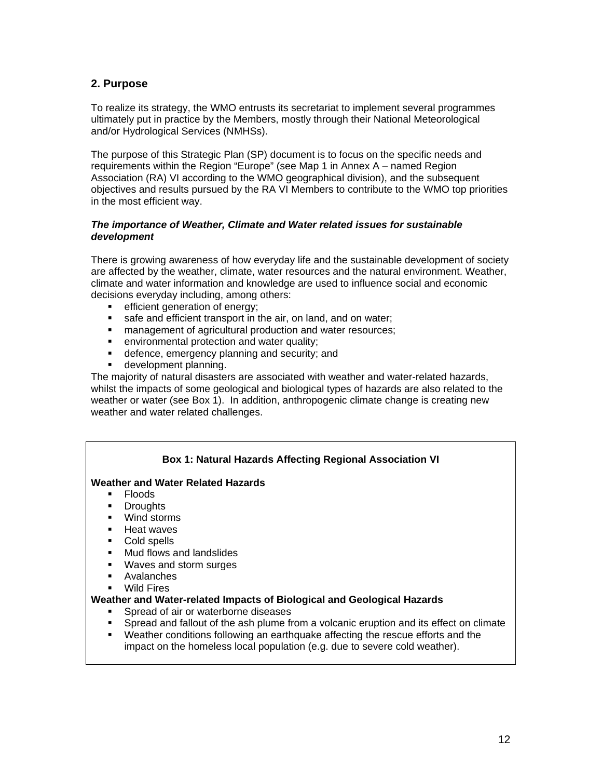# **2. Purpose**

To realize its strategy, the WMO entrusts its secretariat to implement several programmes ultimately put in practice by the Members, mostly through their National Meteorological and/or Hydrological Services (NMHSs).

The purpose of this Strategic Plan (SP) document is to focus on the specific needs and requirements within the Region "Europe" (see Map 1 in Annex A – named Region Association (RA) VI according to the WMO geographical division), and the subsequent objectives and results pursued by the RA VI Members to contribute to the WMO top priorities in the most efficient way.

### *The importance of Weather, Climate and Water related issues for sustainable development*

There is growing awareness of how everyday life and the sustainable development of society are affected by the weather, climate, water resources and the natural environment. Weather, climate and water information and knowledge are used to influence social and economic decisions everyday including, among others:

- **EXECUTE:** efficient generation of energy;
- safe and efficient transport in the air, on land, and on water;
- management of agricultural production and water resources;
- **EXECTE ENVIRONMENTAL PROTECTION And Water quality;**
- **defence, emergency planning and security; and**
- **development planning.**

The majority of natural disasters are associated with weather and water-related hazards, whilst the impacts of some geological and biological types of hazards are also related to the weather or water (see Box 1). In addition, anthropogenic climate change is creating new weather and water related challenges.

### **Box 1: Natural Hazards Affecting Regional Association VI**

#### **Weather and Water Related Hazards**

- $\blacksquare$  Floods
- **•** Droughts
- **Wind storms**
- **Heat waves**
- **Cold spells**
- **Mud flows and landslides**
- Waves and storm surges
- Avalanches
- Wild Fires

#### **Weather and Water-related Impacts of Biological and Geological Hazards**

- Spread of air or waterborne diseases
- Spread and fallout of the ash plume from a volcanic eruption and its effect on climate
- Weather conditions following an earthquake affecting the rescue efforts and the impact on the homeless local population (e.g. due to severe cold weather).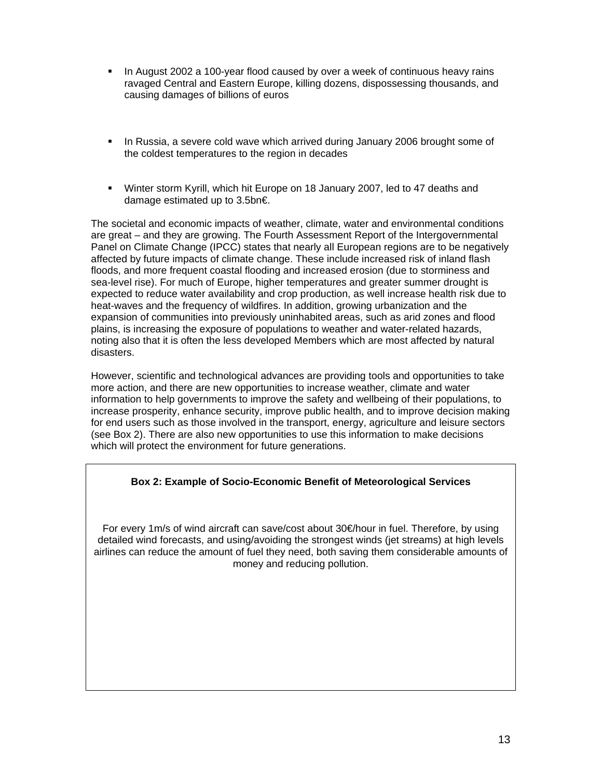- In August 2002 a 100-year flood caused by over a week of continuous heavy rains ravaged Central and Eastern Europe, killing dozens, dispossessing thousands, and causing damages of billions of euros
- In Russia, a severe cold wave which arrived during January 2006 brought some of the coldest temperatures to the region in decades
- Winter storm Kyrill, which hit Europe on 18 January 2007, led to 47 deaths and damage estimated up to 3.5bn€.

The societal and economic impacts of weather, climate, water and environmental conditions are great – and they are growing. The Fourth Assessment Report of the Intergovernmental Panel on Climate Change (IPCC) states that nearly all European regions are to be negatively affected by future impacts of climate change. These include increased risk of inland flash floods, and more frequent coastal flooding and increased erosion (due to storminess and sea-level rise). For much of Europe, higher temperatures and greater summer drought is expected to reduce water availability and crop production, as well increase health risk due to heat-waves and the frequency of wildfires. In addition, growing urbanization and the expansion of communities into previously uninhabited areas, such as arid zones and flood plains, is increasing the exposure of populations to weather and water-related hazards, noting also that it is often the less developed Members which are most affected by natural disasters.

However, scientific and technological advances are providing tools and opportunities to take more action, and there are new opportunities to increase weather, climate and water information to help governments to improve the safety and wellbeing of their populations, to increase prosperity, enhance security, improve public health, and to improve decision making for end users such as those involved in the transport, energy, agriculture and leisure sectors (see Box 2). There are also new opportunities to use this information to make decisions which will protect the environment for future generations.

# **Box 2: Example of Socio-Economic Benefit of Meteorological Services**

For every 1m/s of wind aircraft can save/cost about 30€/hour in fuel. Therefore, by using detailed wind forecasts, and using/avoiding the strongest winds (jet streams) at high levels airlines can reduce the amount of fuel they need, both saving them considerable amounts of money and reducing pollution.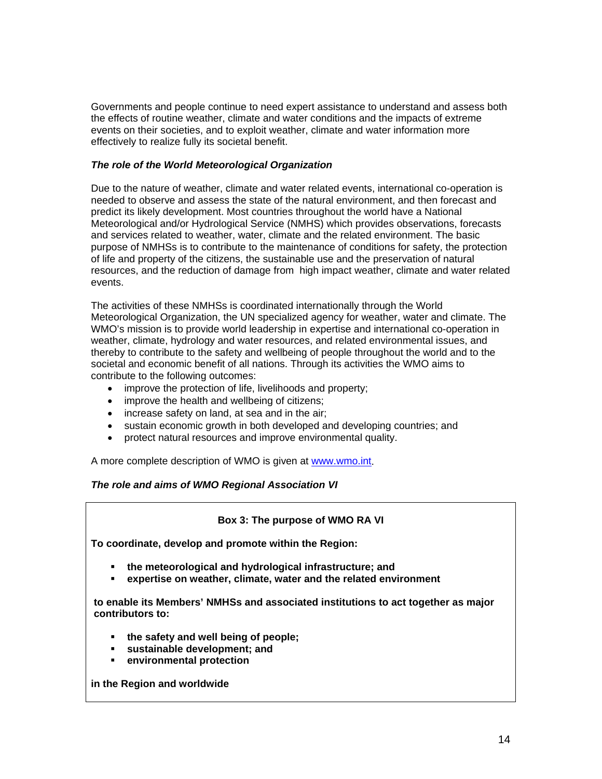Governments and people continue to need expert assistance to understand and assess both the effects of routine weather, climate and water conditions and the impacts of extreme events on their societies, and to exploit weather, climate and water information more effectively to realize fully its societal benefit.

### *The role of the World Meteorological Organization*

Due to the nature of weather, climate and water related events, international co-operation is needed to observe and assess the state of the natural environment, and then forecast and predict its likely development. Most countries throughout the world have a National Meteorological and/or Hydrological Service (NMHS) which provides observations, forecasts and services related to weather, water, climate and the related environment. The basic purpose of NMHSs is to contribute to the maintenance of conditions for safety, the protection of life and property of the citizens, the sustainable use and the preservation of natural resources, and the reduction of damage from high impact weather, climate and water related events.

The activities of these NMHSs is coordinated internationally through the World Meteorological Organization, the UN specialized agency for weather, water and climate. The WMO's mission is to provide world leadership in expertise and international co-operation in weather, climate, hydrology and water resources, and related environmental issues, and thereby to contribute to the safety and wellbeing of people throughout the world and to the societal and economic benefit of all nations. Through its activities the WMO aims to contribute to the following outcomes:

- improve the protection of life, livelihoods and property;
- improve the health and wellbeing of citizens;
- increase safety on land, at sea and in the air;
- sustain economic growth in both developed and developing countries; and
- protect natural resources and improve environmental quality.

A more complete description of WMO is given at www.wmo.int.

#### *The role and aims of WMO Regional Association VI*

#### **Box 3: The purpose of WMO RA VI**

**To coordinate, develop and promote within the Region:** 

- **the meteorological and hydrological infrastructure; and**
- **expertise on weather, climate, water and the related environment**

**to enable its Members' NMHSs and associated institutions to act together as major contributors to:** 

- **the safety and well being of people;**
- **sustainable development; and**
- **environmental protection**

**in the Region and worldwide**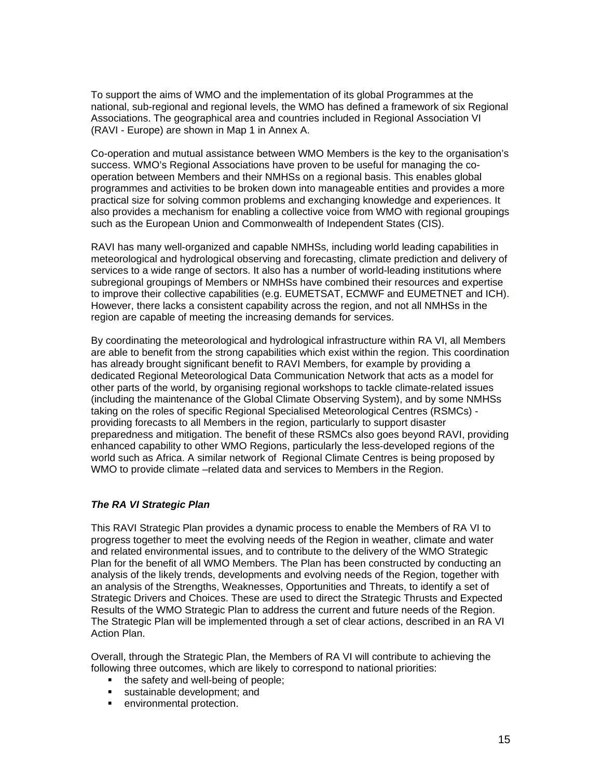To support the aims of WMO and the implementation of its global Programmes at the national, sub-regional and regional levels, the WMO has defined a framework of six Regional Associations. The geographical area and countries included in Regional Association VI (RAVI - Europe) are shown in Map 1 in Annex A.

Co-operation and mutual assistance between WMO Members is the key to the organisation's success. WMO's Regional Associations have proven to be useful for managing the cooperation between Members and their NMHSs on a regional basis. This enables global programmes and activities to be broken down into manageable entities and provides a more practical size for solving common problems and exchanging knowledge and experiences. It also provides a mechanism for enabling a collective voice from WMO with regional groupings such as the European Union and Commonwealth of Independent States (CIS).

RAVI has many well-organized and capable NMHSs, including world leading capabilities in meteorological and hydrological observing and forecasting, climate prediction and delivery of services to a wide range of sectors. It also has a number of world-leading institutions where subregional groupings of Members or NMHSs have combined their resources and expertise to improve their collective capabilities (e.g. EUMETSAT, ECMWF and EUMETNET and ICH). However, there lacks a consistent capability across the region, and not all NMHSs in the region are capable of meeting the increasing demands for services.

By coordinating the meteorological and hydrological infrastructure within RA VI, all Members are able to benefit from the strong capabilities which exist within the region. This coordination has already brought significant benefit to RAVI Members, for example by providing a dedicated Regional Meteorological Data Communication Network that acts as a model for other parts of the world, by organising regional workshops to tackle climate-related issues (including the maintenance of the Global Climate Observing System), and by some NMHSs taking on the roles of specific Regional Specialised Meteorological Centres (RSMCs) providing forecasts to all Members in the region, particularly to support disaster preparedness and mitigation. The benefit of these RSMCs also goes beyond RAVI, providing enhanced capability to other WMO Regions, particularly the less-developed regions of the world such as Africa. A similar network of Regional Climate Centres is being proposed by WMO to provide climate –related data and services to Members in the Region.

#### *The RA VI Strategic Plan*

This RAVI Strategic Plan provides a dynamic process to enable the Members of RA VI to progress together to meet the evolving needs of the Region in weather, climate and water and related environmental issues, and to contribute to the delivery of the WMO Strategic Plan for the benefit of all WMO Members. The Plan has been constructed by conducting an analysis of the likely trends, developments and evolving needs of the Region, together with an analysis of the Strengths, Weaknesses, Opportunities and Threats, to identify a set of Strategic Drivers and Choices. These are used to direct the Strategic Thrusts and Expected Results of the WMO Strategic Plan to address the current and future needs of the Region. The Strategic Plan will be implemented through a set of clear actions, described in an RA VI Action Plan.

Overall, through the Strategic Plan, the Members of RA VI will contribute to achieving the following three outcomes, which are likely to correspond to national priorities:

- $\blacksquare$  the safety and well-being of people;
- sustainable development; and
- **EXECUTE:** environmental protection.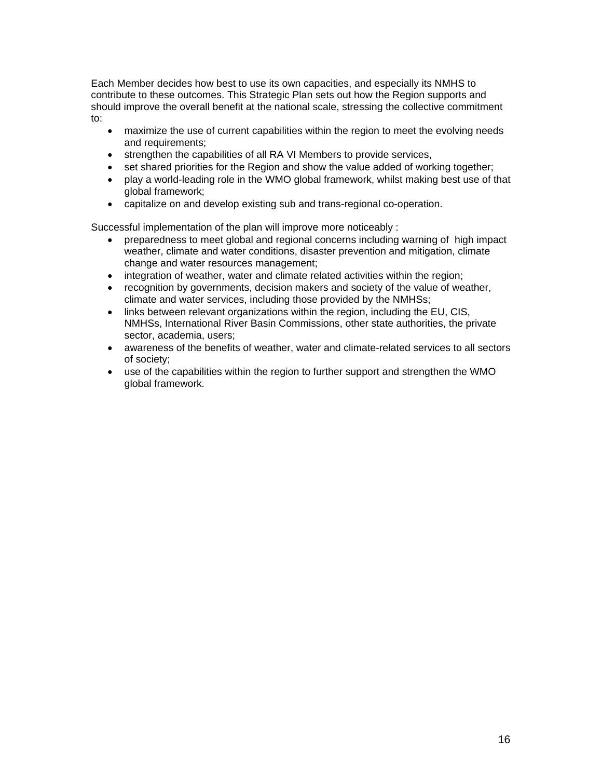Each Member decides how best to use its own capacities, and especially its NMHS to contribute to these outcomes. This Strategic Plan sets out how the Region supports and should improve the overall benefit at the national scale, stressing the collective commitment to:

- maximize the use of current capabilities within the region to meet the evolving needs and requirements;
- strengthen the capabilities of all RA VI Members to provide services,
- set shared priorities for the Region and show the value added of working together;
- play a world-leading role in the WMO global framework, whilst making best use of that global framework;
- capitalize on and develop existing sub and trans-regional co-operation.

Successful implementation of the plan will improve more noticeably :

- preparedness to meet global and regional concerns including warning of high impact weather, climate and water conditions, disaster prevention and mitigation, climate change and water resources management;
- integration of weather, water and climate related activities within the region;
- recognition by governments, decision makers and society of the value of weather, climate and water services, including those provided by the NMHSs;
- links between relevant organizations within the region, including the EU, CIS, NMHSs, International River Basin Commissions, other state authorities, the private sector, academia, users;
- awareness of the benefits of weather, water and climate-related services to all sectors of society;
- use of the capabilities within the region to further support and strengthen the WMO global framework.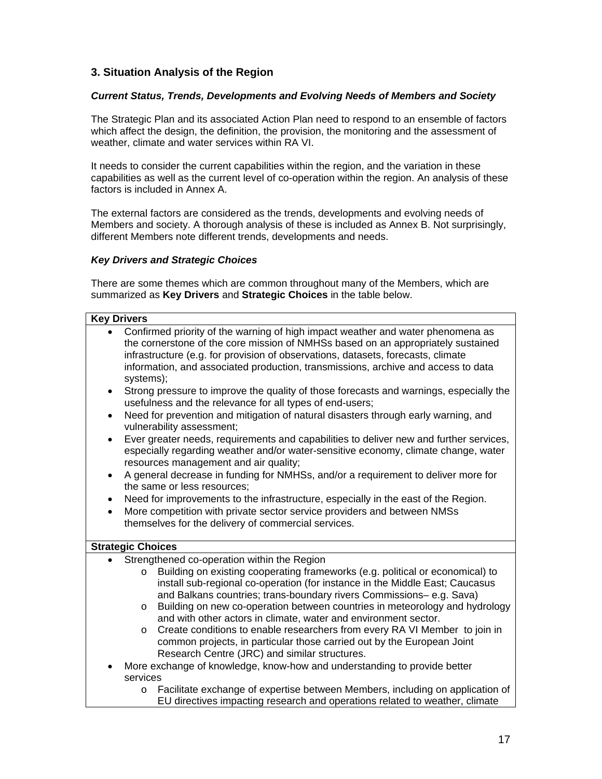# **3. Situation Analysis of the Region**

#### *Current Status, Trends, Developments and Evolving Needs of Members and Society*

The Strategic Plan and its associated Action Plan need to respond to an ensemble of factors which affect the design, the definition, the provision, the monitoring and the assessment of weather, climate and water services within RA VI.

It needs to consider the current capabilities within the region, and the variation in these capabilities as well as the current level of co-operation within the region. An analysis of these factors is included in Annex A.

The external factors are considered as the trends, developments and evolving needs of Members and society. A thorough analysis of these is included as Annex B. Not surprisingly, different Members note different trends, developments and needs.

#### *Key Drivers and Strategic Choices*

There are some themes which are common throughout many of the Members, which are summarized as **Key Drivers** and **Strategic Choices** in the table below.

#### **Key Drivers**

- Confirmed priority of the warning of high impact weather and water phenomena as the cornerstone of the core mission of NMHSs based on an appropriately sustained infrastructure (e.g. for provision of observations, datasets, forecasts, climate information, and associated production, transmissions, archive and access to data systems);
- Strong pressure to improve the quality of those forecasts and warnings, especially the usefulness and the relevance for all types of end-users;
- Need for prevention and mitigation of natural disasters through early warning, and vulnerability assessment;
- Ever greater needs, requirements and capabilities to deliver new and further services, especially regarding weather and/or water-sensitive economy, climate change, water resources management and air quality;
- A general decrease in funding for NMHSs, and/or a requirement to deliver more for the same or less resources;
- Need for improvements to the infrastructure, especially in the east of the Region.
- More competition with private sector service providers and between NMSs themselves for the delivery of commercial services.

#### **Strategic Choices**

- Strengthened co-operation within the Region
	- o Building on existing cooperating frameworks (e.g. political or economical) to install sub-regional co-operation (for instance in the Middle East; Caucasus and Balkans countries; trans-boundary rivers Commissions– e.g. Sava)
	- o Building on new co-operation between countries in meteorology and hydrology and with other actors in climate, water and environment sector.
	- o Create conditions to enable researchers from every RA VI Member to join in common projects, in particular those carried out by the European Joint Research Centre (JRC) and similar structures.
- More exchange of knowledge, know-how and understanding to provide better services
	- o Facilitate exchange of expertise between Members, including on application of EU directives impacting research and operations related to weather, climate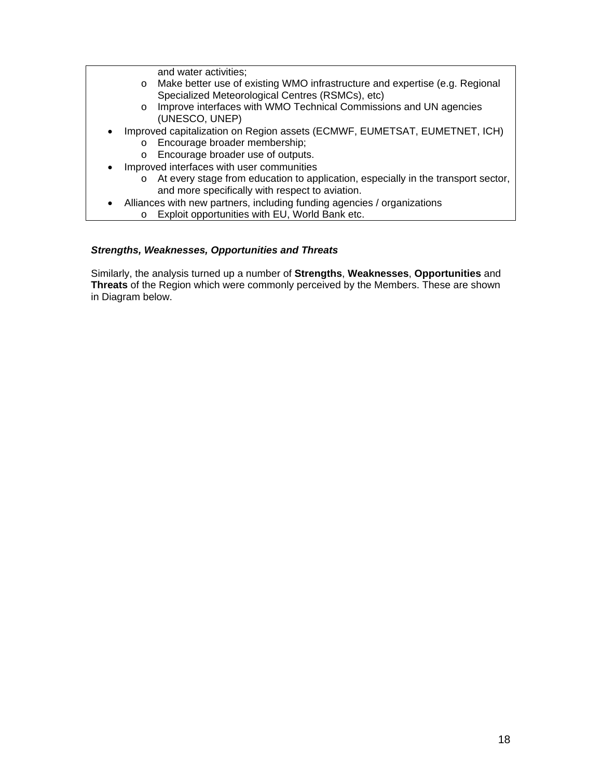and water activities;

- o Make better use of existing WMO infrastructure and expertise (e.g. Regional Specialized Meteorological Centres (RSMCs), etc)
- o Improve interfaces with WMO Technical Commissions and UN agencies (UNESCO, UNEP)
- Improved capitalization on Region assets (ECMWF, EUMETSAT, EUMETNET, ICH) o Encourage broader membership;
	- o Encourage broader use of outputs.
	- Improved interfaces with user communities
		- o At every stage from education to application, especially in the transport sector, and more specifically with respect to aviation.
- Alliances with new partners, including funding agencies / organizations
	- o Exploit opportunities with EU, World Bank etc.

#### *Strengths, Weaknesses, Opportunities and Threats*

Similarly, the analysis turned up a number of **Strengths**, **Weaknesses**, **Opportunities** and **Threats** of the Region which were commonly perceived by the Members. These are shown in Diagram below.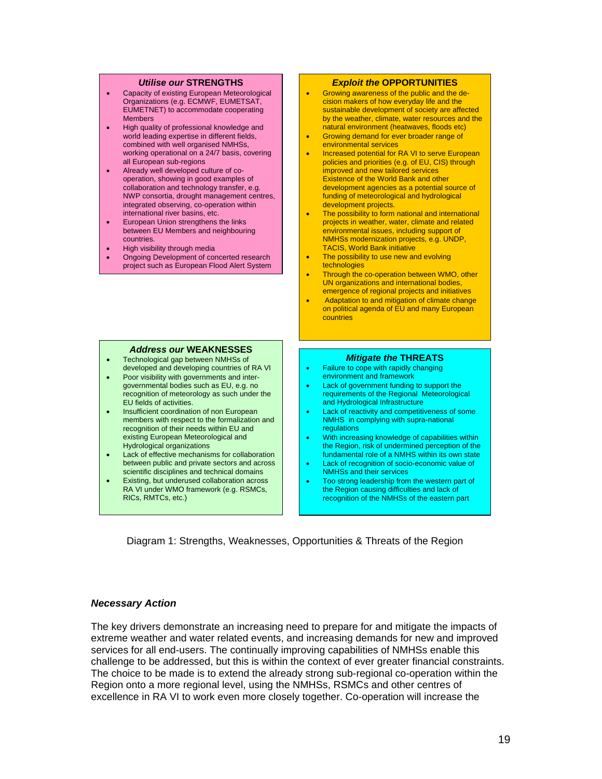#### *Utilise our* **STRENGTHS**

- Capacity of existing European Meteorological Organizations (e.g. ECMWF, EUMETSAT, EUMETNET) to accommodate cooperating **Members**
- High quality of professional knowledge and world leading expertise in different fields, combined with well organised NMHSs, working operational on a 24/7 basis, covering all European sub-regions
- Already well developed culture of cooperation, showing in good examples of collaboration and technology transfer, e.g. NWP consortia, drought management centres, integrated observing, co-operation within international river basins, etc.
- European Union strengthens the links between EU Members and neighbouring countries.
- High visibility through media
- Ongoing Development of concerted research project such as European Flood Alert System

#### *Exploit the* **OPPORTUNITIES**

- Growing awareness of the public and the decision makers of how everyday life and the sustainable development of society are affected by the weather, climate, water resources and the natural environment (heatwaves, floods etc)
- Growing demand for ever broader range of environmental services
- Increased potential for RA VI to serve European policies and priorities (e.g. of EU, CIS) through improved and new tailored services Existence of the World Bank and other development agencies as a potential source of funding of meteorological and hydrological development projects.
- The possibility to form national and international projects in weather, water, climate and related environmental issues, including support of NMHSs modernization projects, e.g. UNDP, TACIS, World Bank initiative
- The possibility to use new and evolving technologies
- Through the co-operation between WMO, other UN organizations and international bodies, emergence of regional projects and initiatives
- Adaptation to and mitigation of climate change on political agenda of EU and many European countries

#### *Address our* **WEAKNESSES**

- Technological gap between NMHSs of developed and developing countries of RA VI
- Poor visibility with governments and intergovernmental bodies such as EU, e.g. no recognition of meteorology as such under the EU fields of activities.
- Insufficient coordination of non European members with respect to the formalization and recognition of their needs within EU and existing European Meteorological and Hydrological organizations
- Lack of effective mechanisms for collaboration between public and private sectors and across scientific disciplines and technical domains
- Existing, but underused collaboration across RA VI under WMO framework (e.g. RSMCs, RICs, RMTCs, etc.)

#### *Mitigate the* **THREATS**

- Failure to cope with rapidly changing environment and framework
- Lack of government funding to support the requirements of the Regional Meteorological and Hydrological Infrastructure
- Lack of reactivity and competitiveness of some NMHS in complying with supra-national regulations
- With increasing knowledge of capabilities within the Region, risk of undermined perception of the fundamental role of a NMHS within its own state
- Lack of recognition of socio-economic value of NMHSs and their services
- Too strong leadership from the western part of the Region causing difficulties and lack of recognition of the NMHSs of the eastern part

Diagram 1: Strengths, Weaknesses, Opportunities & Threats of the Region

#### *Necessary Action*

The key drivers demonstrate an increasing need to prepare for and mitigate the impacts of extreme weather and water related events, and increasing demands for new and improved services for all end-users. The continually improving capabilities of NMHSs enable this challenge to be addressed, but this is within the context of ever greater financial constraints. The choice to be made is to extend the already strong sub-regional co-operation within the Region onto a more regional level, using the NMHSs, RSMCs and other centres of excellence in RA VI to work even more closely together. Co-operation will increase the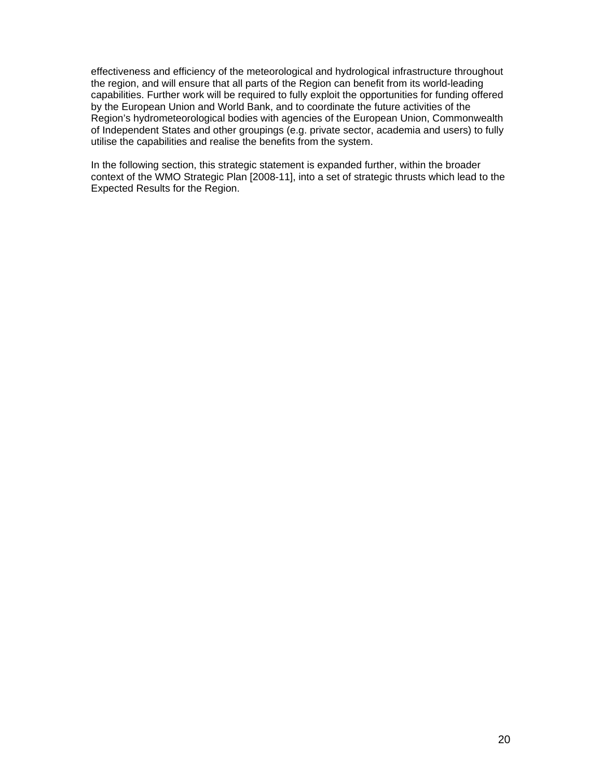effectiveness and efficiency of the meteorological and hydrological infrastructure throughout the region, and will ensure that all parts of the Region can benefit from its world-leading capabilities. Further work will be required to fully exploit the opportunities for funding offered by the European Union and World Bank, and to coordinate the future activities of the Region's hydrometeorological bodies with agencies of the European Union, Commonwealth of Independent States and other groupings (e.g. private sector, academia and users) to fully utilise the capabilities and realise the benefits from the system.

In the following section, this strategic statement is expanded further, within the broader context of the WMO Strategic Plan [2008-11], into a set of strategic thrusts which lead to the Expected Results for the Region.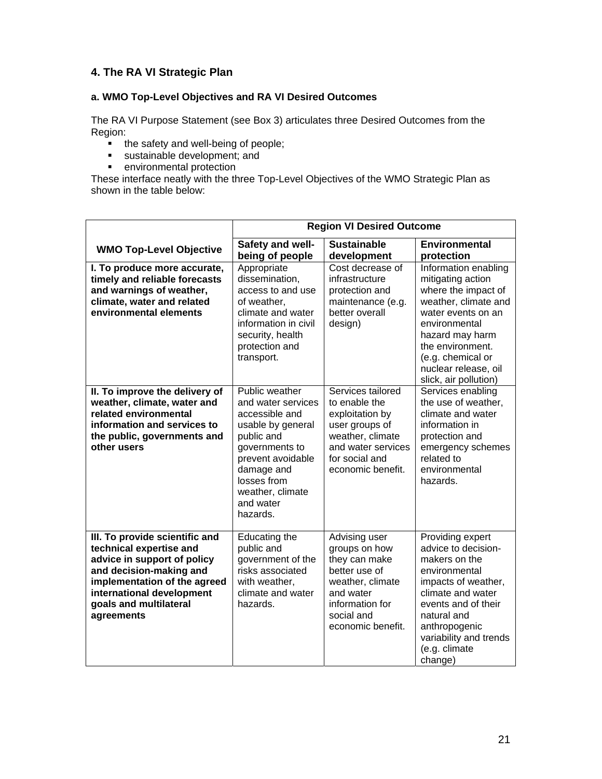# **4. The RA VI Strategic Plan**

### **a. WMO Top-Level Objectives and RA VI Desired Outcomes**

The RA VI Purpose Statement (see Box 3) articulates three Desired Outcomes from the Region:

- the safety and well-being of people;
- sustainable development; and
- **EXECUTE:** environmental protection

These interface neatly with the three Top-Level Objectives of the WMO Strategic Plan as shown in the table below:

|                                                                                                                                                                                                                          | <b>Region VI Desired Outcome</b>                                                                                                                                                                           |                                                                                                                                                          |                                                                                                                                                                                                                                              |
|--------------------------------------------------------------------------------------------------------------------------------------------------------------------------------------------------------------------------|------------------------------------------------------------------------------------------------------------------------------------------------------------------------------------------------------------|----------------------------------------------------------------------------------------------------------------------------------------------------------|----------------------------------------------------------------------------------------------------------------------------------------------------------------------------------------------------------------------------------------------|
| <b>WMO Top-Level Objective</b>                                                                                                                                                                                           | Safety and well-                                                                                                                                                                                           | <b>Sustainable</b>                                                                                                                                       | <b>Environmental</b>                                                                                                                                                                                                                         |
|                                                                                                                                                                                                                          | being of people                                                                                                                                                                                            | development                                                                                                                                              | protection                                                                                                                                                                                                                                   |
| I. To produce more accurate,<br>timely and reliable forecasts<br>and warnings of weather,<br>climate, water and related<br>environmental elements                                                                        | Appropriate<br>dissemination,<br>access to and use<br>of weather,<br>climate and water<br>information in civil<br>security, health<br>protection and<br>transport.                                         | Cost decrease of<br>infrastructure<br>protection and<br>maintenance (e.g.<br>better overall<br>design)                                                   | Information enabling<br>mitigating action<br>where the impact of<br>weather, climate and<br>water events on an<br>environmental<br>hazard may harm<br>the environment.<br>(e.g. chemical or<br>nuclear release, oil<br>slick, air pollution) |
| II. To improve the delivery of<br>weather, climate, water and<br>related environmental<br>information and services to<br>the public, governments and<br>other users                                                      | Public weather<br>and water services<br>accessible and<br>usable by general<br>public and<br>governments to<br>prevent avoidable<br>damage and<br>losses from<br>weather, climate<br>and water<br>hazards. | Services tailored<br>to enable the<br>exploitation by<br>user groups of<br>weather, climate<br>and water services<br>for social and<br>economic benefit. | Services enabling<br>the use of weather,<br>climate and water<br>information in<br>protection and<br>emergency schemes<br>related to<br>environmental<br>hazards.                                                                            |
| III. To provide scientific and<br>technical expertise and<br>advice in support of policy<br>and decision-making and<br>implementation of the agreed<br>international development<br>goals and multilateral<br>agreements | <b>Educating the</b><br>public and<br>government of the<br>risks associated<br>with weather,<br>climate and water<br>hazards.                                                                              | Advising user<br>groups on how<br>they can make<br>better use of<br>weather, climate<br>and water<br>information for<br>social and<br>economic benefit.  | Providing expert<br>advice to decision-<br>makers on the<br>environmental<br>impacts of weather,<br>climate and water<br>events and of their<br>natural and<br>anthropogenic<br>variability and trends<br>(e.g. climate<br>change)           |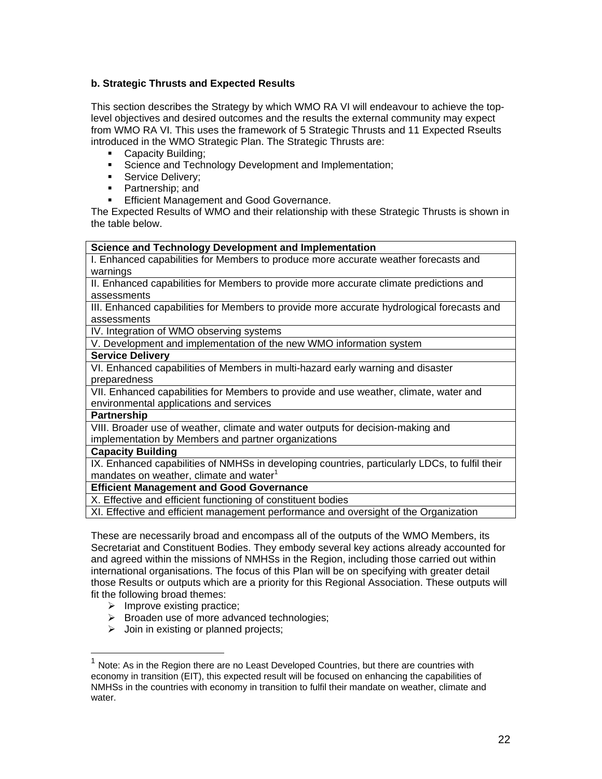## **b. Strategic Thrusts and Expected Results**

This section describes the Strategy by which WMO RA VI will endeavour to achieve the toplevel objectives and desired outcomes and the results the external community may expect from WMO RA VI. This uses the framework of 5 Strategic Thrusts and 11 Expected Rseults introduced in the WMO Strategic Plan. The Strategic Thrusts are:

- Capacity Building:
- Science and Technology Development and Implementation;
- Service Delivery;
- Partnership; and
- **Efficient Management and Good Governance.**

The Expected Results of WMO and their relationship with these Strategic Thrusts is shown in the table below.

#### **Science and Technology Development and Implementation**

I. Enhanced capabilities for Members to produce more accurate weather forecasts and warnings

II. Enhanced capabilities for Members to provide more accurate climate predictions and assessments

III. Enhanced capabilities for Members to provide more accurate hydrological forecasts and assessments

IV. Integration of WMO observing systems

V. Development and implementation of the new WMO information system

#### **Service Delivery**

VI. Enhanced capabilities of Members in multi-hazard early warning and disaster preparedness

VII. Enhanced capabilities for Members to provide and use weather, climate, water and environmental applications and services

### **Partnership**

 $\overline{a}$ 

VIII. Broader use of weather, climate and water outputs for decision-making and implementation by Members and partner organizations

### **Capacity Building**

IX. Enhanced capabilities of NMHSs in developing countries, particularly LDCs, to fulfil their mandates on weather, climate and water $1$ 

# **Efficient Management and Good Governance**

X. Effective and efficient functioning of constituent bodies

XI. Effective and efficient management performance and oversight of the Organization

These are necessarily broad and encompass all of the outputs of the WMO Members, its Secretariat and Constituent Bodies. They embody several key actions already accounted for and agreed within the missions of NMHSs in the Region, including those carried out within international organisations. The focus of this Plan will be on specifying with greater detail those Results or outputs which are a priority for this Regional Association. These outputs will fit the following broad themes:

- $\triangleright$  Improve existing practice;
- $\triangleright$  Broaden use of more advanced technologies;
- $\triangleright$  Join in existing or planned projects;

 $1$  Note: As in the Region there are no Least Developed Countries, but there are countries with economy in transition (EIT), this expected result will be focused on enhancing the capabilities of NMHSs in the countries with economy in transition to fulfil their mandate on weather, climate and water.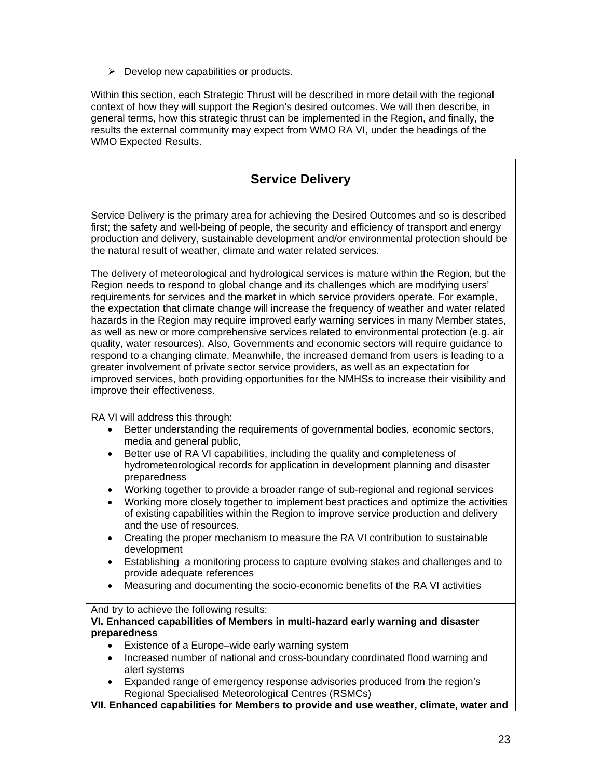$\triangleright$  Develop new capabilities or products.

Within this section, each Strategic Thrust will be described in more detail with the regional context of how they will support the Region's desired outcomes. We will then describe, in general terms, how this strategic thrust can be implemented in the Region, and finally, the results the external community may expect from WMO RA VI, under the headings of the WMO Expected Results.

# **Service Delivery**

Service Delivery is the primary area for achieving the Desired Outcomes and so is described first; the safety and well-being of people, the security and efficiency of transport and energy production and delivery, sustainable development and/or environmental protection should be the natural result of weather, climate and water related services.

The delivery of meteorological and hydrological services is mature within the Region, but the Region needs to respond to global change and its challenges which are modifying users' requirements for services and the market in which service providers operate. For example, the expectation that climate change will increase the frequency of weather and water related hazards in the Region may require improved early warning services in many Member states, as well as new or more comprehensive services related to environmental protection (e.g. air quality, water resources). Also, Governments and economic sectors will require guidance to respond to a changing climate. Meanwhile, the increased demand from users is leading to a greater involvement of private sector service providers, as well as an expectation for improved services, both providing opportunities for the NMHSs to increase their visibility and improve their effectiveness.

RA VI will address this through:

- Better understanding the requirements of governmental bodies, economic sectors, media and general public,
- Better use of RA VI capabilities, including the quality and completeness of hydrometeorological records for application in development planning and disaster preparedness
- Working together to provide a broader range of sub-regional and regional services
- Working more closely together to implement best practices and optimize the activities of existing capabilities within the Region to improve service production and delivery and the use of resources.
- Creating the proper mechanism to measure the RA VI contribution to sustainable development
- Establishing a monitoring process to capture evolving stakes and challenges and to provide adequate references
- Measuring and documenting the socio-economic benefits of the RA VI activities

And try to achieve the following results:

#### **VI. Enhanced capabilities of Members in multi-hazard early warning and disaster preparedness**

- Existence of a Europe–wide early warning system
- Increased number of national and cross-boundary coordinated flood warning and alert systems
- Expanded range of emergency response advisories produced from the region's Regional Specialised Meteorological Centres (RSMCs)

**VII. Enhanced capabilities for Members to provide and use weather, climate, water and**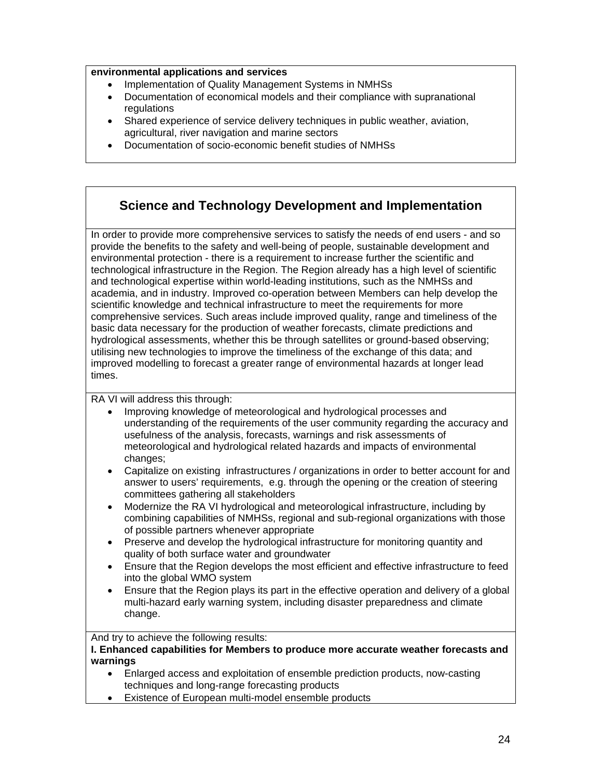### **environmental applications and services**

- Implementation of Quality Management Systems in NMHSs
- Documentation of economical models and their compliance with supranational regulations
- Shared experience of service delivery techniques in public weather, aviation, agricultural, river navigation and marine sectors
- Documentation of socio-economic benefit studies of NMHSs

# **Science and Technology Development and Implementation**

In order to provide more comprehensive services to satisfy the needs of end users - and so provide the benefits to the safety and well-being of people, sustainable development and environmental protection - there is a requirement to increase further the scientific and technological infrastructure in the Region. The Region already has a high level of scientific and technological expertise within world-leading institutions, such as the NMHSs and academia, and in industry. Improved co-operation between Members can help develop the scientific knowledge and technical infrastructure to meet the requirements for more comprehensive services. Such areas include improved quality, range and timeliness of the basic data necessary for the production of weather forecasts, climate predictions and hydrological assessments, whether this be through satellites or ground-based observing; utilising new technologies to improve the timeliness of the exchange of this data; and improved modelling to forecast a greater range of environmental hazards at longer lead times.

RA VI will address this through:

- Improving knowledge of meteorological and hydrological processes and understanding of the requirements of the user community regarding the accuracy and usefulness of the analysis, forecasts, warnings and risk assessments of meteorological and hydrological related hazards and impacts of environmental changes;
- Capitalize on existing infrastructures / organizations in order to better account for and answer to users' requirements, e.g. through the opening or the creation of steering committees gathering all stakeholders
- Modernize the RA VI hydrological and meteorological infrastructure, including by combining capabilities of NMHSs, regional and sub-regional organizations with those of possible partners whenever appropriate
- Preserve and develop the hydrological infrastructure for monitoring quantity and quality of both surface water and groundwater
- Ensure that the Region develops the most efficient and effective infrastructure to feed into the global WMO system
- Ensure that the Region plays its part in the effective operation and delivery of a global multi-hazard early warning system, including disaster preparedness and climate change.

And try to achieve the following results:

**I. Enhanced capabilities for Members to produce more accurate weather forecasts and warnings** 

- Enlarged access and exploitation of ensemble prediction products, now-casting techniques and long-range forecasting products
- Existence of European multi-model ensemble products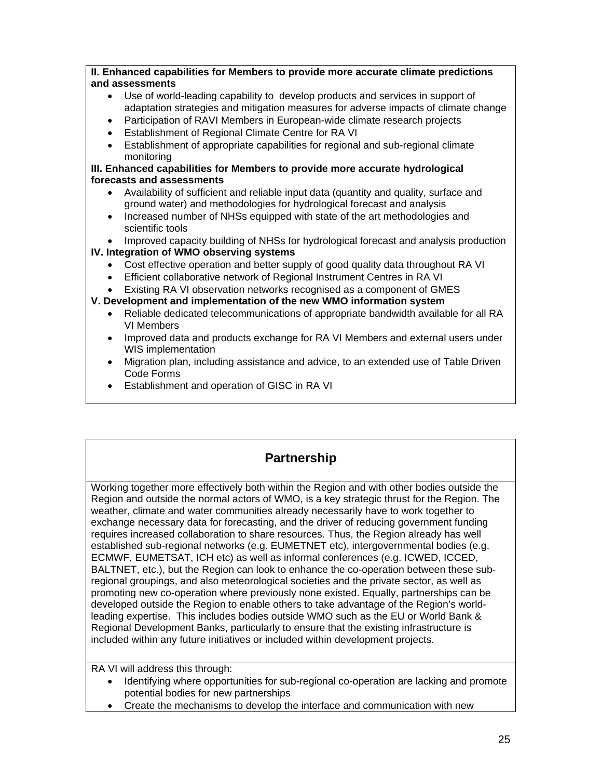### **II. Enhanced capabilities for Members to provide more accurate climate predictions and assessments**

- Use of world-leading capability to develop products and services in support of adaptation strategies and mitigation measures for adverse impacts of climate change
- Participation of RAVI Members in European-wide climate research projects
- Establishment of Regional Climate Centre for RA VI
- Establishment of appropriate capabilities for regional and sub-regional climate monitoring

### **III. Enhanced capabilities for Members to provide more accurate hydrological forecasts and assessments**

- Availability of sufficient and reliable input data (quantity and quality, surface and ground water) and methodologies for hydrological forecast and analysis
- Increased number of NHSs equipped with state of the art methodologies and scientific tools
- Improved capacity building of NHSs for hydrological forecast and analysis production

# **IV. Integration of WMO observing systems**

- Cost effective operation and better supply of good quality data throughout RA VI
- Efficient collaborative network of Regional Instrument Centres in RA VI

• Existing RA VI observation networks recognised as a component of GMES

# **V. Development and implementation of the new WMO information system**

- Reliable dedicated telecommunications of appropriate bandwidth available for all RA VI Members
- Improved data and products exchange for RA VI Members and external users under WIS implementation
- Migration plan, including assistance and advice, to an extended use of Table Driven Code Forms
- Establishment and operation of GISC in RA VI

# **Partnership**

Working together more effectively both within the Region and with other bodies outside the Region and outside the normal actors of WMO, is a key strategic thrust for the Region. The weather, climate and water communities already necessarily have to work together to exchange necessary data for forecasting, and the driver of reducing government funding requires increased collaboration to share resources. Thus, the Region already has well established sub-regional networks (e.g. EUMETNET etc), intergovernmental bodies (e.g. ECMWF, EUMETSAT, ICH etc) as well as informal conferences (e.g. ICWED, ICCED, BALTNET, etc.), but the Region can look to enhance the co-operation between these subregional groupings, and also meteorological societies and the private sector, as well as promoting new co-operation where previously none existed. Equally, partnerships can be developed outside the Region to enable others to take advantage of the Region's worldleading expertise. This includes bodies outside WMO such as the EU or World Bank & Regional Development Banks, particularly to ensure that the existing infrastructure is included within any future initiatives or included within development projects.

RA VI will address this through:

- Identifying where opportunities for sub-regional co-operation are lacking and promote potential bodies for new partnerships
- Create the mechanisms to develop the interface and communication with new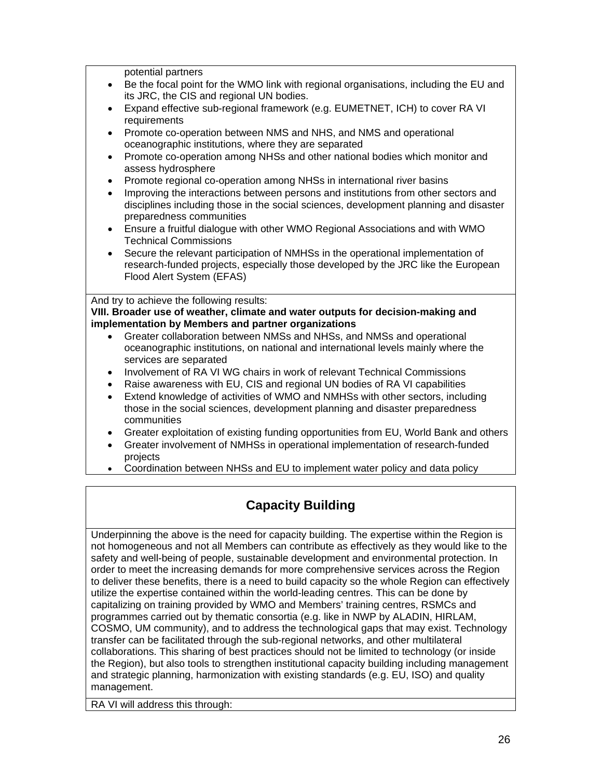potential partners

- Be the focal point for the WMO link with regional organisations, including the EU and its JRC, the CIS and regional UN bodies.
- Expand effective sub-regional framework (e.g. EUMETNET, ICH) to cover RA VI requirements
- Promote co-operation between NMS and NHS, and NMS and operational oceanographic institutions, where they are separated
- Promote co-operation among NHSs and other national bodies which monitor and assess hydrosphere
- Promote regional co-operation among NHSs in international river basins
- Improving the interactions between persons and institutions from other sectors and disciplines including those in the social sciences, development planning and disaster preparedness communities
- Ensure a fruitful dialogue with other WMO Regional Associations and with WMO Technical Commissions
- Secure the relevant participation of NMHSs in the operational implementation of research-funded projects, especially those developed by the JRC like the European Flood Alert System (EFAS)

And try to achieve the following results:

#### **VIII. Broader use of weather, climate and water outputs for decision-making and implementation by Members and partner organizations**

- Greater collaboration between NMSs and NHSs, and NMSs and operational oceanographic institutions, on national and international levels mainly where the services are separated
- Involvement of RA VI WG chairs in work of relevant Technical Commissions
- Raise awareness with EU, CIS and regional UN bodies of RA VI capabilities
- Extend knowledge of activities of WMO and NMHSs with other sectors, including those in the social sciences, development planning and disaster preparedness communities
- Greater exploitation of existing funding opportunities from EU, World Bank and others
- Greater involvement of NMHSs in operational implementation of research-funded projects
- Coordination between NHSs and EU to implement water policy and data policy

# **Capacity Building**

Underpinning the above is the need for capacity building. The expertise within the Region is not homogeneous and not all Members can contribute as effectively as they would like to the safety and well-being of people, sustainable development and environmental protection. In order to meet the increasing demands for more comprehensive services across the Region to deliver these benefits, there is a need to build capacity so the whole Region can effectively utilize the expertise contained within the world-leading centres. This can be done by capitalizing on training provided by WMO and Members' training centres, RSMCs and programmes carried out by thematic consortia (e.g. like in NWP by ALADIN, HIRLAM, COSMO, UM community), and to address the technological gaps that may exist. Technology transfer can be facilitated through the sub-regional networks, and other multilateral collaborations. This sharing of best practices should not be limited to technology (or inside the Region), but also tools to strengthen institutional capacity building including management and strategic planning, harmonization with existing standards (e.g. EU, ISO) and quality management.

RA VI will address this through: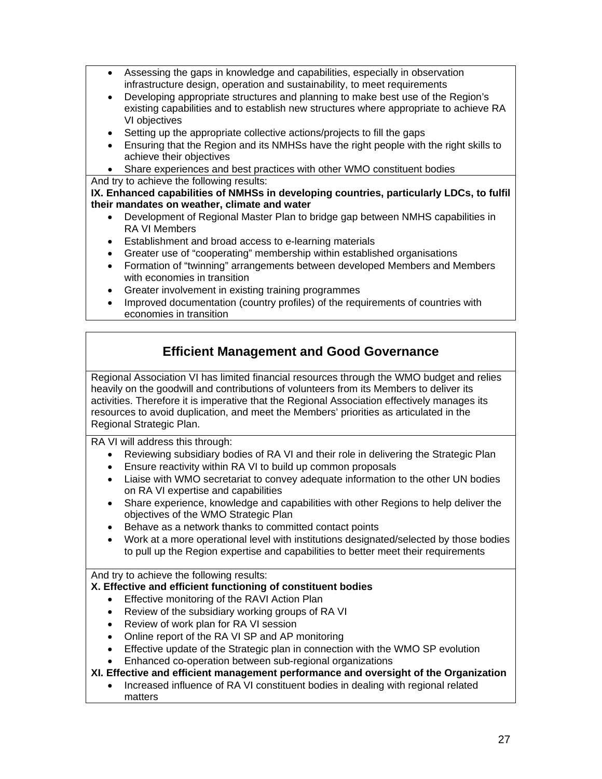- Assessing the gaps in knowledge and capabilities, especially in observation infrastructure design, operation and sustainability, to meet requirements
- Developing appropriate structures and planning to make best use of the Region's existing capabilities and to establish new structures where appropriate to achieve RA VI objectives
- Setting up the appropriate collective actions/projects to fill the gaps
- Ensuring that the Region and its NMHSs have the right people with the right skills to achieve their objectives
- Share experiences and best practices with other WMO constituent bodies

# And try to achieve the following results:

**IX. Enhanced capabilities of NMHSs in developing countries, particularly LDCs, to fulfil their mandates on weather, climate and water** 

- Development of Regional Master Plan to bridge gap between NMHS capabilities in RA VI Members
- Establishment and broad access to e-learning materials
- Greater use of "cooperating" membership within established organisations
- Formation of "twinning" arrangements between developed Members and Members with economies in transition
- Greater involvement in existing training programmes
- Improved documentation (country profiles) of the requirements of countries with economies in transition

# **Efficient Management and Good Governance**

Regional Association VI has limited financial resources through the WMO budget and relies heavily on the goodwill and contributions of volunteers from its Members to deliver its activities. Therefore it is imperative that the Regional Association effectively manages its resources to avoid duplication, and meet the Members' priorities as articulated in the Regional Strategic Plan.

RA VI will address this through:

- Reviewing subsidiary bodies of RA VI and their role in delivering the Strategic Plan
- Ensure reactivity within RA VI to build up common proposals
- Liaise with WMO secretariat to convey adequate information to the other UN bodies on RA VI expertise and capabilities
- Share experience, knowledge and capabilities with other Regions to help deliver the objectives of the WMO Strategic Plan
- Behave as a network thanks to committed contact points
- Work at a more operational level with institutions designated/selected by those bodies to pull up the Region expertise and capabilities to better meet their requirements

And try to achieve the following results:

### **X. Effective and efficient functioning of constituent bodies**

- Effective monitoring of the RAVI Action Plan
- Review of the subsidiary working groups of RA VI
- Review of work plan for RA VI session
- Online report of the RA VI SP and AP monitoring
- Effective update of the Strategic plan in connection with the WMO SP evolution
- Enhanced co-operation between sub-regional organizations

### **XI. Effective and efficient management performance and oversight of the Organization**

• Increased influence of RA VI constituent bodies in dealing with regional related matters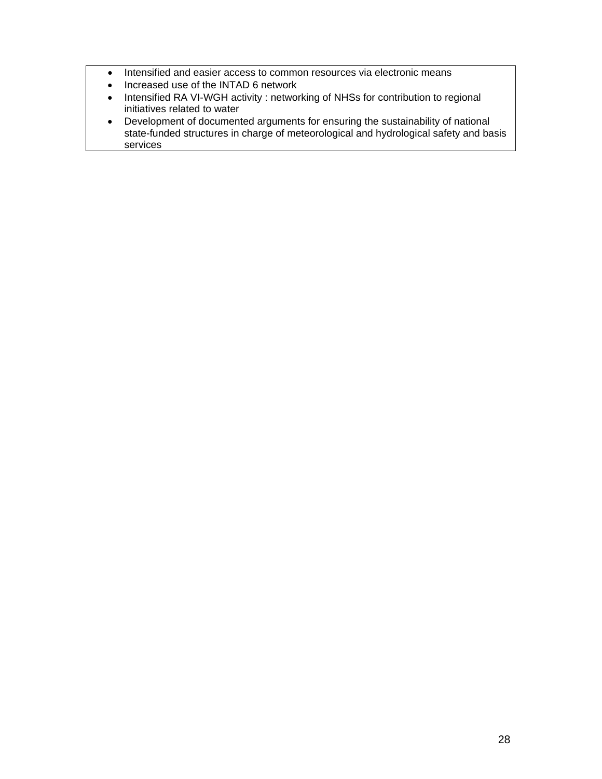- Intensified and easier access to common resources via electronic means
- Increased use of the INTAD 6 network
- Intensified RA VI-WGH activity : networking of NHSs for contribution to regional initiatives related to water
- Development of documented arguments for ensuring the sustainability of national state-funded structures in charge of meteorological and hydrological safety and basis services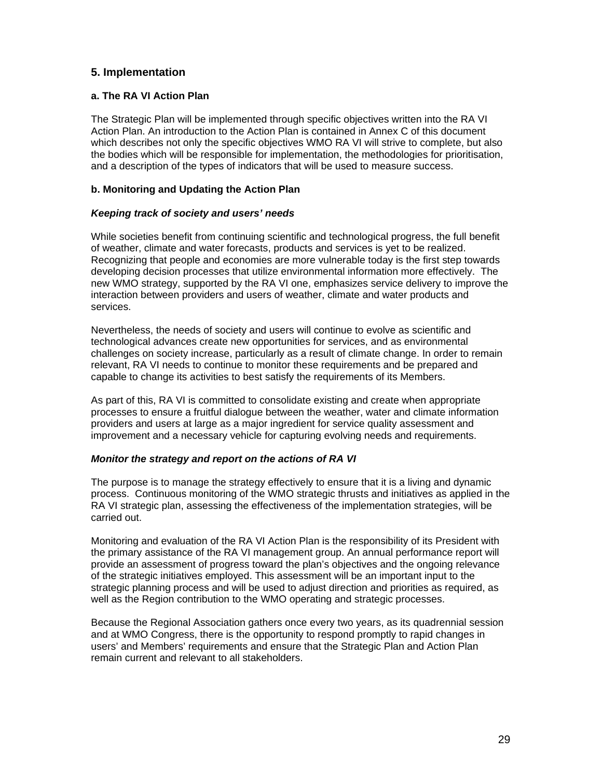# **5. Implementation**

#### **a. The RA VI Action Plan**

The Strategic Plan will be implemented through specific objectives written into the RA VI Action Plan. An introduction to the Action Plan is contained in Annex C of this document which describes not only the specific objectives WMO RA VI will strive to complete, but also the bodies which will be responsible for implementation, the methodologies for prioritisation, and a description of the types of indicators that will be used to measure success.

### **b. Monitoring and Updating the Action Plan**

### *Keeping track of society and users' needs*

While societies benefit from continuing scientific and technological progress, the full benefit of weather, climate and water forecasts, products and services is yet to be realized. Recognizing that people and economies are more vulnerable today is the first step towards developing decision processes that utilize environmental information more effectively. The new WMO strategy, supported by the RA VI one, emphasizes service delivery to improve the interaction between providers and users of weather, climate and water products and services.

Nevertheless, the needs of society and users will continue to evolve as scientific and technological advances create new opportunities for services, and as environmental challenges on society increase, particularly as a result of climate change. In order to remain relevant, RA VI needs to continue to monitor these requirements and be prepared and capable to change its activities to best satisfy the requirements of its Members.

As part of this, RA VI is committed to consolidate existing and create when appropriate processes to ensure a fruitful dialogue between the weather, water and climate information providers and users at large as a major ingredient for service quality assessment and improvement and a necessary vehicle for capturing evolving needs and requirements.

### *Monitor the strategy and report on the actions of RA VI*

The purpose is to manage the strategy effectively to ensure that it is a living and dynamic process. Continuous monitoring of the WMO strategic thrusts and initiatives as applied in the RA VI strategic plan, assessing the effectiveness of the implementation strategies, will be carried out.

Monitoring and evaluation of the RA VI Action Plan is the responsibility of its President with the primary assistance of the RA VI management group. An annual performance report will provide an assessment of progress toward the plan's objectives and the ongoing relevance of the strategic initiatives employed. This assessment will be an important input to the strategic planning process and will be used to adjust direction and priorities as required, as well as the Region contribution to the WMO operating and strategic processes.

Because the Regional Association gathers once every two years, as its quadrennial session and at WMO Congress, there is the opportunity to respond promptly to rapid changes in users' and Members' requirements and ensure that the Strategic Plan and Action Plan remain current and relevant to all stakeholders.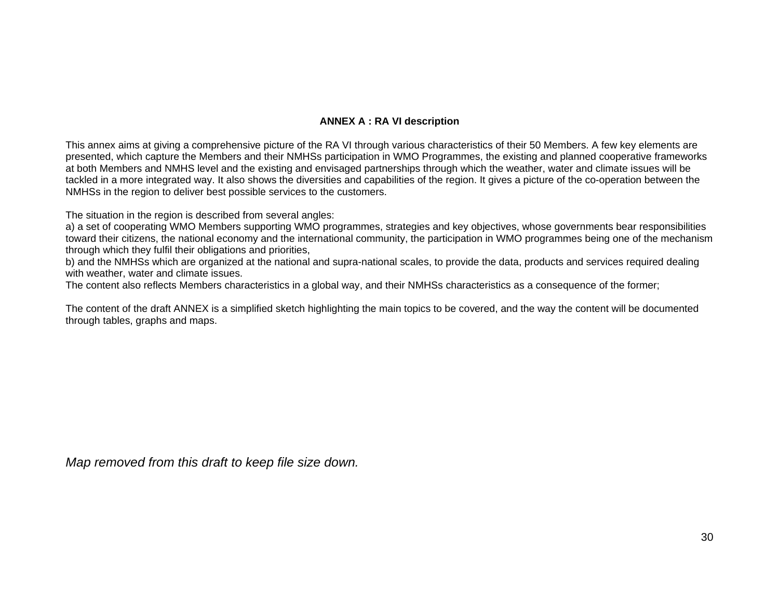# **ANNEX A : RA VI description**

This annex aims at giving a comprehensive picture of the RA VI through various characteristics of their 50 Members. A few key elements are presented, which capture the Members and their NMHSs participation in WMO Programmes, the existing and planned cooperative frameworks at both Members and NMHS level and the existing and envisaged partnerships through which the weather, water and climate issues will be tackled in a more integrated way. It also shows the diversities and capabilities of the region. It gives a picture of the co-operation between the NMHSs in the region to deliver best possible services to the customers.

The situation in the region is described from several angles:

a) a set of cooperating WMO Members supporting WMO programmes, strategies and key objectives, whose governments bear responsibilities toward their citizens, the national economy and the international community, the participation in WMO programmes being one of the mechanism through which they fulfil their obligations and priorities,

b) and the NMHSs which are organized at the national and supra-national scales, to provide the data, products and services required dealing with weather, water and climate issues.

The content also reflects Members characteristics in a global way, and their NMHSs characteristics as a consequence of the former;

The content of the draft ANNEX is a simplified sketch highlighting the main topics to be covered, and the way the content will be documented through tables, graphs and maps.

*Map removed from this draft to keep file size down.*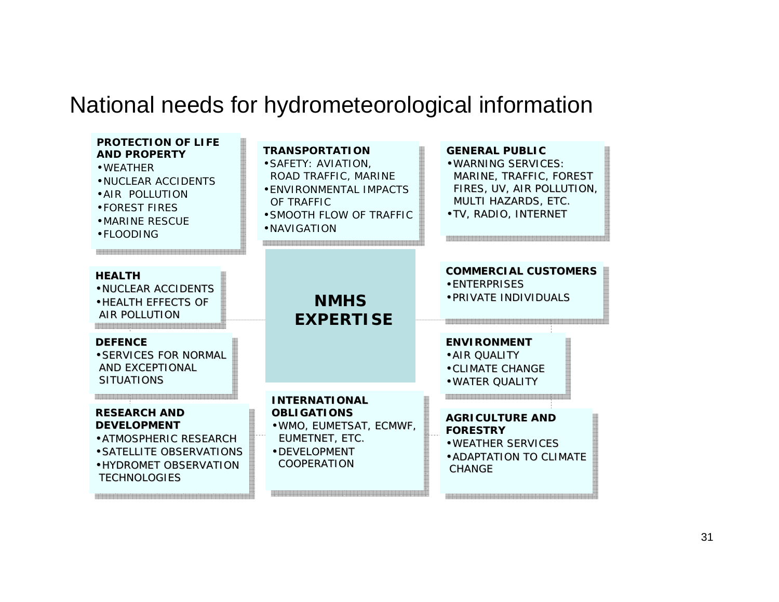# National needs for hydrometeorological information

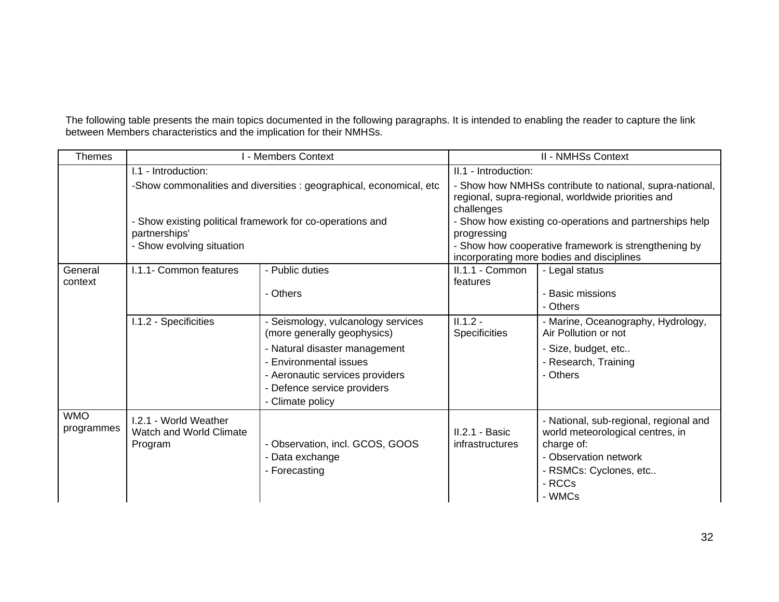The following table presents the main topics documented in the following paragraphs. It is intended to enabling the reader to capture the link between Members characteristics and the implication for their NMHSs.

| Themes                   | I - Members Context                                                                        |                                                                                                                           |                                                                                                                              | <b>II - NMHSs Context</b>                                                         |
|--------------------------|--------------------------------------------------------------------------------------------|---------------------------------------------------------------------------------------------------------------------------|------------------------------------------------------------------------------------------------------------------------------|-----------------------------------------------------------------------------------|
|                          | I.1 - Introduction:<br>-Show commonalities and diversities : geographical, economical, etc |                                                                                                                           | II.1 - Introduction:                                                                                                         |                                                                                   |
|                          |                                                                                            |                                                                                                                           | - Show how NMHSs contribute to national, supra-national,<br>regional, supra-regional, worldwide priorities and<br>challenges |                                                                                   |
|                          | partnerships'                                                                              | - Show existing political framework for co-operations and                                                                 | progressing                                                                                                                  | - Show how existing co-operations and partnerships help                           |
|                          | - Show evolving situation                                                                  |                                                                                                                           | - Show how cooperative framework is strengthening by<br>incorporating more bodies and disciplines                            |                                                                                   |
| General<br>context       | I.1.1- Common features                                                                     | - Public duties                                                                                                           | II.1.1 - Common<br>features                                                                                                  | - Legal status                                                                    |
|                          |                                                                                            | - Others                                                                                                                  |                                                                                                                              | <b>Basic missions</b><br>- Others                                                 |
|                          | I.1.2 - Specificities                                                                      | - Seismology, vulcanology services<br>(more generally geophysics)                                                         | $II.1.2 -$<br><b>Specificities</b>                                                                                           | - Marine, Oceanography, Hydrology,<br>Air Pollution or not                        |
|                          |                                                                                            | - Natural disaster management<br>- Environmental issues<br>- Aeronautic services providers<br>- Defence service providers |                                                                                                                              | - Size, budget, etc<br>- Research, Training<br>- Others                           |
| <b>WMO</b><br>programmes | I.2.1 - World Weather<br><b>Watch and World Climate</b>                                    | - Climate policy                                                                                                          | II.2.1 - Basic                                                                                                               | - National, sub-regional, regional and<br>world meteorological centres, in        |
|                          | Program                                                                                    | - Observation, incl. GCOS, GOOS<br>- Data exchange<br>- Forecasting                                                       | infrastructures                                                                                                              | charge of:<br>- Observation network<br>- RSMCs: Cyclones, etc<br>- RCCs<br>- WMCs |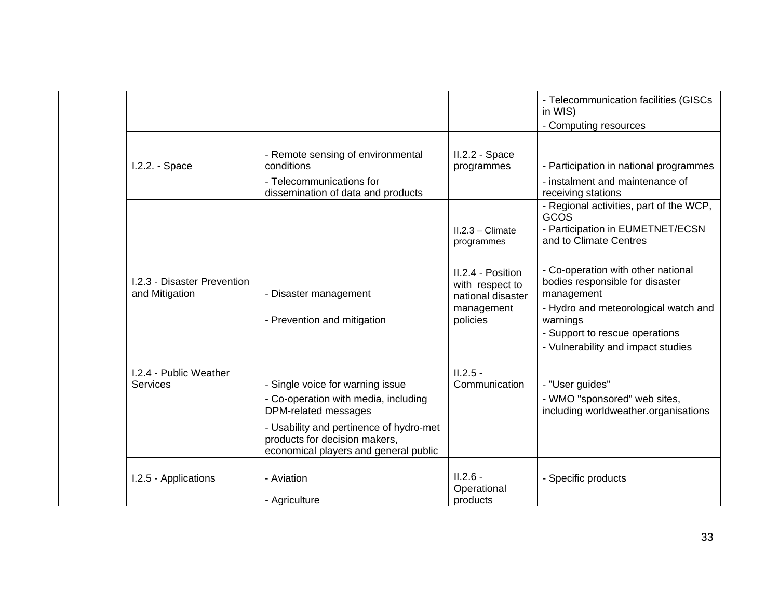|                                                      |                                                                                                                                                                                                                       |                                                                                     | - Telecommunication facilities (GISCs<br>in WIS)<br>- Computing resources                                                                                                                                       |
|------------------------------------------------------|-----------------------------------------------------------------------------------------------------------------------------------------------------------------------------------------------------------------------|-------------------------------------------------------------------------------------|-----------------------------------------------------------------------------------------------------------------------------------------------------------------------------------------------------------------|
| 1.2.2. - Space                                       | - Remote sensing of environmental<br>conditions<br>- Telecommunications for<br>dissemination of data and products                                                                                                     | II.2.2 - Space<br>programmes                                                        | - Participation in national programmes<br>- instalment and maintenance of<br>receiving stations                                                                                                                 |
|                                                      |                                                                                                                                                                                                                       | $II.2.3 - Climate$<br>programmes                                                    | - Regional activities, part of the WCP,<br>GCOS<br>- Participation in EUMETNET/ECSN<br>and to Climate Centres                                                                                                   |
| <b>I.2.3 - Disaster Prevention</b><br>and Mitigation | - Disaster management<br>- Prevention and mitigation                                                                                                                                                                  | II.2.4 - Position<br>with respect to<br>national disaster<br>management<br>policies | - Co-operation with other national<br>bodies responsible for disaster<br>management<br>- Hydro and meteorological watch and<br>warnings<br>- Support to rescue operations<br>- Vulnerability and impact studies |
| I.2.4 - Public Weather<br>Services                   | - Single voice for warning issue<br>- Co-operation with media, including<br>DPM-related messages<br>- Usability and pertinence of hydro-met<br>products for decision makers,<br>economical players and general public | $II.2.5 -$<br>Communication                                                         | - "User guides"<br>- WMO "sponsored" web sites,<br>including worldweather.organisations                                                                                                                         |
| I.2.5 - Applications                                 | - Aviation<br>- Agriculture                                                                                                                                                                                           | $II.2.6 -$<br>Operational<br>products                                               | - Specific products                                                                                                                                                                                             |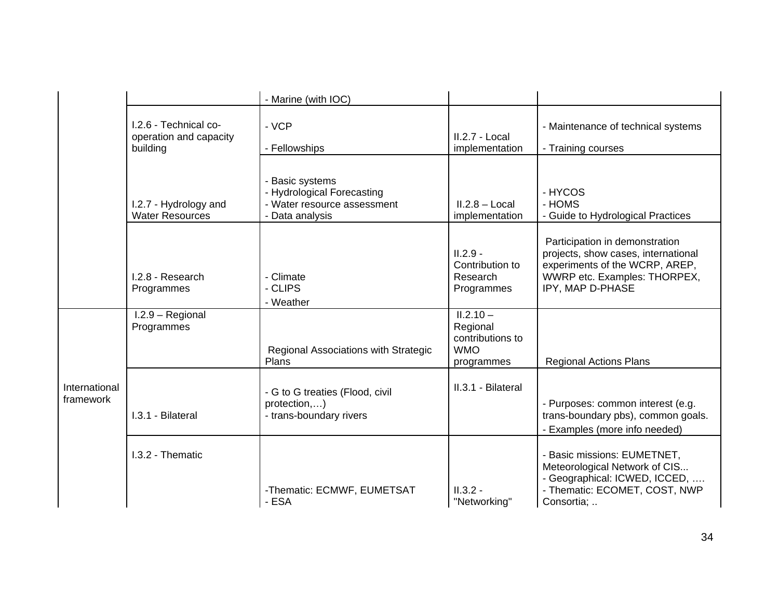|                            |                                                             | - Marine (with IOC)                                                                             |                                                                         |                                                                                                                                                             |
|----------------------------|-------------------------------------------------------------|-------------------------------------------------------------------------------------------------|-------------------------------------------------------------------------|-------------------------------------------------------------------------------------------------------------------------------------------------------------|
|                            | I.2.6 - Technical co-<br>operation and capacity<br>building | - VCP<br>- Fellowships                                                                          | II.2.7 - Local<br>implementation                                        | - Maintenance of technical systems<br>- Training courses                                                                                                    |
|                            | I.2.7 - Hydrology and<br><b>Water Resources</b>             | - Basic systems<br>- Hydrological Forecasting<br>- Water resource assessment<br>- Data analysis | $II.2.8 - Local$<br>implementation                                      | - HYCOS<br>- HOMS<br>- Guide to Hydrological Practices                                                                                                      |
|                            | I.2.8 - Research<br>Programmes                              | - Climate<br>- CLIPS<br>- Weather                                                               | $II.2.9 -$<br>Contribution to<br>Research<br>Programmes                 | Participation in demonstration<br>projects, show cases, international<br>experiments of the WCRP, AREP,<br>WWRP etc. Examples: THORPEX,<br>IPY, MAP D-PHASE |
|                            | $1.2.9 - Regional$<br>Programmes                            | Regional Associations with Strategic<br>Plans                                                   | $II.2.10 -$<br>Regional<br>contributions to<br><b>WMO</b><br>programmes | <b>Regional Actions Plans</b>                                                                                                                               |
| International<br>framework | I.3.1 - Bilateral                                           | - G to G treaties (Flood, civil<br>protection,)<br>- trans-boundary rivers                      | II.3.1 - Bilateral                                                      | - Purposes: common interest (e.g.<br>trans-boundary pbs), common goals.<br>- Examples (more info needed)                                                    |
|                            | I.3.2 - Thematic                                            | -Thematic: ECMWF, EUMETSAT<br>- ESA                                                             | $II.3.2 -$<br>"Networking"                                              | - Basic missions: EUMETNET,<br>Meteorological Network of CIS<br>- Geographical: ICWED, ICCED,<br>- Thematic: ECOMET, COST, NWP<br>Consortia;                |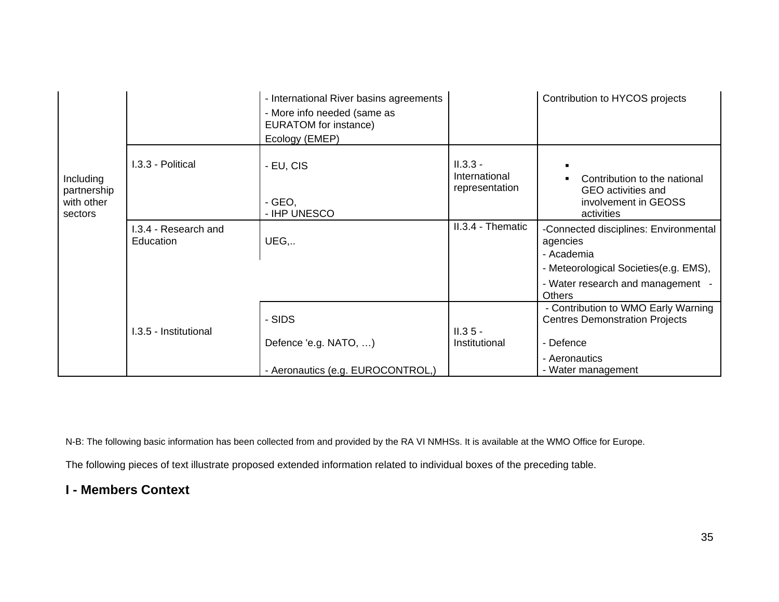|                                                   |                                   | - International River basins agreements<br>- More info needed (same as<br>EURATOM for instance)<br>Ecology (EMEP) |                                               | Contribution to HYCOS projects                                                                                                                                 |
|---------------------------------------------------|-----------------------------------|-------------------------------------------------------------------------------------------------------------------|-----------------------------------------------|----------------------------------------------------------------------------------------------------------------------------------------------------------------|
| Including<br>partnership<br>with other<br>sectors | 1.3.3 - Political                 | - EU, CIS<br>$-$ GEO,<br>- IHP UNESCO                                                                             | $II.3.3 -$<br>International<br>representation | Contribution to the national<br>GEO activities and<br>involvement in GEOSS<br>activities                                                                       |
|                                                   | I.3.4 - Research and<br>Education | UEG,                                                                                                              | II.3.4 - Thematic                             | -Connected disciplines: Environmental<br>agencies<br>- Academia<br>- Meteorological Societies(e.g. EMS),<br>- Water research and management -<br><b>Others</b> |
|                                                   | I.3.5 - Institutional             | - SIDS<br>Defence 'e.g. NATO, )<br>- Aeronautics (e.g. EUROCONTROL,)                                              | $II.35 -$<br>Institutional                    | - Contribution to WMO Early Warning<br><b>Centres Demonstration Projects</b><br>- Defence<br>- Aeronautics<br>- Water management                               |

N-B: The following basic information has been collected from and provided by the RA VI NMHSs. It is available at the WMO Office for Europe.

The following pieces of text illustrate proposed extended information related to individual boxes of the preceding table.

# **I - Members Context**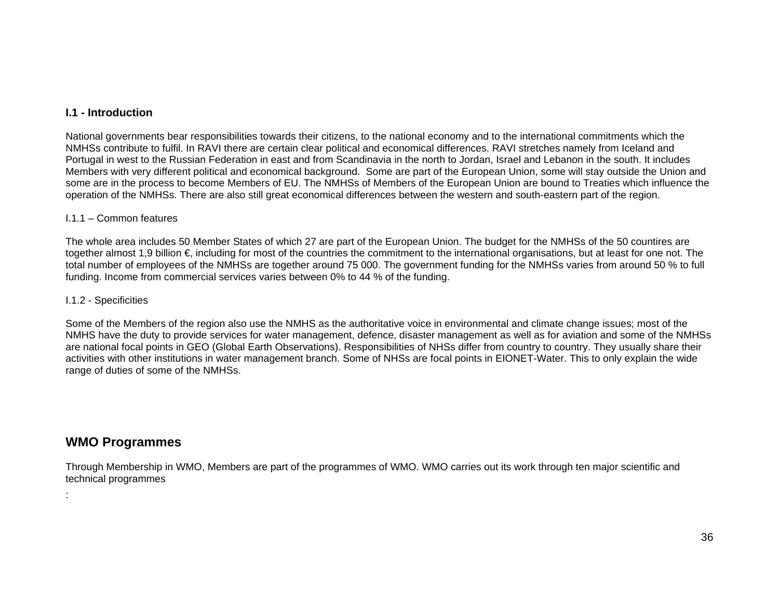# **I.1 - Introduction**

National governments bear responsibilities towards their citizens, to the national economy and to the international commitments which the NMHSs contribute to fulfil. In RAVI there are certain clear political and economical differences. RAVI stretches namely from Iceland and Portugal in west to the Russian Federation in east and from Scandinavia in the north to Jordan, Israel and Lebanon in the south. It includes Members with very different political and economical background. Some are part of the European Union, some will stay outside the Union and some are in the process to become Members of EU. The NMHSs of Members of the European Union are bound to Treaties which influence the operation of the NMHSs. There are also still great economical differences between the western and south-eastern part of the region.

#### I.1.1 – Common features

The whole area includes 50 Member States of which 27 are part of the European Union. The budget for the NMHSs of the 50 countires are together almost 1,9 billion €, including for most of the countries the commitment to the international organisations, but at least for one not. The total number of employees of the NMHSs are together around 75 000. The government funding for the NMHSs varies from around 50 % to full funding. Income from commercial services varies between 0% to 44 % of the funding.

#### I.1.2 - Specificities

Some of the Members of the region also use the NMHS as the authoritative voice in environmental and climate change issues; most of the NMHS have the duty to provide services for water management, defence, disaster management as well as for aviation and some of the NMHSs are national focal points in GEO (Global Earth Observations). Responsibilities of NHSs differ from country to country. They usually share their activities with other institutions in water management branch. Some of NHSs are focal points in EIONET-Water. This to only explain the wide range of duties of some of the NMHSs.

# **WMO Programmes**

:

Through Membership in WMO, Members are part of the programmes of WMO. WMO carries out its work through ten major scientific and technical programmes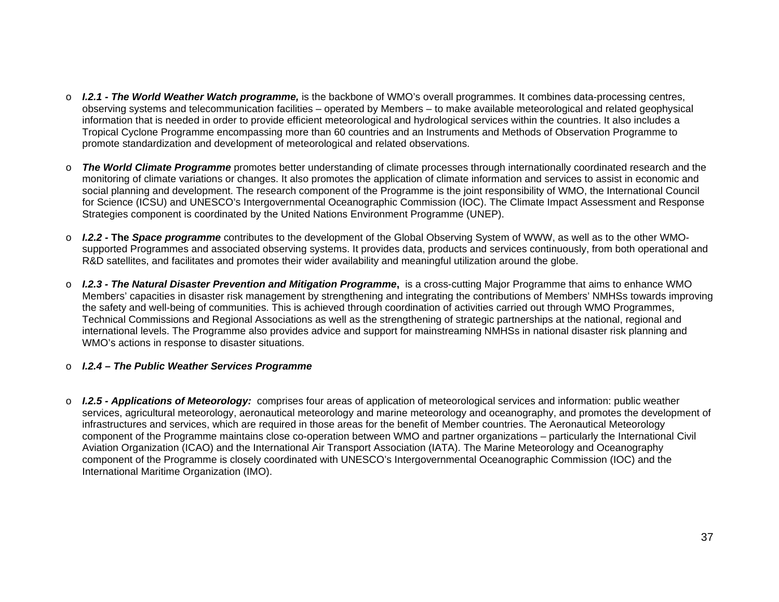- o *I.2.1 The World Weather Watch programme,* is the backbone of WMO's overall programmes. It combines data-processing centres, observing systems and telecommunication facilities – operated by Members – to make available meteorological and related geophysical information that is needed in order to provide efficient meteorological and hydrological services within the countries. It also includes a Tropical Cyclone Programme encompassing more than 60 countries and an Instruments and Methods of Observation Programme to promote standardization and development of meteorological and related observations.
- o *The World Climate Programme* promotes better understanding of climate processes through internationally coordinated research and the monitoring of climate variations or changes. It also promotes the application of climate information and services to assist in economic and social planning and development. The research component of the Programme is the joint responsibility of WMO, the International Council for Science (ICSU) and UNESCO's Intergovernmental Oceanographic Commission (IOC). The Climate Impact Assessment and Response Strategies component is coordinated by the United Nations Environment Programme (UNEP).
- o *I.2.2* **The** *Space programme* contributes to the development of the Global Observing System of WWW, as well as to the other WMOsupported Programmes and associated observing systems. It provides data, products and services continuously, from both operational and R&D satellites, and facilitates and promotes their wider availability and meaningful utilization around the globe.
- o *I.2.3 The Natural Disaster Prevention and Mitigation Programme***,** is a cross-cutting Major Programme that aims to enhance WMO Members' capacities in disaster risk management by strengthening and integrating the contributions of Members' NMHSs towards improving the safety and well-being of communities. This is achieved through coordination of activities carried out through WMO Programmes, Technical Commissions and Regional Associations as well as the strengthening of strategic partnerships at the national, regional and international levels. The Programme also provides advice and support for mainstreaming NMHSs in national disaster risk planning and WMO's actions in response to disaster situations.

#### o *I.2.4 – The Public Weather Services Programme*

o *I.2.5 - Applications of Meteorology:* comprises four areas of application of meteorological services and information: public weather services, agricultural meteorology, aeronautical meteorology and marine meteorology and oceanography, and promotes the development of infrastructures and services, which are required in those areas for the benefit of Member countries. The Aeronautical Meteorology component of the Programme maintains close co-operation between WMO and partner organizations – particularly the International Civil Aviation Organization (ICAO) and the International Air Transport Association (IATA). The Marine Meteorology and Oceanography component of the Programme is closely coordinated with UNESCO's Intergovernmental Oceanographic Commission (IOC) and the International Maritime Organization (IMO).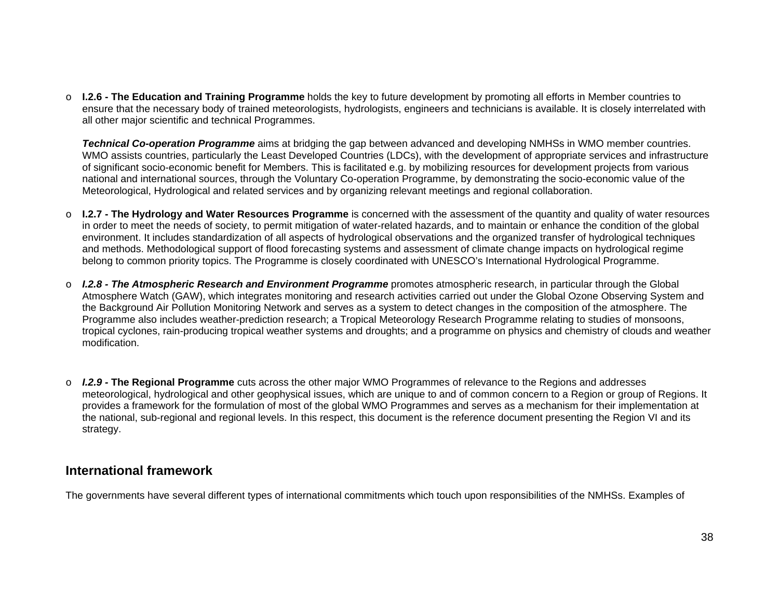o **I.2.6 - The Education and Training Programme** holds the key to future development by promoting all efforts in Member countries to ensure that the necessary body of trained meteorologists, hydrologists, engineers and technicians is available. It is closely interrelated with all other major scientific and technical Programmes.

*Technical Co-operation Programme* aims at bridging the gap between advanced and developing NMHSs in WMO member countries. WMO assists countries, particularly the Least Developed Countries (LDCs), with the development of appropriate services and infrastructure of significant socio-economic benefit for Members. This is facilitated e.g. by mobilizing resources for development projects from various national and international sources, through the Voluntary Co-operation Programme, by demonstrating the socio-economic value of the Meteorological, Hydrological and related services and by organizing relevant meetings and regional collaboration.

- o **I.2.7 The Hydrology and Water Resources Programme** is concerned with the assessment of the quantity and quality of water resources in order to meet the needs of society, to permit mitigation of water-related hazards, and to maintain or enhance the condition of the global environment. It includes standardization of all aspects of hydrological observations and the organized transfer of hydrological techniques and methods. Methodological support of flood forecasting systems and assessment of climate change impacts on hydrological regime belong to common priority topics. The Programme is closely coordinated with UNESCO's International Hydrological Programme.
- *I.2.8 The Atmospheric Research and Environment Programme* promotes atmospheric research, in particular through the Global Atmosphere Watch (GAW), which integrates monitoring and research activities carried out under the Global Ozone Observing System and the Background Air Pollution Monitoring Network and serves as a system to detect changes in the composition of the atmosphere. The Programme also includes weather-prediction research; a Tropical Meteorology Research Programme relating to studies of monsoons, tropical cyclones, rain-producing tropical weather systems and droughts; and a programme on physics and chemistry of clouds and weather modification.
- o *I.2.9* **The Regional Programme** cuts across the other major WMO Programmes of relevance to the Regions and addresses meteorological, hydrological and other geophysical issues, which are unique to and of common concern to a Region or group of Regions. It provides a framework for the formulation of most of the global WMO Programmes and serves as a mechanism for their implementation at the national, sub-regional and regional levels. In this respect, this document is the reference document presenting the Region VI and its strategy.

# **International framework**

The governments have several different types of international commitments which touch upon responsibilities of the NMHSs. Examples of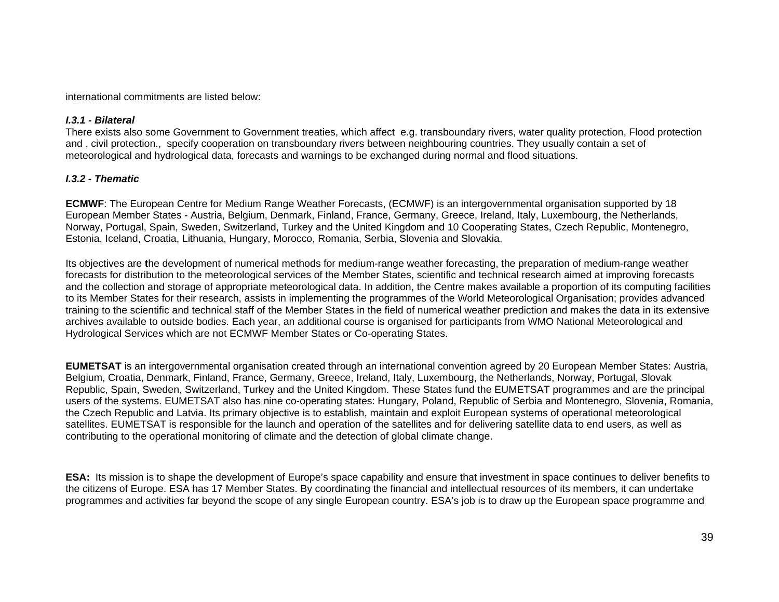international commitments are listed below:

#### *I.3.1 - Bilateral*

There exists also some Government to Government treaties, which affect e.g. transboundary rivers, water quality protection, Flood protection and , civil protection., specify cooperation on transboundary rivers between neighbouring countries. They usually contain a set of meteorological and hydrological data, forecasts and warnings to be exchanged during normal and flood situations.

# *I.3.2 - Thematic*

**ECMWF**: The European Centre for Medium Range Weather Forecasts, (ECMWF) is an intergovernmental organisation supported by 18 European Member States - Austria, Belgium, Denmark, Finland, France, Germany, Greece, Ireland, Italy, Luxembourg, the Netherlands, Norway, Portugal, Spain, Sweden, Switzerland, Turkey and the United Kingdom and 10 Cooperating States, Czech Republic, Montenegro, Estonia, Iceland, Croatia, Lithuania, Hungary, Morocco, Romania, Serbia, Slovenia and Slovakia.

Its objectives are **t**he development of numerical methods for medium-range weather forecasting, the preparation of medium-range weather forecasts for distribution to the meteorological services of the Member States, scientific and technical research aimed at improving forecasts and the collection and storage of appropriate meteorological data. In addition, the Centre makes available a proportion of its computing facilities to its Member States for their research, assists in implementing the programmes of the World Meteorological Organisation; provides advanced training to the scientific and technical staff of the Member States in the field of numerical weather prediction and makes the data in its extensive archives available to outside bodies. Each year, an additional course is organised for participants from WMO National Meteorological and Hydrological Services which are not ECMWF Member States or Co-operating States.

**EUMETSAT** is an intergovernmental organisation created through an international convention agreed by 20 European Member States: Austria, Belgium, Croatia, Denmark, Finland, France, Germany, Greece, Ireland, Italy, Luxembourg, the Netherlands, Norway, Portugal, Slovak Republic, Spain, Sweden, Switzerland, Turkey and the United Kingdom. These States fund the EUMETSAT programmes and are the principal users of the systems. EUMETSAT also has nine co-operating states: Hungary, Poland, Republic of Serbia and Montenegro, Slovenia, Romania, the Czech Republic and Latvia. Its primary objective is to establish, maintain and exploit European systems of operational meteorological satellites. EUMETSAT is responsible for the launch and operation of the satellites and for delivering satellite data to end users, as well as contributing to the operational monitoring of climate and the detection of global climate change.

**ESA:** Its mission is to shape the development of Europe's space capability and ensure that investment in space continues to deliver benefits to the citizens of Europe. ESA has 17 Member States. By coordinating the financial and intellectual resources of its members, it can undertake programmes and activities far beyond the scope of any single European country. ESA's job is to draw up the European space programme and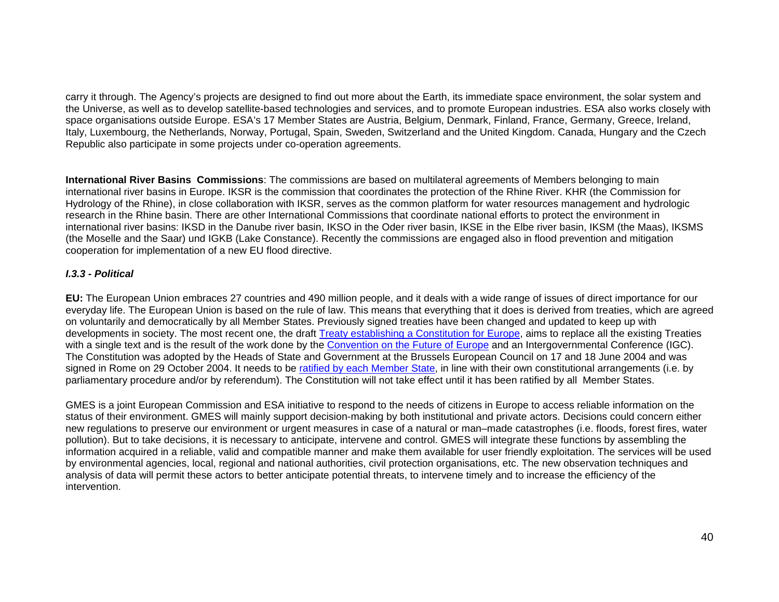carry it through. The Agency's projects are designed to find out more about the Earth, its immediate space environment, the solar system and the Universe, as well as to develop satellite-based technologies and services, and to promote European industries. ESA also works closely with space organisations outside Europe. ESA's 17 Member States are Austria, Belgium, Denmark, Finland, France, Germany, Greece, Ireland, Italy, Luxembourg, the Netherlands, Norway, Portugal, Spain, Sweden, Switzerland and the United Kingdom. Canada, Hungary and the Czech Republic also participate in some projects under co-operation agreements.

**International River Basins Commissions**: The commissions are based on multilateral agreements of Members belonging to main international river basins in Europe. IKSR is the commission that coordinates the protection of the Rhine River. KHR (the Commission for Hydrology of the Rhine), in close collaboration with IKSR, serves as the common platform for water resources management and hydrologic research in the Rhine basin. There are other International Commissions that coordinate national efforts to protect the environment in international river basins: IKSD in the Danube river basin, IKSO in the Oder river basin, IKSE in the Elbe river basin, IKSM (the Maas), IKSMS (the Moselle and the Saar) und IGKB (Lake Constance). Recently the commissions are engaged also in flood prevention and mitigation cooperation for implementation of a new EU flood directive.

### *I.3.3 - Political*

**EU:** The European Union embraces 27 countries and 490 million people, and it deals with a wide range of issues of direct importance for our everyday life. The European Union is based on the rule of law. This means that everything that it does is derived from treaties, which are agreed on voluntarily and democratically by all Member States. Previously signed treaties have been changed and updated to keep up with developments in society. The most recent one, the draft Treaty establishing a Constitution for Europe, aims to replace all the existing Treaties with a single text and is the result of the work done by the Convention on the Future of Europe and an Intergovernmental Conference (IGC). The Constitution was adopted by the Heads of State and Government at the Brussels European Council on 17 and 18 June 2004 and was signed in Rome on 29 October 2004. It needs to be ratified by each Member State, in line with their own constitutional arrangements (i.e. by parliamentary procedure and/or by referendum). The Constitution will not take effect until it has been ratified by all Member States.

GMES is a joint European Commission and ESA initiative to respond to the needs of citizens in Europe to access reliable information on the status of their environment. GMES will mainly support decision-making by both institutional and private actors. Decisions could concern either new regulations to preserve our environment or urgent measures in case of a natural or man–made catastrophes (i.e. floods, forest fires, water pollution). But to take decisions, it is necessary to anticipate, intervene and control. GMES will integrate these functions by assembling the information acquired in a reliable, valid and compatible manner and make them available for user friendly exploitation. The services will be used by environmental agencies, local, regional and national authorities, civil protection organisations, etc. The new observation techniques and analysis of data will permit these actors to better anticipate potential threats, to intervene timely and to increase the efficiency of the intervention.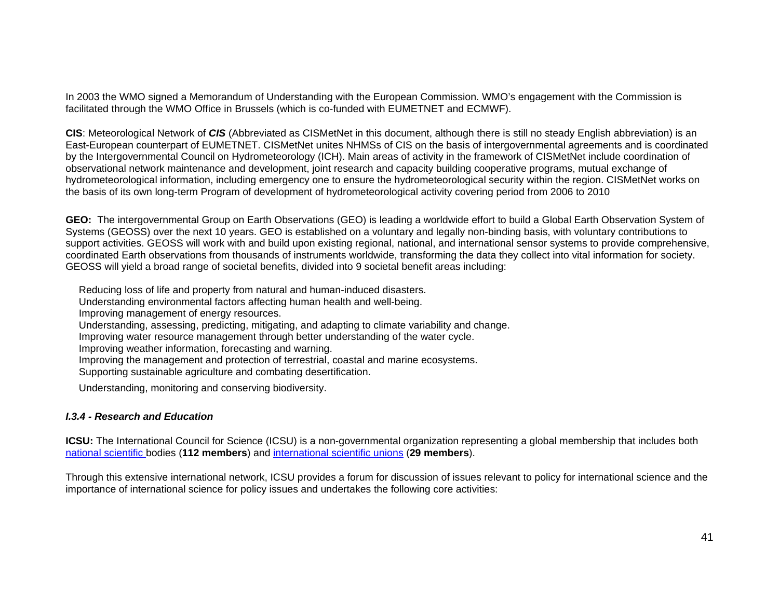In 2003 the WMO signed a Memorandum of Understanding with the European Commission. WMO's engagement with the Commission is facilitated through the WMO Office in Brussels (which is co-funded with EUMETNET and ECMWF).

**CIS**: Meteorological Network of *CIS* (Abbreviated as CISMetNet in this document, although there is still no steady English abbreviation) is an East-European counterpart of EUMETNET. CISMetNet unites NHMSs of CIS on the basis of intergovernmental agreements and is coordinated by the Intergovernmental Council on Hydrometeorology (ICH). Main areas of activity in the framework of CISMetNet include coordination of observational network maintenance and development, joint research and capacity building cooperative programs, mutual exchange of hydrometeorological information, including emergency one to ensure the hydrometeorological security within the region. CISMetNet works on the basis of its own long-term Program of development of hydrometeorological activity covering period from 2006 to 2010

**GEO:** The intergovernmental Group on Earth Observations (GEO) is leading a worldwide effort to build a Global Earth Observation System of Systems (GEOSS) over the next 10 years. GEO is established on a voluntary and legally non-binding basis, with voluntary contributions to support activities. GEOSS will work with and build upon existing regional, national, and international sensor systems to provide comprehensive, coordinated Earth observations from thousands of instruments worldwide, transforming the data they collect into vital information for society. GEOSS will yield a broad range of societal benefits, divided into 9 societal benefit areas including:

Reducing loss of life and property from natural and human-induced disasters.

Understanding environmental factors affecting human health and well-being.

Improving management of energy resources.

Understanding, assessing, predicting, mitigating, and adapting to climate variability and change.

Improving water resource management through better understanding of the water cycle.

Improving weather information, forecasting and warning.

Improving the management and protection of terrestrial, coastal and marine ecosystems.

Supporting sustainable agriculture and combating desertification.

Understanding, monitoring and conserving biodiversity.

## *I.3.4 - Research and Education*

**ICSU:** The International Council for Science (ICSU) is a non-governmental organization representing a global membership that includes both national scientific bodies (**112 members**) and international scientific unions (**29 members**).

Through this extensive international network, ICSU provides a forum for discussion of issues relevant to policy for international science and the importance of international science for policy issues and undertakes the following core activities: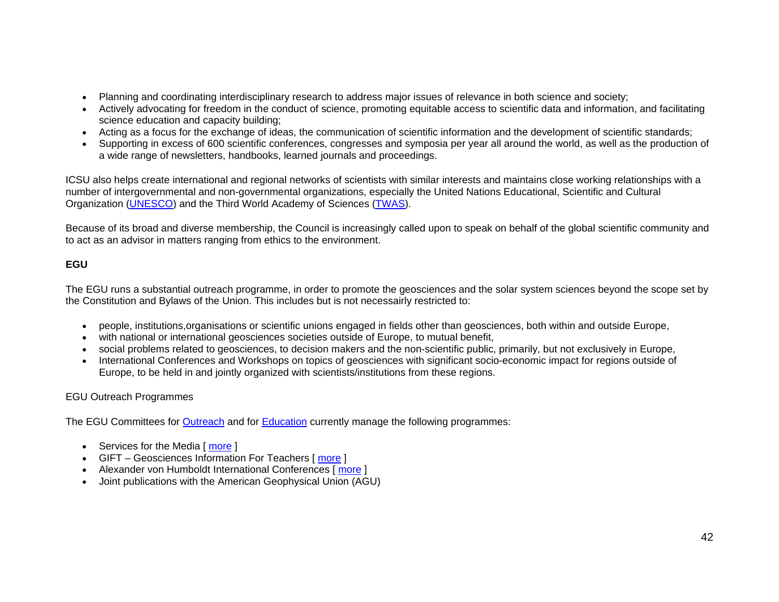- Planning and coordinating interdisciplinary research to address major issues of relevance in both science and society;
- Actively advocating for freedom in the conduct of science, promoting equitable access to scientific data and information, and facilitating science education and capacity building;
- Acting as a focus for the exchange of ideas, the communication of scientific information and the development of scientific standards;
- Supporting in excess of 600 scientific conferences, congresses and symposia per year all around the world, as well as the production of a wide range of newsletters, handbooks, learned journals and proceedings.

ICSU also helps create international and regional networks of scientists with similar interests and maintains close working relationships with a number of intergovernmental and non-governmental organizations, especially the United Nations Educational, Scientific and Cultural Organization (UNESCO) and the Third World Academy of Sciences (TWAS).

Because of its broad and diverse membership, the Council is increasingly called upon to speak on behalf of the global scientific community and to act as an advisor in matters ranging from ethics to the environment.

# **EGU**

The EGU runs a substantial outreach programme, in order to promote the geosciences and the solar system sciences beyond the scope set by the Constitution and Bylaws of the Union. This includes but is not necessairly restricted to:

- people, institutions,organisations or scientific unions engaged in fields other than geosciences, both within and outside Europe,
- with national or international geosciences societies outside of Europe, to mutual benefit,
- social problems related to geosciences, to decision makers and the non-scientific public, primarily, but not exclusively in Europe,
- International Conferences and Workshops on topics of geosciences with significant socio-economic impact for regions outside of Europe, to be held in and jointly organized with scientists/institutions from these regions.

# EGU Outreach Programmes

The EGU Committees for Outreach and for Education currently manage the following programmes:

- Services for the Media [ **more** ]
- GIFT Geosciences Information For Teachers [more ]
- Alexander von Humboldt International Conferences [ more ]
- Joint publications with the American Geophysical Union (AGU)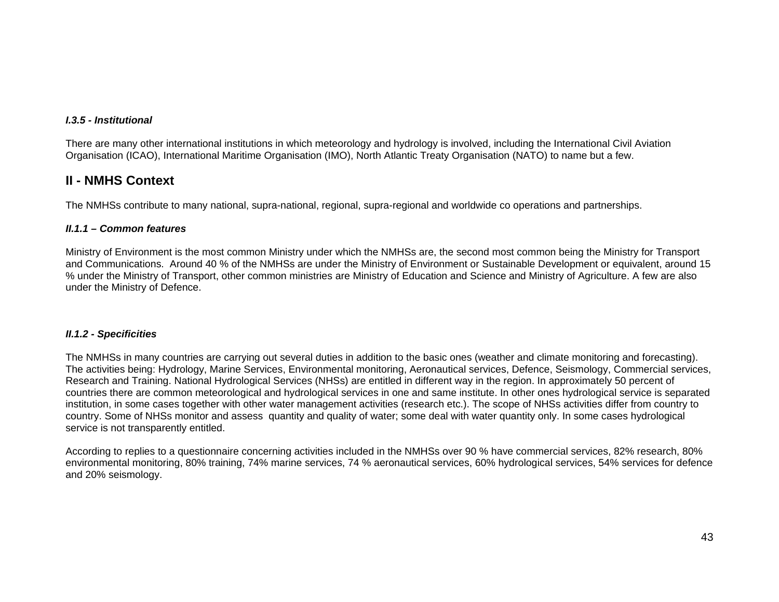### *I.3.5 - Institutional*

There are many other international institutions in which meteorology and hydrology is involved, including the International Civil Aviation Organisation (ICAO), International Maritime Organisation (IMO), North Atlantic Treaty Organisation (NATO) to name but a few.

# **II - NMHS Context**

The NMHSs contribute to many national, supra-national, regional, supra-regional and worldwide co operations and partnerships.

#### *II.1.1 – Common features*

Ministry of Environment is the most common Ministry under which the NMHSs are, the second most common being the Ministry for Transport and Communications. Around 40 % of the NMHSs are under the Ministry of Environment or Sustainable Development or equivalent, around 15 % under the Ministry of Transport, other common ministries are Ministry of Education and Science and Ministry of Agriculture. A few are also under the Ministry of Defence.

#### *II.1.2 - Specificities*

The NMHSs in many countries are carrying out several duties in addition to the basic ones (weather and climate monitoring and forecasting). The activities being: Hydrology, Marine Services, Environmental monitoring, Aeronautical services, Defence, Seismology, Commercial services, Research and Training. National Hydrological Services (NHSs) are entitled in different way in the region. In approximately 50 percent of countries there are common meteorological and hydrological services in one and same institute. In other ones hydrological service is separated institution, in some cases together with other water management activities (research etc.). The scope of NHSs activities differ from country to country. Some of NHSs monitor and assess quantity and quality of water; some deal with water quantity only. In some cases hydrological service is not transparently entitled.

According to replies to a questionnaire concerning activities included in the NMHSs over 90 % have commercial services, 82% research, 80% environmental monitoring, 80% training, 74% marine services, 74 % aeronautical services, 60% hydrological services, 54% services for defence and 20% seismology.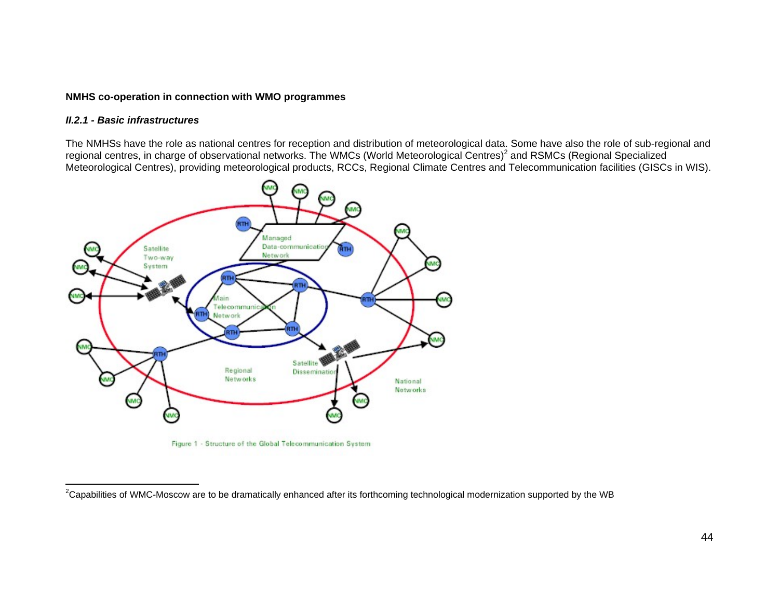#### **NMHS co-operation in connection with WMO programmes**

#### *II.2.1 - Basic infrastructures*

The NMHSs have the role as national centres for reception and distribution of meteorological data. Some have also the role of sub-regional and regional centres, in charge of observational networks. The WMCs (World Meteorological Centres)<sup>2</sup> and RSMCs (Regional Specialized Meteorological Centres), providing meteorological products, RCCs, Regional Climate Centres and Telecommunication facilities (GISCs in WIS).



<sup>&</sup>lt;sup>2</sup>Capabilities of WMC-Moscow are to be dramatically enhanced after its forthcoming technological modernization supported by the WB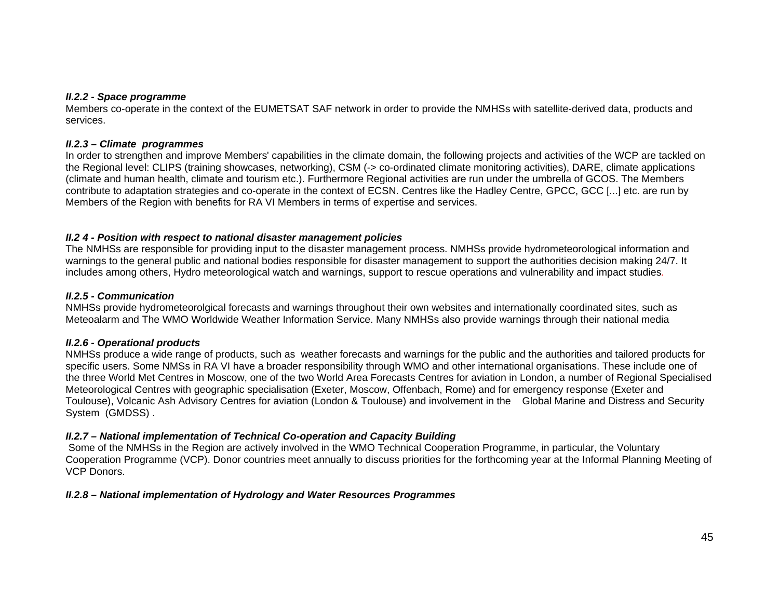#### *II.2.2 - Space programme*

Members co-operate in the context of the EUMETSAT SAF network in order to provide the NMHSs with satellite-derived data, products and services.

#### *II.2.3 – Climate programmes*

In order to strengthen and improve Members' capabilities in the climate domain, the following projects and activities of the WCP are tackled on the Regional level: CLIPS (training showcases, networking), CSM (-> co-ordinated climate monitoring activities), DARE, climate applications (climate and human health, climate and tourism etc.). Furthermore Regional activities are run under the umbrella of GCOS. The Members contribute to adaptation strategies and co-operate in the context of ECSN. Centres like the Hadley Centre, GPCC, GCC [...] etc. are run by Members of the Region with benefits for RA VI Members in terms of expertise and services.

## *II.2 4 - Position with respect to national disaster management policies*

The NMHSs are responsible for providing input to the disaster management process. NMHSs provide hydrometeorological information and warnings to the general public and national bodies responsible for disaster management to support the authorities decision making 24/7. It includes among others, Hydro meteorological watch and warnings, support to rescue operations and vulnerability and impact studies*.* 

### *II.2.5 - Communication*

NMHSs provide hydrometeorolgical forecasts and warnings throughout their own websites and internationally coordinated sites, such as Meteoalarm and The WMO Worldwide Weather Information Service. Many NMHSs also provide warnings through their national media

## *II.2.6 - Operational products*

NMHSs produce a wide range of products, such as weather forecasts and warnings for the public and the authorities and tailored products for specific users. Some NMSs in RA VI have a broader responsibility through WMO and other international organisations. These include one of the three World Met Centres in Moscow, one of the two World Area Forecasts Centres for aviation in London, a number of Regional Specialised Meteorological Centres with geographic specialisation (Exeter, Moscow, Offenbach, Rome) and for emergency response (Exeter and Toulouse), Volcanic Ash Advisory Centres for aviation (London & Toulouse) and involvement in the Global Marine and Distress and Security System (GMDSS) .

## *II.2.7 – National implementation of Technical Co-operation and Capacity Building*

Some of the NMHSs in the Region are actively involved in the WMO Technical Cooperation Programme, in particular, the Voluntary Cooperation Programme (VCP). Donor countries meet annually to discuss priorities for the forthcoming year at the Informal Planning Meeting of VCP Donors.

## *II.2.8 – National implementation of Hydrology and Water Resources Programmes*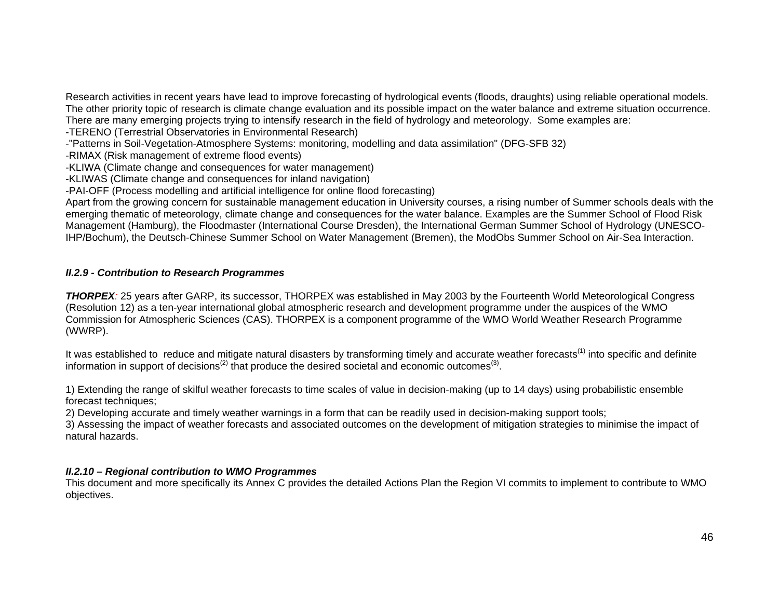Research activities in recent years have lead to improve forecasting of hydrological events (floods, draughts) using reliable operational models. The other priority topic of research is climate change evaluation and its possible impact on the water balance and extreme situation occurrence. There are many emerging projects trying to intensify research in the field of hydrology and meteorology. Some examples are:

-TERENO (Terrestrial Observatories in Environmental Research)

-"Patterns in Soil-Vegetation-Atmosphere Systems: monitoring, modelling and data assimilation" (DFG-SFB 32)

-RIMAX (Risk management of extreme flood events)

-KLIWA (Climate change and consequences for water management)

-KLIWAS (Climate change and consequences for inland navigation)

-PAI-OFF (Process modelling and artificial intelligence for online flood forecasting)

Apart from the growing concern for sustainable management education in University courses, a rising number of Summer schools deals with the emerging thematic of meteorology, climate change and consequences for the water balance. Examples are the Summer School of Flood Risk Management (Hamburg), the Floodmaster (International Course Dresden), the International German Summer School of Hydrology (UNESCO-IHP/Bochum), the Deutsch-Chinese Summer School on Water Management (Bremen), the ModObs Summer School on Air-Sea Interaction.

### *II.2.9 - Contribution to Research Programmes*

*THORPEX:* 25 years after GARP, its successor, THORPEX was established in May 2003 by the Fourteenth World Meteorological Congress (Resolution 12) as a ten-year international global atmospheric research and development programme under the auspices of the WMO Commission for Atmospheric Sciences (CAS). THORPEX is a component programme of the WMO World Weather Research Programme (WWRP).

It was established to reduce and mitigate natural disasters by transforming timely and accurate weather forecasts<sup>(1)</sup> into specific and definite information in support of decisions<sup>(2)</sup> that produce the desired societal and economic outcomes<sup>(3)</sup>.

1) Extending the range of skilful weather forecasts to time scales of value in decision-making (up to 14 days) using probabilistic ensemble forecast techniques;

2) Developing accurate and timely weather warnings in a form that can be readily used in decision-making support tools;

3) Assessing the impact of weather forecasts and associated outcomes on the development of mitigation strategies to minimise the impact of natural hazards.

## *II.2.10 – Regional contribution to WMO Programmes*

This document and more specifically its Annex C provides the detailed Actions Plan the Region VI commits to implement to contribute to WMO objectives.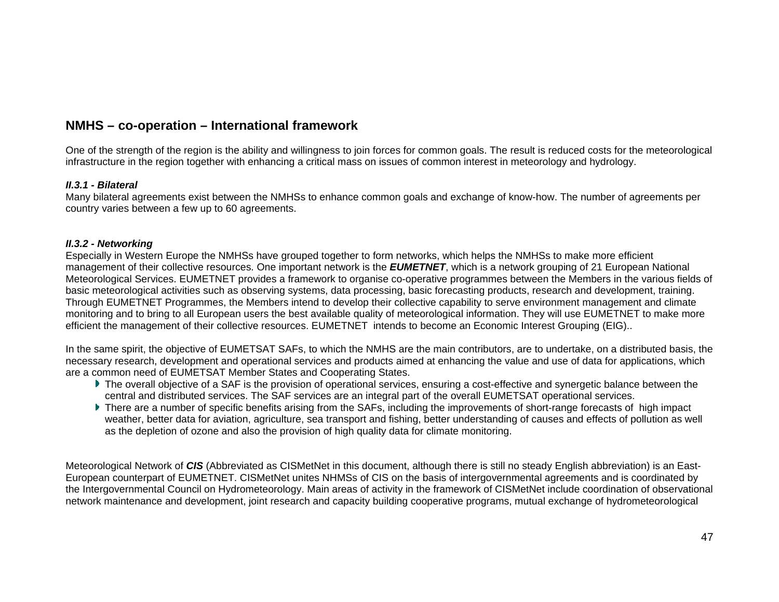# **NMHS – co-operation – International framework**

One of the strength of the region is the ability and willingness to join forces for common goals. The result is reduced costs for the meteorological infrastructure in the region together with enhancing a critical mass on issues of common interest in meteorology and hydrology.

#### *II.3.1 - Bilateral*

Many bilateral agreements exist between the NMHSs to enhance common goals and exchange of know-how. The number of agreements per country varies between a few up to 60 agreements.

#### *II.3.2 - Networking*

Especially in Western Europe the NMHSs have grouped together to form networks, which helps the NMHSs to make more efficient management of their collective resources. One important network is the *EUMETNET*, which is a network grouping of 21 European National Meteorological Services. EUMETNET provides a framework to organise co-operative programmes between the Members in the various fields of basic meteorological activities such as observing systems, data processing, basic forecasting products, research and development, training. Through EUMETNET Programmes, the Members intend to develop their collective capability to serve environment management and climate monitoring and to bring to all European users the best available quality of meteorological information. They will use EUMETNET to make more efficient the management of their collective resources. EUMETNET intends to become an Economic Interest Grouping (EIG)..

In the same spirit, the objective of EUMETSAT SAFs, to which the NMHS are the main contributors, are to undertake, on a distributed basis, the necessary research, development and operational services and products aimed at enhancing the value and use of data for applications, which are a common need of EUMETSAT Member States and Cooperating States.

- ▶ The overall objective of a SAF is the provision of operational services, ensuring a cost-effective and synergetic balance between the central and distributed services. The SAF services are an integral part of the overall EUMETSAT operational services.
- There are a number of specific benefits arising from the SAFs, including the improvements of short-range forecasts of high impact weather, better data for aviation, agriculture, sea transport and fishing, better understanding of causes and effects of pollution as well as the depletion of ozone and also the provision of high quality data for climate monitoring.

Meteorological Network of *CIS* (Abbreviated as CISMetNet in this document, although there is still no steady English abbreviation) is an East-European counterpart of EUMETNET. CISMetNet unites NHMSs of CIS on the basis of intergovernmental agreements and is coordinated by the Intergovernmental Council on Hydrometeorology. Main areas of activity in the framework of CISMetNet include coordination of observational network maintenance and development, joint research and capacity building cooperative programs, mutual exchange of hydrometeorological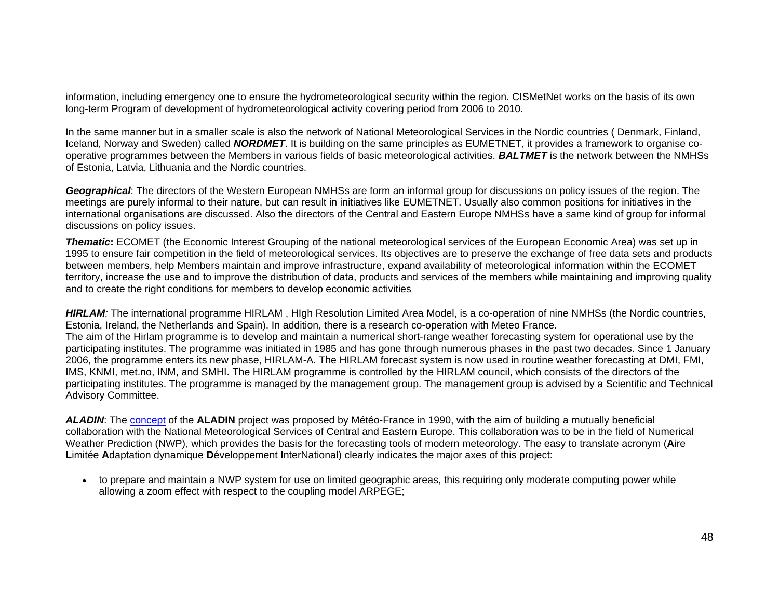information, including emergency one to ensure the hydrometeorological security within the region. CISMetNet works on the basis of its own long-term Program of development of hydrometeorological activity covering period from 2006 to 2010.

In the same manner but in a smaller scale is also the network of National Meteorological Services in the Nordic countries ( Denmark, Finland, Iceland, Norway and Sweden) called *NORDMET*. It is building on the same principles as EUMETNET, it provides a framework to organise cooperative programmes between the Members in various fields of basic meteorological activities. *BALTMET* is the network between the NMHSs of Estonia, Latvia, Lithuania and the Nordic countries.

*Geographical*: The directors of the Western European NMHSs are form an informal group for discussions on policy issues of the region. The meetings are purely informal to their nature, but can result in initiatives like EUMETNET. Usually also common positions for initiatives in the international organisations are discussed. Also the directors of the Central and Eastern Europe NMHSs have a same kind of group for informal discussions on policy issues.

*Thematic***:** ECOMET (the Economic Interest Grouping of the national meteorological services of the European Economic Area) was set up in 1995 to ensure fair competition in the field of meteorological services. Its objectives are to preserve the exchange of free data sets and products between members, help Members maintain and improve infrastructure, expand availability of meteorological information within the ECOMET territory, increase the use and to improve the distribution of data, products and services of the members while maintaining and improving quality and to create the right conditions for members to develop economic activities

*HIRLAM:* The international programme HIRLAM , HIgh Resolution Limited Area Model, is a co-operation of nine NMHSs (the Nordic countries, Estonia, Ireland, the Netherlands and Spain). In addition, there is a research co-operation with Meteo France. The aim of the Hirlam programme is to develop and maintain a numerical short-range weather forecasting system for operational use by the participating institutes. The programme was initiated in 1985 and has gone through numerous phases in the past two decades. Since 1 January 2006, the programme enters its new phase, HIRLAM-A. The HIRLAM forecast system is now used in routine weather forecasting at DMI, FMI, IMS, KNMI, met.no, INM, and SMHI. The HIRLAM programme is controlled by the HIRLAM council, which consists of the directors of the participating institutes. The programme is managed by the management group. The management group is advised by a Scientific and Technical Advisory Committee.

*ALADIN*: The concept of the **ALADIN** project was proposed by Météo-France in 1990, with the aim of building a mutually beneficial collaboration with the National Meteorological Services of Central and Eastern Europe. This collaboration was to be in the field of Numerical Weather Prediction (NWP), which provides the basis for the forecasting tools of modern meteorology. The easy to translate acronym ( **A**ire **L**imitée **A**daptation dynamique **D**éveloppement **I**nterNational) clearly indicates the major axes of this project:

• to prepare and maintain a NWP system for use on limited geographic areas, this requiring only moderate computing power while allowing a zoom effect with respect to the coupling model ARPEGE;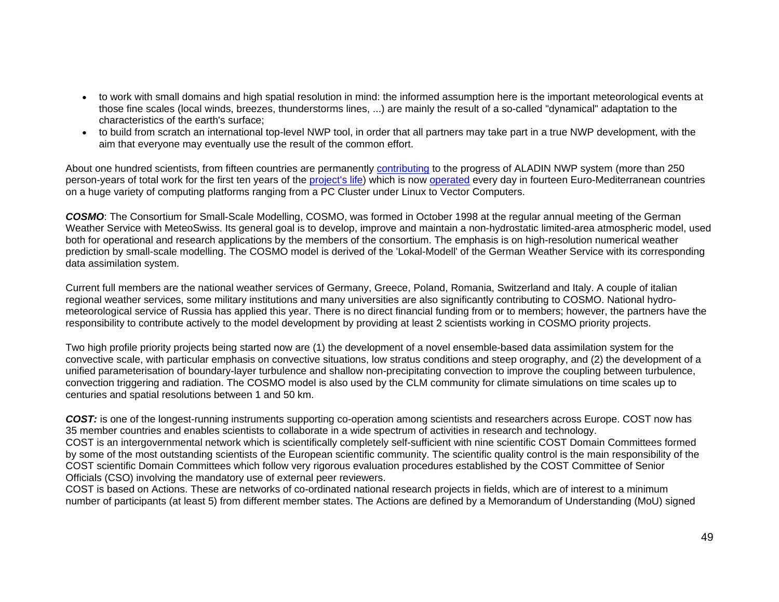- to work with small domains and high spatial resolution in mind: the informed assumption here is the important meteorological events at those fine scales (local winds, breezes, thunderstorms lines, ...) are mainly the result of a so-called "dynamical" adaptation to the characteristics of the earth's surface;
- to build from scratch an international top-level NWP tool, in order that all partners may take part in a true NWP development, with the aim that everyone may eventually use the result of the common effort.

About one hundred scientists, from fifteen countries are permanently contributing to the progress of ALADIN NWP system (more than 250 person-years of total work for the first ten years of the project's life) which is now operated every day in fourteen Euro-Mediterranean countries on a huge variety of computing platforms ranging from a PC Cluster under Linux to Vector Computers.

*COSMO*: The Consortium for Small-Scale Modelling, COSMO, was formed in October 1998 at the regular annual meeting of the German Weather Service with MeteoSwiss. Its general goal is to develop, improve and maintain a non-hydrostatic limited-area atmospheric model, used both for operational and research applications by the members of the consortium. The emphasis is on high-resolution numerical weather prediction by small-scale modelling. The COSMO model is derived of the 'Lokal-Modell' of the German Weather Service with its corresponding data assimilation system.

Current full members are the national weather services of Germany, Greece, Poland, Romania, Switzerland and Italy. A couple of italian regional weather services, some military institutions and many universities are also significantly contributing to COSMO. National hydrometeorological service of Russia has applied this year. There is no direct financial funding from or to members; however, the partners have the responsibility to contribute actively to the model development by providing at least 2 scientists working in COSMO priority projects.

Two high profile priority projects being started now are (1) the development of a novel ensemble-based data assimilation system for the convective scale, with particular emphasis on convective situations, low stratus conditions and steep orography, and (2) the development of a unified parameterisation of boundary-layer turbulence and shallow non-precipitating convection to improve the coupling between turbulence, convection triggering and radiation. The COSMO model is also used by the CLM community for climate simulations on time scales up to centuries and spatial resolutions between 1 and 50 km.

*COST:* is one of the longest-running instruments supporting co-operation among scientists and researchers across Europe. COST now has 35 member countries and enables scientists to collaborate in a wide spectrum of activities in research and technology. COST is an intergovernmental network which is scientifically completely self-sufficient with nine scientific COST Domain Committees formed by some of the most outstanding scientists of the European scientific community. The scientific quality control is the main responsibility of the COST scientific Domain Committees which follow very rigorous evaluation procedures established by the COST Committee of Senior Officials (CSO) involving the mandatory use of external peer reviewers.

COST is based on Actions. These are networks of co-ordinated national research projects in fields, which are of interest to a minimum number of participants (at least 5) from different member states. The Actions are defined by a Memorandum of Understanding (MoU) signed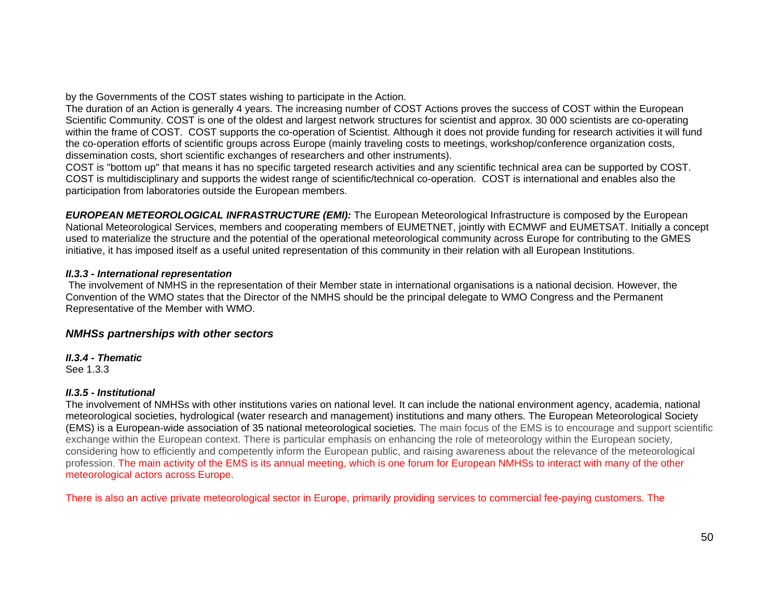by the Governments of the COST states wishing to participate in the Action.

The duration of an Action is generally 4 years. The increasing number of COST Actions proves the success of COST within the European Scientific Community. COST is one of the oldest and largest network structures for scientist and approx. 30 000 scientists are co-operating within the frame of COST. COST supports the co-operation of Scientist. Although it does not provide funding for research activities it will fund the co-operation efforts of scientific groups across Europe (mainly traveling costs to meetings, workshop/conference organization costs, dissemination costs, short scientific exchanges of researchers and other instruments).

COST is "bottom up" that means it has no specific targeted research activities and any scientific technical area can be supported by COST. COST is multidisciplinary and supports the widest range of scientific/technical co-operation. COST is international and enables also the participation from laboratories outside the European members.

*EUROPEAN METEOROLOGICAL INFRASTRUCTURE (EMI):* The European Meteorological Infrastructure is composed by the European National Meteorological Services, members and cooperating members of EUMETNET, jointly with ECMWF and EUMETSAT. Initially a concept used to materialize the structure and the potential of the operational meteorological community across Europe for contributing to the GMES initiative, it has imposed itself as a useful united representation of this community in their relation with all European Institutions.

## *II.3.3 - International representation*

The involvement of NMHS in the representation of their Member state in international organisations is a national decision. However, the Convention of the WMO states that the Director of the NMHS should be the principal delegate to WMO Congress and the Permanent Representative of the Member with WMO.

## *NMHSs partnerships with other sectors*

*II.3.4 - Thematic* 

See 1.3.3

## *II.3.5 - Institutional*

The involvement of NMHSs with other institutions varies on national level. It can include the national environment agency, academia, national meteorological societies, hydrological (water research and management) institutions and many others. The European Meteorological Society (EMS) is a European-wide association of 35 national meteorological societies. The main focus of the EMS is to encourage and support scientific exchange within the European context. There is particular emphasis on enhancing the role of meteorology within the European society, considering how to efficiently and competently inform the European public, and raising awareness about the relevance of the meteorological profession. The main activity of the EMS is its annual meeting, which is one forum for European NMHSs to interact with many of the other meteorological actors across Europe.

There is also an active private meteorological sector in Europe, primarily providing services to commercial fee-paying customers. The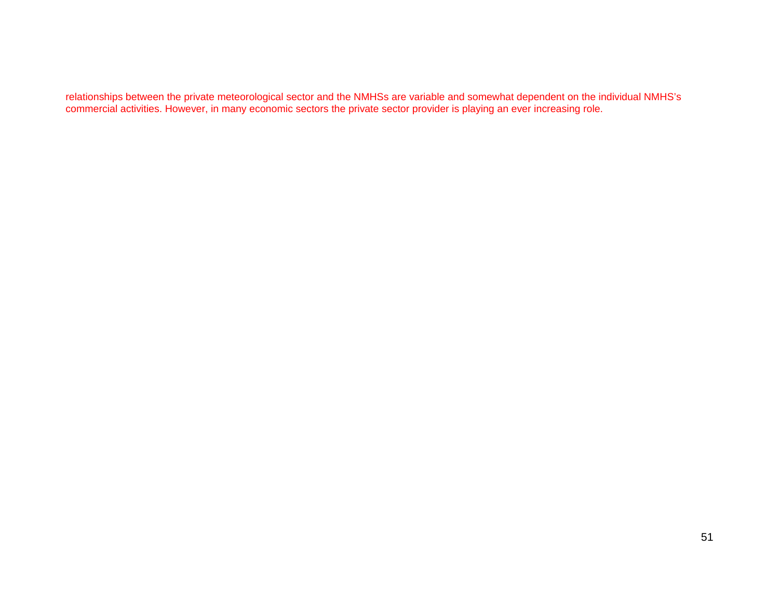relationships between the private meteorological sector and the NMHSs are variable and somewhat dependent on the individual NMHS's commercial activities. However, in many economic sectors the private sector provider is playing an ever increasing role.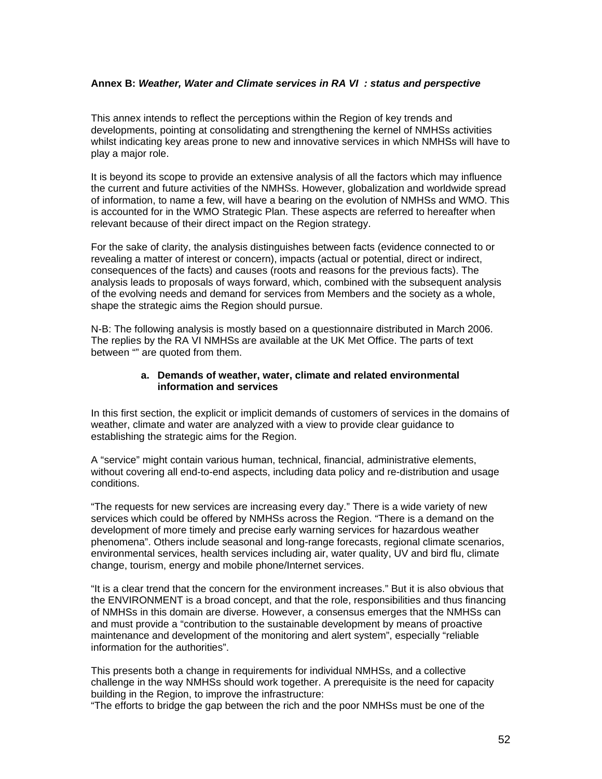### **Annex B:** *Weather, Water and Climate services in RA VI : status and perspective*

This annex intends to reflect the perceptions within the Region of key trends and developments, pointing at consolidating and strengthening the kernel of NMHSs activities whilst indicating key areas prone to new and innovative services in which NMHSs will have to play a major role.

It is beyond its scope to provide an extensive analysis of all the factors which may influence the current and future activities of the NMHSs. However, globalization and worldwide spread of information, to name a few, will have a bearing on the evolution of NMHSs and WMO. This is accounted for in the WMO Strategic Plan. These aspects are referred to hereafter when relevant because of their direct impact on the Region strategy.

For the sake of clarity, the analysis distinguishes between facts (evidence connected to or revealing a matter of interest or concern), impacts (actual or potential, direct or indirect, consequences of the facts) and causes (roots and reasons for the previous facts). The analysis leads to proposals of ways forward, which, combined with the subsequent analysis of the evolving needs and demand for services from Members and the society as a whole, shape the strategic aims the Region should pursue.

N-B: The following analysis is mostly based on a questionnaire distributed in March 2006. The replies by the RA VI NMHSs are available at the UK Met Office. The parts of text between "" are quoted from them.

#### **a. Demands of weather, water, climate and related environmental information and services**

In this first section, the explicit or implicit demands of customers of services in the domains of weather, climate and water are analyzed with a view to provide clear guidance to establishing the strategic aims for the Region.

A "service" might contain various human, technical, financial, administrative elements, without covering all end-to-end aspects, including data policy and re-distribution and usage conditions.

"The requests for new services are increasing every day." There is a wide variety of new services which could be offered by NMHSs across the Region. "There is a demand on the development of more timely and precise early warning services for hazardous weather phenomena". Others include seasonal and long-range forecasts, regional climate scenarios, environmental services, health services including air, water quality, UV and bird flu, climate change, tourism, energy and mobile phone/Internet services.

"It is a clear trend that the concern for the environment increases." But it is also obvious that the ENVIRONMENT is a broad concept, and that the role, responsibilities and thus financing of NMHSs in this domain are diverse. However, a consensus emerges that the NMHSs can and must provide a "contribution to the sustainable development by means of proactive maintenance and development of the monitoring and alert system", especially "reliable information for the authorities".

This presents both a change in requirements for individual NMHSs, and a collective challenge in the way NMHSs should work together. A prerequisite is the need for capacity building in the Region, to improve the infrastructure:

"The efforts to bridge the gap between the rich and the poor NMHSs must be one of the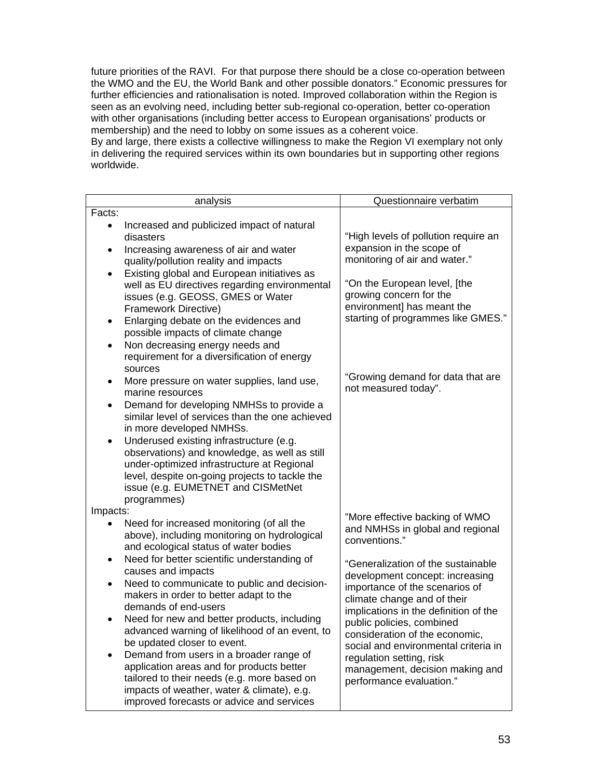future priorities of the RAVI. For that purpose there should be a close co-operation between the WMO and the EU, the World Bank and other possible donators." Economic pressures for further efficiencies and rationalisation is noted. Improved collaboration within the Region is seen as an evolving need, including better sub-regional co-operation, better co-operation with other organisations (including better access to European organisations' products or membership) and the need to lobby on some issues as a coherent voice.

By and large, there exists a collective willingness to make the Region VI exemplary not only in delivering the required services within its own boundaries but in supporting other regions worldwide.

|                | analysis                                                                                                                                                                                                                                      | Questionnaire verbatim                                                                                                          |
|----------------|-----------------------------------------------------------------------------------------------------------------------------------------------------------------------------------------------------------------------------------------------|---------------------------------------------------------------------------------------------------------------------------------|
| Facts:         |                                                                                                                                                                                                                                               |                                                                                                                                 |
| $\bullet$      | Increased and publicized impact of natural<br>disasters                                                                                                                                                                                       | "High levels of pollution require an                                                                                            |
| $\bullet$      | Increasing awareness of air and water<br>quality/pollution reality and impacts                                                                                                                                                                | expansion in the scope of<br>monitoring of air and water."                                                                      |
|                | Existing global and European initiatives as<br>well as EU directives regarding environmental<br>issues (e.g. GEOSS, GMES or Water<br>Framework Directive)                                                                                     | "On the European level, [the<br>growing concern for the<br>environment] has meant the                                           |
| ٠              | Enlarging debate on the evidences and<br>possible impacts of climate change<br>Non decreasing energy needs and<br>requirement for a diversification of energy                                                                                 | starting of programmes like GMES."                                                                                              |
| ٠              | sources<br>More pressure on water supplies, land use,<br>marine resources                                                                                                                                                                     | "Growing demand for data that are<br>not measured today".                                                                       |
| $\bullet$      | Demand for developing NMHSs to provide a<br>similar level of services than the one achieved<br>in more developed NMHSs.                                                                                                                       |                                                                                                                                 |
| $\bullet$      | Underused existing infrastructure (e.g.<br>observations) and knowledge, as well as still<br>under-optimized infrastructure at Regional<br>level, despite on-going projects to tackle the<br>issue (e.g. EUMETNET and CISMetNet<br>programmes) |                                                                                                                                 |
| Impacts:       |                                                                                                                                                                                                                                               |                                                                                                                                 |
|                | Need for increased monitoring (of all the<br>above), including monitoring on hydrological<br>and ecological status of water bodies                                                                                                            | "More effective backing of WMO<br>and NMHSs in global and regional<br>conventions."                                             |
| ٠<br>$\bullet$ | Need for better scientific understanding of<br>causes and impacts<br>Need to communicate to public and decision-                                                                                                                              | "Generalization of the sustainable<br>development concept: increasing                                                           |
|                | makers in order to better adapt to the<br>demands of end-users                                                                                                                                                                                | importance of the scenarios of<br>climate change and of their<br>implications in the definition of the                          |
|                | Need for new and better products, including<br>advanced warning of likelihood of an event, to<br>be updated closer to event.                                                                                                                  | public policies, combined<br>consideration of the economic,                                                                     |
|                | Demand from users in a broader range of<br>application areas and for products better<br>tailored to their needs (e.g. more based on<br>impacts of weather, water & climate), e.g.<br>improved forecasts or advice and services                | social and environmental criteria in<br>regulation setting, risk<br>management, decision making and<br>performance evaluation." |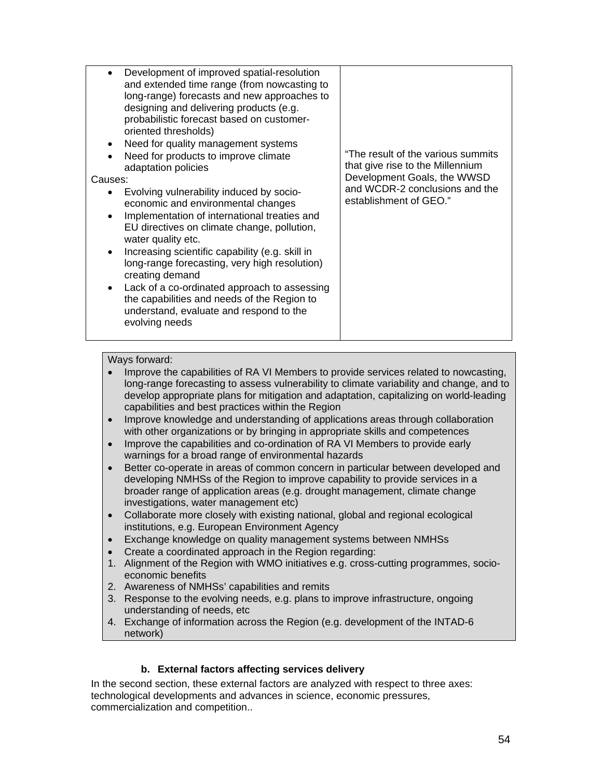| Development of improved spatial-resolution<br>and extended time range (from nowcasting to<br>long-range) forecasts and new approaches to<br>designing and delivering products (e.g.<br>probabilistic forecast based on customer-<br>oriented thresholds)<br>Need for quality management systems<br>Need for products to improve climate<br>adaptation policies<br>Causes:<br>Evolving vulnerability induced by socio-<br>٠<br>economic and environmental changes<br>Implementation of international treaties and<br>$\bullet$<br>EU directives on climate change, pollution,<br>water quality etc.<br>Increasing scientific capability (e.g. skill in<br>$\bullet$<br>long-range forecasting, very high resolution)<br>creating demand<br>Lack of a co-ordinated approach to assessing<br>$\bullet$<br>the capabilities and needs of the Region to<br>understand, evaluate and respond to the<br>evolving needs | "The result of the various summits"<br>that give rise to the Millennium<br>Development Goals, the WWSD<br>and WCDR-2 conclusions and the<br>establishment of GEO." |
|-----------------------------------------------------------------------------------------------------------------------------------------------------------------------------------------------------------------------------------------------------------------------------------------------------------------------------------------------------------------------------------------------------------------------------------------------------------------------------------------------------------------------------------------------------------------------------------------------------------------------------------------------------------------------------------------------------------------------------------------------------------------------------------------------------------------------------------------------------------------------------------------------------------------|--------------------------------------------------------------------------------------------------------------------------------------------------------------------|

- Improve the capabilities of RA VI Members to provide services related to nowcasting, long-range forecasting to assess vulnerability to climate variability and change, and to develop appropriate plans for mitigation and adaptation, capitalizing on world-leading capabilities and best practices within the Region
- Improve knowledge and understanding of applications areas through collaboration with other organizations or by bringing in appropriate skills and competences
- Improve the capabilities and co-ordination of RA VI Members to provide early warnings for a broad range of environmental hazards
- Better co-operate in areas of common concern in particular between developed and developing NMHSs of the Region to improve capability to provide services in a broader range of application areas (e.g. drought management, climate change investigations, water management etc)
- Collaborate more closely with existing national, global and regional ecological institutions, e.g. European Environment Agency
- Exchange knowledge on quality management systems between NMHSs
- Create a coordinated approach in the Region regarding:
- 1. Alignment of the Region with WMO initiatives e.g. cross-cutting programmes, socioeconomic benefits
- 2. Awareness of NMHSs' capabilities and remits
- 3. Response to the evolving needs, e.g. plans to improve infrastructure, ongoing understanding of needs, etc
- 4. Exchange of information across the Region (e.g. development of the INTAD-6 network)

### **b. External factors affecting services delivery**

In the second section, these external factors are analyzed with respect to three axes: technological developments and advances in science, economic pressures, commercialization and competition..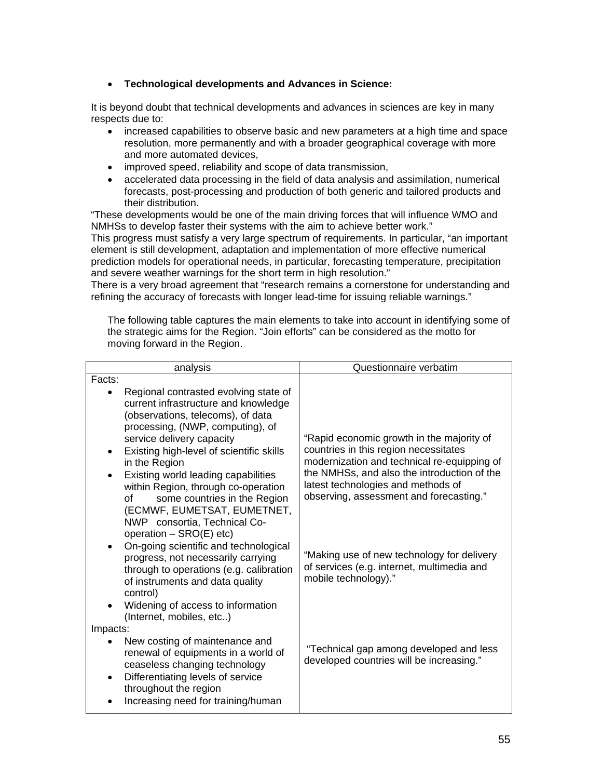# • **Technological developments and Advances in Science:**

It is beyond doubt that technical developments and advances in sciences are key in many respects due to:

- increased capabilities to observe basic and new parameters at a high time and space resolution, more permanently and with a broader geographical coverage with more and more automated devices,
- improved speed, reliability and scope of data transmission,
- accelerated data processing in the field of data analysis and assimilation, numerical forecasts, post-processing and production of both generic and tailored products and their distribution.

"These developments would be one of the main driving forces that will influence WMO and NMHSs to develop faster their systems with the aim to achieve better work."

This progress must satisfy a very large spectrum of requirements. In particular, "an important element is still development, adaptation and implementation of more effective numerical prediction models for operational needs, in particular, forecasting temperature, precipitation and severe weather warnings for the short term in high resolution."

There is a very broad agreement that "research remains a cornerstone for understanding and refining the accuracy of forecasts with longer lead-time for issuing reliable warnings."

The following table captures the main elements to take into account in identifying some of the strategic aims for the Region. "Join efforts" can be considered as the motto for moving forward in the Region.

| analysis                                                                                                                                                                                                                                                                                                                                                                                                                                                      | Questionnaire verbatim                                                                                                                                                                                                                                            |
|---------------------------------------------------------------------------------------------------------------------------------------------------------------------------------------------------------------------------------------------------------------------------------------------------------------------------------------------------------------------------------------------------------------------------------------------------------------|-------------------------------------------------------------------------------------------------------------------------------------------------------------------------------------------------------------------------------------------------------------------|
| Facts:                                                                                                                                                                                                                                                                                                                                                                                                                                                        |                                                                                                                                                                                                                                                                   |
| Regional contrasted evolving state of<br>current infrastructure and knowledge<br>(observations, telecoms), of data<br>processing, (NWP, computing), of<br>service delivery capacity<br>Existing high-level of scientific skills<br>$\bullet$<br>in the Region<br>Existing world leading capabilities<br>$\bullet$<br>within Region, through co-operation<br>some countries in the Region<br>οf<br>(ECMWF, EUMETSAT, EUMETNET,<br>NWP consortia, Technical Co- | "Rapid economic growth in the majority of<br>countries in this region necessitates<br>modernization and technical re-equipping of<br>the NMHSs, and also the introduction of the<br>latest technologies and methods of<br>observing, assessment and forecasting." |
| operation - SRO(E) etc)<br>On-going scientific and technological<br>progress, not necessarily carrying<br>through to operations (e.g. calibration<br>of instruments and data quality<br>control)<br>Widening of access to information<br>$\bullet$<br>(Internet, mobiles, etc)                                                                                                                                                                                | "Making use of new technology for delivery<br>of services (e.g. internet, multimedia and<br>mobile technology)."                                                                                                                                                  |
| Impacts:<br>New costing of maintenance and<br>renewal of equipments in a world of<br>ceaseless changing technology<br>Differentiating levels of service<br>$\bullet$<br>throughout the region<br>Increasing need for training/human                                                                                                                                                                                                                           | "Technical gap among developed and less<br>developed countries will be increasing."                                                                                                                                                                               |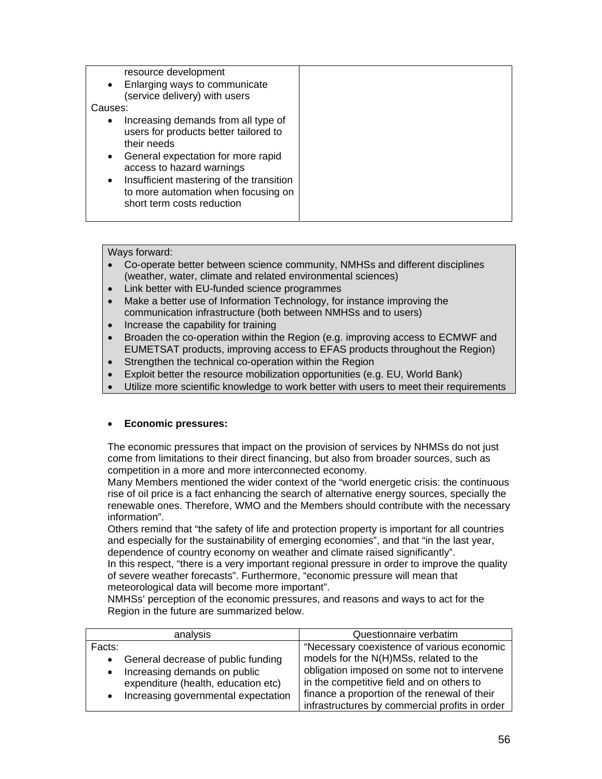| resource development<br>Enlarging ways to communicate<br>$\bullet$<br>(service delivery) with users                                                                                                                                                                                                                    |  |
|------------------------------------------------------------------------------------------------------------------------------------------------------------------------------------------------------------------------------------------------------------------------------------------------------------------------|--|
| Causes:                                                                                                                                                                                                                                                                                                                |  |
|                                                                                                                                                                                                                                                                                                                        |  |
| Increasing demands from all type of<br>$\bullet$<br>users for products better tailored to<br>their needs<br>General expectation for more rapid<br>$\bullet$<br>access to hazard warnings<br>Insufficient mastering of the transition<br>$\bullet$<br>to more automation when focusing on<br>short term costs reduction |  |
|                                                                                                                                                                                                                                                                                                                        |  |

- Co-operate better between science community, NMHSs and different disciplines (weather, water, climate and related environmental sciences)
- Link better with EU-funded science programmes
- Make a better use of Information Technology, for instance improving the communication infrastructure (both between NMHSs and to users)
- Increase the capability for training
- Broaden the co-operation within the Region (e.g. improving access to ECMWF and EUMETSAT products, improving access to EFAS products throughout the Region)
- Strengthen the technical co-operation within the Region
- Exploit better the resource mobilization opportunities (e.g. EU, World Bank)
- Utilize more scientific knowledge to work better with users to meet their requirements

### • **Economic pressures:**

The economic pressures that impact on the provision of services by NHMSs do not just come from limitations to their direct financing, but also from broader sources, such as competition in a more and more interconnected economy.

Many Members mentioned the wider context of the "world energetic crisis: the continuous rise of oil price is a fact enhancing the search of alternative energy sources, specially the renewable ones. Therefore, WMO and the Members should contribute with the necessary information".

Others remind that "the safety of life and protection property is important for all countries and especially for the sustainability of emerging economies", and that "in the last year, dependence of country economy on weather and climate raised significantly".

In this respect, "there is a very important regional pressure in order to improve the quality of severe weather forecasts". Furthermore, "economic pressure will mean that meteorological data will become more important".

NMHSs' perception of the economic pressures, and reasons and ways to act for the Region in the future are summarized below.

| analysis                                                                                                                                                   | Questionnaire verbatim                                                                                                                                                                                                                                                             |
|------------------------------------------------------------------------------------------------------------------------------------------------------------|------------------------------------------------------------------------------------------------------------------------------------------------------------------------------------------------------------------------------------------------------------------------------------|
| Facts:<br>General decrease of public funding<br>Increasing demands on public<br>expenditure (health, education etc)<br>Increasing governmental expectation | "Necessary coexistence of various economic<br>models for the N(H)MSs, related to the<br>obligation imposed on some not to intervene<br>in the competitive field and on others to<br>finance a proportion of the renewal of their<br>infrastructures by commercial profits in order |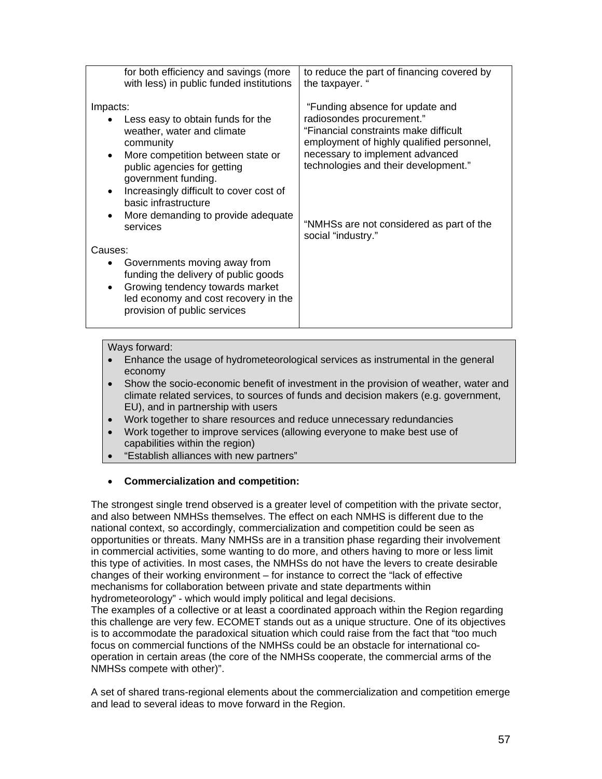| for both efficiency and savings (more<br>with less) in public funded institutions                                                                                                                                                                                                                                                               | to reduce the part of financing covered by<br>the taxpayer. "                                                                                                                                                                                                                                   |
|-------------------------------------------------------------------------------------------------------------------------------------------------------------------------------------------------------------------------------------------------------------------------------------------------------------------------------------------------|-------------------------------------------------------------------------------------------------------------------------------------------------------------------------------------------------------------------------------------------------------------------------------------------------|
| Impacts:<br>Less easy to obtain funds for the<br>weather, water and climate<br>community<br>More competition between state or<br>$\bullet$<br>public agencies for getting<br>government funding.<br>Increasingly difficult to cover cost of<br>$\bullet$<br>basic infrastructure<br>More demanding to provide adequate<br>$\bullet$<br>services | "Funding absence for update and<br>radiosondes procurement."<br>"Financial constraints make difficult<br>employment of highly qualified personnel,<br>necessary to implement advanced<br>technologies and their development."<br>"NMHSs are not considered as part of the<br>social "industry." |
| Causes:                                                                                                                                                                                                                                                                                                                                         |                                                                                                                                                                                                                                                                                                 |
| Governments moving away from<br>funding the delivery of public goods<br>Growing tendency towards market<br>$\bullet$<br>led economy and cost recovery in the<br>provision of public services                                                                                                                                                    |                                                                                                                                                                                                                                                                                                 |

- Enhance the usage of hydrometeorological services as instrumental in the general economy
- Show the socio-economic benefit of investment in the provision of weather, water and climate related services, to sources of funds and decision makers (e.g. government, EU), and in partnership with users
- Work together to share resources and reduce unnecessary redundancies
- Work together to improve services (allowing everyone to make best use of capabilities within the region)
- "Establish alliances with new partners"

# • **Commercialization and competition:**

The strongest single trend observed is a greater level of competition with the private sector, and also between NMHSs themselves. The effect on each NMHS is different due to the national context, so accordingly, commercialization and competition could be seen as opportunities or threats. Many NMHSs are in a transition phase regarding their involvement in commercial activities, some wanting to do more, and others having to more or less limit this type of activities. In most cases, the NMHSs do not have the levers to create desirable changes of their working environment – for instance to correct the "lack of effective mechanisms for collaboration between private and state departments within hydrometeorology" - which would imply political and legal decisions. The examples of a collective or at least a coordinated approach within the Region regarding this challenge are very few. ECOMET stands out as a unique structure. One of its objectives is to accommodate the paradoxical situation which could raise from the fact that "too much focus on commercial functions of the NMHSs could be an obstacle for international cooperation in certain areas (the core of the NMHSs cooperate, the commercial arms of the NMHSs compete with other)".

A set of shared trans-regional elements about the commercialization and competition emerge and lead to several ideas to move forward in the Region.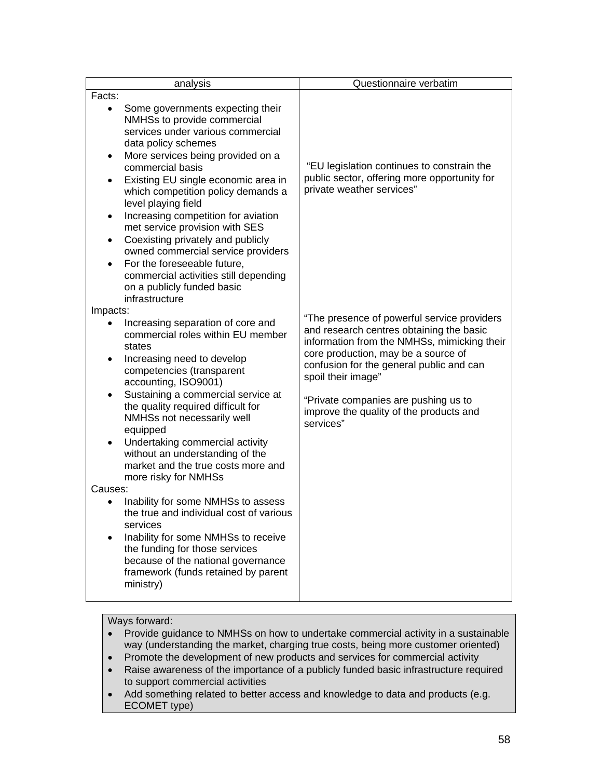| analysis                                                                                                                                                                                                                                                                                                                                                                                                                                                                                                                                                                                            | Questionnaire verbatim                                                                                                                                                                                                    |  |
|-----------------------------------------------------------------------------------------------------------------------------------------------------------------------------------------------------------------------------------------------------------------------------------------------------------------------------------------------------------------------------------------------------------------------------------------------------------------------------------------------------------------------------------------------------------------------------------------------------|---------------------------------------------------------------------------------------------------------------------------------------------------------------------------------------------------------------------------|--|
| Facts:                                                                                                                                                                                                                                                                                                                                                                                                                                                                                                                                                                                              |                                                                                                                                                                                                                           |  |
| Some governments expecting their<br>$\bullet$<br>NMHSs to provide commercial<br>services under various commercial<br>data policy schemes<br>More services being provided on a<br>٠<br>commercial basis<br>Existing EU single economic area in<br>which competition policy demands a<br>level playing field<br>Increasing competition for aviation<br>٠<br>met service provision with SES<br>Coexisting privately and publicly<br>$\bullet$<br>owned commercial service providers<br>For the foreseeable future,<br>$\bullet$<br>commercial activities still depending<br>on a publicly funded basic | "EU legislation continues to constrain the<br>public sector, offering more opportunity for<br>private weather services"                                                                                                   |  |
| infrastructure<br>Impacts:<br>Increasing separation of core and<br>commercial roles within EU member<br>states<br>Increasing need to develop<br>competencies (transparent                                                                                                                                                                                                                                                                                                                                                                                                                           | "The presence of powerful service providers<br>and research centres obtaining the basic<br>information from the NMHSs, mimicking their<br>core production, may be a source of<br>confusion for the general public and can |  |
| accounting, ISO9001)<br>Sustaining a commercial service at<br>the quality required difficult for<br>NMHSs not necessarily well<br>equipped<br>Undertaking commercial activity<br>without an understanding of the<br>market and the true costs more and                                                                                                                                                                                                                                                                                                                                              | spoil their image"<br>"Private companies are pushing us to<br>improve the quality of the products and<br>services"                                                                                                        |  |
| more risky for NMHSs<br>Causes:                                                                                                                                                                                                                                                                                                                                                                                                                                                                                                                                                                     |                                                                                                                                                                                                                           |  |
| Inability for some NMHSs to assess<br>the true and individual cost of various<br>services<br>Inability for some NMHSs to receive<br>the funding for those services<br>because of the national governance<br>framework (funds retained by parent<br>ministry)                                                                                                                                                                                                                                                                                                                                        |                                                                                                                                                                                                                           |  |

- Provide guidance to NMHSs on how to undertake commercial activity in a sustainable way (understanding the market, charging true costs, being more customer oriented)
- Promote the development of new products and services for commercial activity
- Raise awareness of the importance of a publicly funded basic infrastructure required to support commercial activities
- Add something related to better access and knowledge to data and products (e.g. ECOMET type)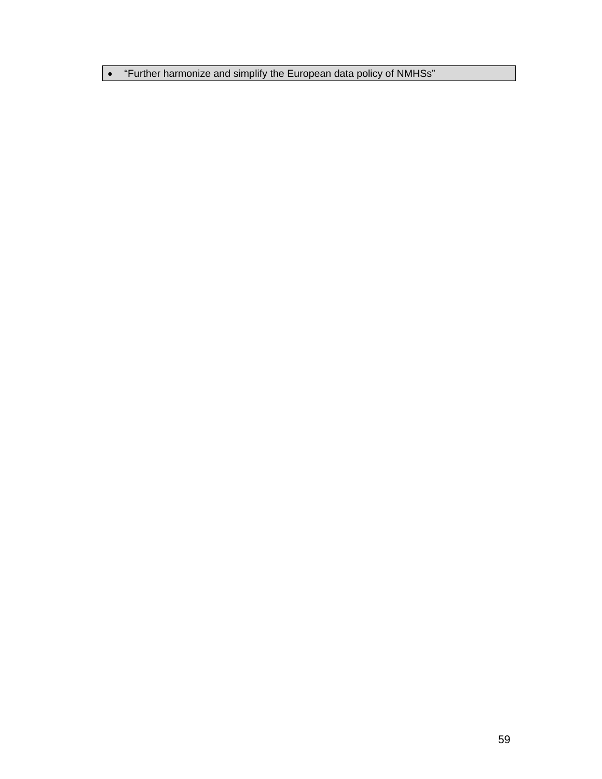• "Further harmonize and simplify the European data policy of NMHSs"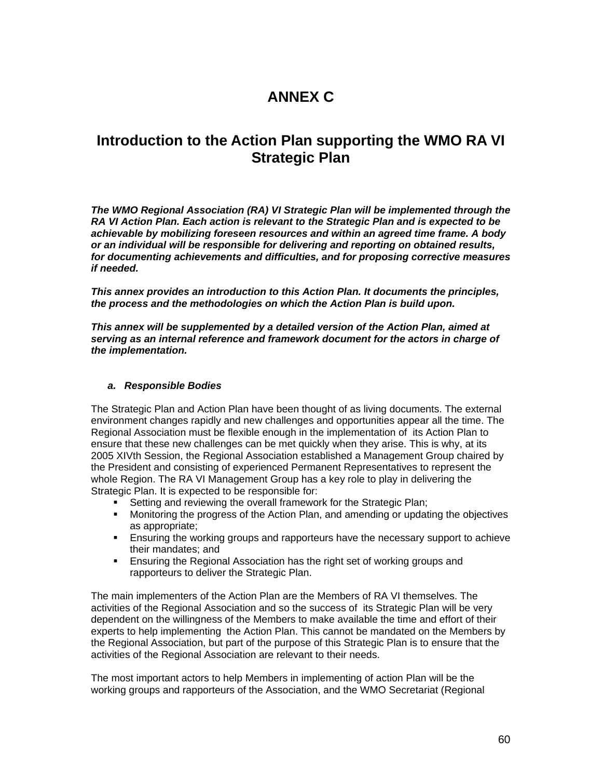# **ANNEX C**

# **Introduction to the Action Plan supporting the WMO RA VI Strategic Plan**

*The WMO Regional Association (RA) VI Strategic Plan will be implemented through the RA VI Action Plan. Each action is relevant to the Strategic Plan and is expected to be achievable by mobilizing foreseen resources and within an agreed time frame. A body or an individual will be responsible for delivering and reporting on obtained results, for documenting achievements and difficulties, and for proposing corrective measures if needed.* 

*This annex provides an introduction to this Action Plan. It documents the principles, the process and the methodologies on which the Action Plan is build upon.* 

*This annex will be supplemented by a detailed version of the Action Plan, aimed at serving as an internal reference and framework document for the actors in charge of the implementation.*

#### *a. Responsible Bodies*

The Strategic Plan and Action Plan have been thought of as living documents. The external environment changes rapidly and new challenges and opportunities appear all the time. The Regional Association must be flexible enough in the implementation of its Action Plan to ensure that these new challenges can be met quickly when they arise. This is why, at its 2005 XIVth Session, the Regional Association established a Management Group chaired by the President and consisting of experienced Permanent Representatives to represent the whole Region. The RA VI Management Group has a key role to play in delivering the Strategic Plan. It is expected to be responsible for:

- **Setting and reviewing the overall framework for the Strategic Plan;**
- Monitoring the progress of the Action Plan, and amending or updating the objectives as appropriate;
- **Ensuring the working groups and rapporteurs have the necessary support to achieve** their mandates; and
- Ensuring the Regional Association has the right set of working groups and rapporteurs to deliver the Strategic Plan.

The main implementers of the Action Plan are the Members of RA VI themselves. The activities of the Regional Association and so the success of its Strategic Plan will be very dependent on the willingness of the Members to make available the time and effort of their experts to help implementing the Action Plan. This cannot be mandated on the Members by the Regional Association, but part of the purpose of this Strategic Plan is to ensure that the activities of the Regional Association are relevant to their needs.

The most important actors to help Members in implementing of action Plan will be the working groups and rapporteurs of the Association, and the WMO Secretariat (Regional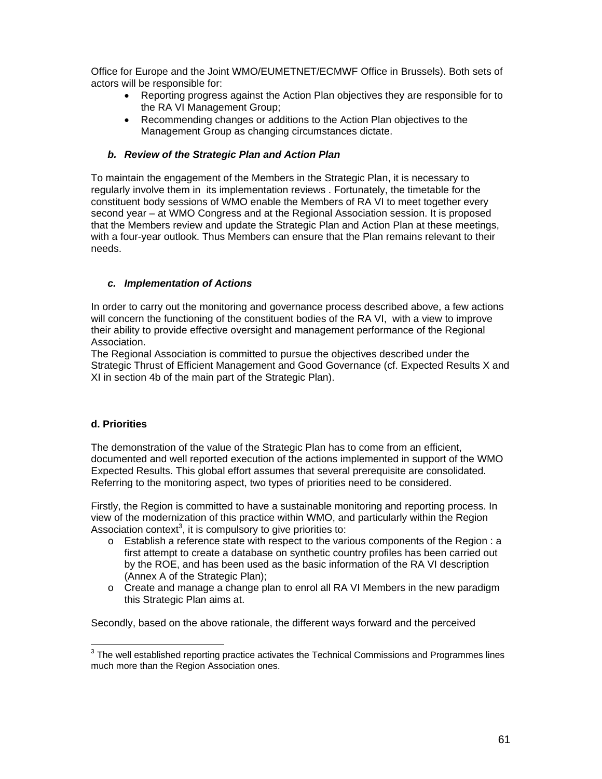Office for Europe and the Joint WMO/EUMETNET/ECMWF Office in Brussels). Both sets of actors will be responsible for:

- Reporting progress against the Action Plan objectives they are responsible for to the RA VI Management Group;
- Recommending changes or additions to the Action Plan objectives to the Management Group as changing circumstances dictate.

### *b. Review of the Strategic Plan and Action Plan*

To maintain the engagement of the Members in the Strategic Plan, it is necessary to regularly involve them in its implementation reviews . Fortunately, the timetable for the constituent body sessions of WMO enable the Members of RA VI to meet together every second year – at WMO Congress and at the Regional Association session. It is proposed that the Members review and update the Strategic Plan and Action Plan at these meetings, with a four-year outlook. Thus Members can ensure that the Plan remains relevant to their needs.

# *c. Implementation of Actions*

In order to carry out the monitoring and governance process described above, a few actions will concern the functioning of the constituent bodies of the RA VI, with a view to improve their ability to provide effective oversight and management performance of the Regional Association.

The Regional Association is committed to pursue the objectives described under the Strategic Thrust of Efficient Management and Good Governance (cf. Expected Results X and XI in section 4b of the main part of the Strategic Plan).

### **d. Priorities**

The demonstration of the value of the Strategic Plan has to come from an efficient, documented and well reported execution of the actions implemented in support of the WMO Expected Results. This global effort assumes that several prerequisite are consolidated. Referring to the monitoring aspect, two types of priorities need to be considered.

Firstly, the Region is committed to have a sustainable monitoring and reporting process. In view of the modernization of this practice within WMO, and particularly within the Region Association context<sup>3</sup>, it is compulsory to give priorities to:

- o Establish a reference state with respect to the various components of the Region : a first attempt to create a database on synthetic country profiles has been carried out by the ROE, and has been used as the basic information of the RA VI description (Annex A of the Strategic Plan);
- o Create and manage a change plan to enrol all RA VI Members in the new paradigm this Strategic Plan aims at.

Secondly, based on the above rationale, the different ways forward and the perceived

 3 The well established reporting practice activates the Technical Commissions and Programmes lines much more than the Region Association ones.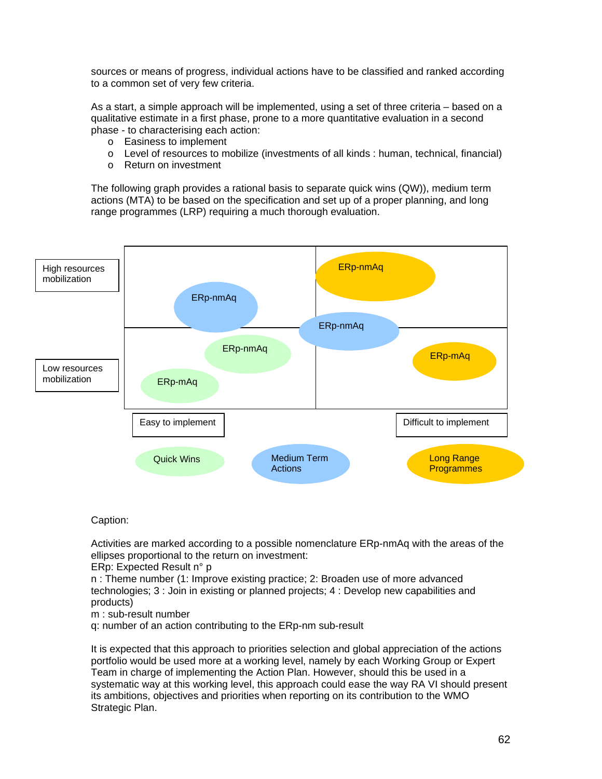sources or means of progress, individual actions have to be classified and ranked according to a common set of very few criteria.

As a start, a simple approach will be implemented, using a set of three criteria – based on a qualitative estimate in a first phase, prone to a more quantitative evaluation in a second phase - to characterising each action:

- o Easiness to implement
- o Level of resources to mobilize (investments of all kinds : human, technical, financial)
- o Return on investment

The following graph provides a rational basis to separate quick wins (QW)), medium term actions (MTA) to be based on the specification and set up of a proper planning, and long range programmes (LRP) requiring a much thorough evaluation.



#### Caption:

Activities are marked according to a possible nomenclature ERp-nmAq with the areas of the ellipses proportional to the return on investment:

#### ERp: Expected Result n° p

n : Theme number (1: Improve existing practice; 2: Broaden use of more advanced technologies; 3 : Join in existing or planned projects; 4 : Develop new capabilities and products)

#### m : sub-result number

q: number of an action contributing to the ERp-nm sub-result

It is expected that this approach to priorities selection and global appreciation of the actions portfolio would be used more at a working level, namely by each Working Group or Expert Team in charge of implementing the Action Plan. However, should this be used in a systematic way at this working level, this approach could ease the way RA VI should present its ambitions, objectives and priorities when reporting on its contribution to the WMO Strategic Plan.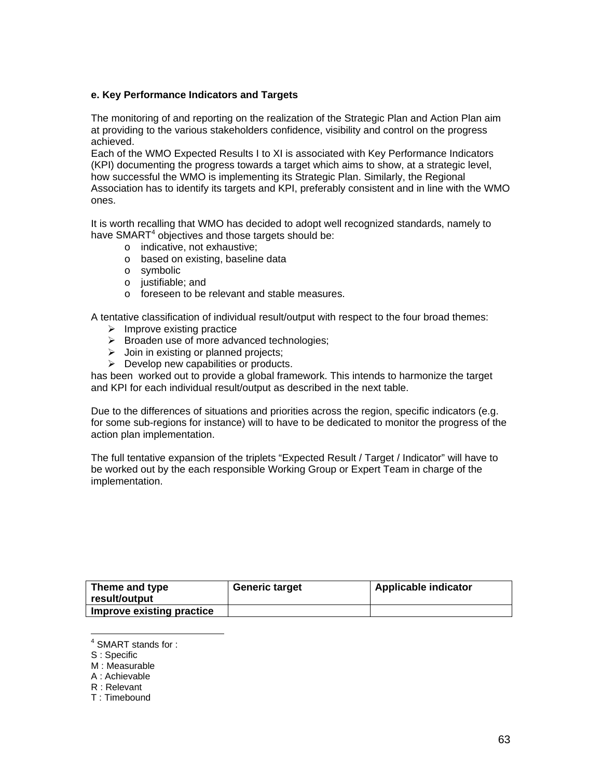### **e. Key Performance Indicators and Targets**

The monitoring of and reporting on the realization of the Strategic Plan and Action Plan aim at providing to the various stakeholders confidence, visibility and control on the progress achieved.

Each of the WMO Expected Results I to XI is associated with Key Performance Indicators (KPI) documenting the progress towards a target which aims to show, at a strategic level, how successful the WMO is implementing its Strategic Plan. Similarly, the Regional Association has to identify its targets and KPI, preferably consistent and in line with the WMO ones.

It is worth recalling that WMO has decided to adopt well recognized standards, namely to have SMART<sup>4</sup> objectives and those targets should be:

- o indicative, not exhaustive;
- o based on existing, baseline data
- o symbolic
- o justifiable; and
- o foreseen to be relevant and stable measures.

A tentative classification of individual result/output with respect to the four broad themes:

- $\triangleright$  Improve existing practice
- $\triangleright$  Broaden use of more advanced technologies;
- $\triangleright$  Join in existing or planned projects;
- $\triangleright$  Develop new capabilities or products.

has been worked out to provide a global framework. This intends to harmonize the target and KPI for each individual result/output as described in the next table.

Due to the differences of situations and priorities across the region, specific indicators (e.g. for some sub-regions for instance) will to have to be dedicated to monitor the progress of the action plan implementation.

The full tentative expansion of the triplets "Expected Result / Target / Indicator" will have to be worked out by the each responsible Working Group or Expert Team in charge of the implementation.

| Theme and type<br>∣ result/output | <b>Generic target</b> | <b>Applicable indicator</b> |
|-----------------------------------|-----------------------|-----------------------------|
| Improve existing practice         |                       |                             |

 4 SMART stands for :

S : Specific

M : Measurable

A : Achievable

R : Relevant

T : Timebound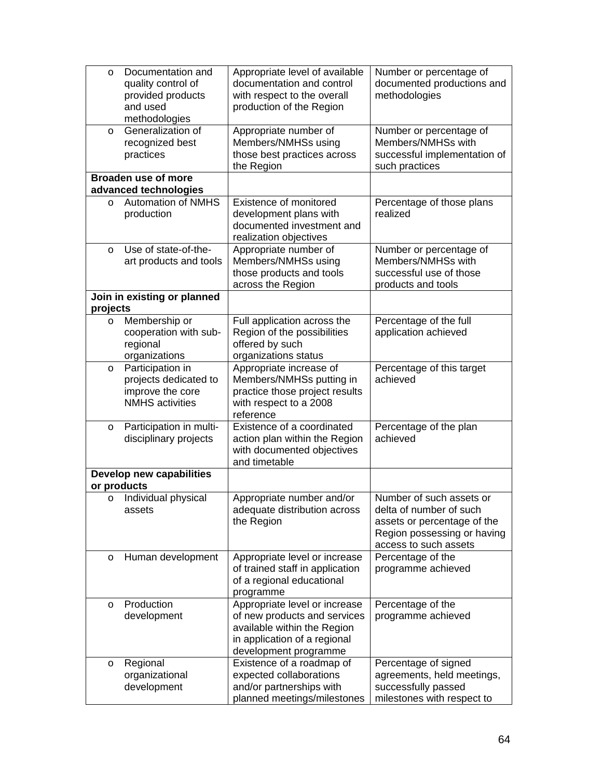| $\circ$     | Documentation and<br>quality control of<br>provided products<br>and used<br>methodologies | Appropriate level of available<br>documentation and control<br>with respect to the overall<br>production of the Region                                | Number or percentage of<br>documented productions and<br>methodologies                                                                     |
|-------------|-------------------------------------------------------------------------------------------|-------------------------------------------------------------------------------------------------------------------------------------------------------|--------------------------------------------------------------------------------------------------------------------------------------------|
| $\circ$     | Generalization of<br>recognized best<br>practices                                         | Appropriate number of<br>Members/NMHSs using<br>those best practices across<br>the Region                                                             | Number or percentage of<br>Members/NMHSs with<br>successful implementation of<br>such practices                                            |
|             | <b>Broaden use of more</b><br>advanced technologies                                       |                                                                                                                                                       |                                                                                                                                            |
| $\circ$     | <b>Automation of NMHS</b><br>production                                                   | Existence of monitored<br>development plans with<br>documented investment and<br>realization objectives                                               | Percentage of those plans<br>realized                                                                                                      |
| $\circ$     | Use of state-of-the-<br>art products and tools                                            | Appropriate number of<br>Members/NMHSs using<br>those products and tools<br>across the Region                                                         | Number or percentage of<br>Members/NMHSs with<br>successful use of those<br>products and tools                                             |
| projects    | Join in existing or planned                                                               |                                                                                                                                                       |                                                                                                                                            |
| $\circ$     | Membership or<br>cooperation with sub-<br>regional<br>organizations                       | Full application across the<br>Region of the possibilities<br>offered by such<br>organizations status                                                 | Percentage of the full<br>application achieved                                                                                             |
| $\circ$     | Participation in<br>projects dedicated to<br>improve the core<br><b>NMHS</b> activities   | Appropriate increase of<br>Members/NMHSs putting in<br>practice those project results<br>with respect to a 2008<br>reference                          | Percentage of this target<br>achieved                                                                                                      |
| $\circ$     | Participation in multi-<br>disciplinary projects                                          | Existence of a coordinated<br>action plan within the Region<br>with documented objectives<br>and timetable                                            | Percentage of the plan<br>achieved                                                                                                         |
| or products | Develop new capabilities                                                                  |                                                                                                                                                       |                                                                                                                                            |
| $\circ$     | Individual physical<br>assets                                                             | Appropriate number and/or<br>adequate distribution across<br>the Region                                                                               | Number of such assets or<br>delta of number of such<br>assets or percentage of the<br>Region possessing or having<br>access to such assets |
| $\circ$     | Human development                                                                         | Appropriate level or increase<br>of trained staff in application<br>of a regional educational<br>programme                                            | Percentage of the<br>programme achieved                                                                                                    |
| $\circ$     | Production<br>development                                                                 | Appropriate level or increase<br>of new products and services<br>available within the Region<br>in application of a regional<br>development programme | Percentage of the<br>programme achieved                                                                                                    |
| O           | Regional<br>organizational<br>development                                                 | Existence of a roadmap of<br>expected collaborations<br>and/or partnerships with<br>planned meetings/milestones                                       | Percentage of signed<br>agreements, held meetings,<br>successfully passed<br>milestones with respect to                                    |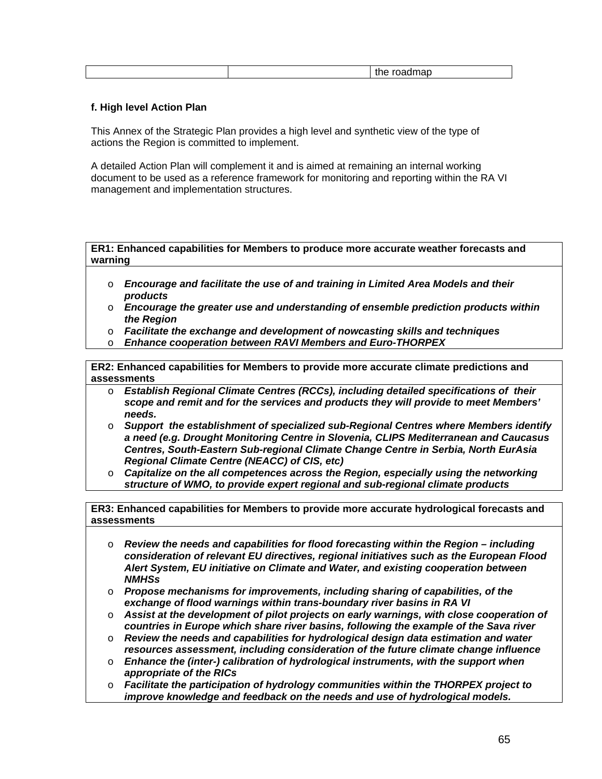|  | . |
|--|---|
|  |   |

## **f. High level Action Plan**

This Annex of the Strategic Plan provides a high level and synthetic view of the type of actions the Region is committed to implement.

A detailed Action Plan will complement it and is aimed at remaining an internal working document to be used as a reference framework for monitoring and reporting within the RA VI management and implementation structures.

**ER1: Enhanced capabilities for Members to produce more accurate weather forecasts and warning** 

- o *Encourage and facilitate the use of and training in Limited Area Models and their products*
- o *Encourage the greater use and understanding of ensemble prediction products within the Region*
- o *Facilitate the exchange and development of nowcasting skills and techniques*
- o *Enhance cooperation between RAVI Members and Euro-THORPEX*

**ER2: Enhanced capabilities for Members to provide more accurate climate predictions and assessments** 

- o *Establish Regional Climate Centres (RCCs), including detailed specifications of their scope and remit and for the services and products they will provide to meet Members' needs.*
- o *Support the establishment of specialized sub-Regional Centres where Members identify a need (e.g. Drought Monitoring Centre in Slovenia, CLIPS Mediterranean and Caucasus Centres, South-Eastern Sub-regional Climate Change Centre in Serbia, North EurAsia Regional Climate Centre (NEACC) of CIS, etc)*
- o *Capitalize on the all competences across the Region, especially using the networking structure of WMO, to provide expert regional and sub-regional climate products*

**ER3: Enhanced capabilities for Members to provide more accurate hydrological forecasts and assessments** 

- o *Review the needs and capabilities for flood forecasting within the Region including consideration of relevant EU directives, regional initiatives such as the European Flood Alert System, EU initiative on Climate and Water, and existing cooperation between NMHSs*
- o *Propose mechanisms for improvements, including sharing of capabilities, of the exchange of flood warnings within trans-boundary river basins in RA VI*
- o *Assist at the development of pilot projects on early warnings, with close cooperation of countries in Europe which share river basins, following the example of the Sava river*
- o *Review the needs and capabilities for hydrological design data estimation and water resources assessment, including consideration of the future climate change influence*
- o *Enhance the (inter-) calibration of hydrological instruments, with the support when appropriate of the RICs*
- o *Facilitate the participation of hydrology communities within the THORPEX project to improve knowledge and feedback on the needs and use of hydrological models.*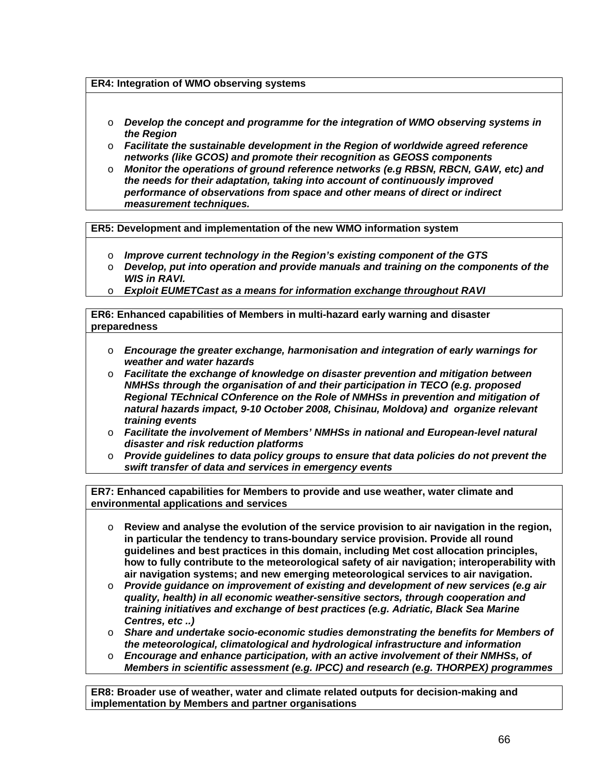## **ER4: Integration of WMO observing systems**

- o *Develop the concept and programme for the integration of WMO observing systems in the Region*
- o *Facilitate the sustainable development in the Region of worldwide agreed reference networks (like GCOS) and promote their recognition as GEOSS components*
- o *Monitor the operations of ground reference networks (e.g RBSN, RBCN, GAW, etc) and the needs for their adaptation, taking into account of continuously improved performance of observations from space and other means of direct or indirect measurement techniques.*

**ER5: Development and implementation of the new WMO information system** 

- o *Improve current technology in the Region's existing component of the GTS*
- o *Develop, put into operation and provide manuals and training on the components of the WIS in RAVI.*
- **Exploit EUMETCast as a means for information exchange throughout RAVI**

**ER6: Enhanced capabilities of Members in multi-hazard early warning and disaster preparedness** 

- o *Encourage the greater exchange, harmonisation and integration of early warnings for weather and water hazards*
- o *Facilitate the exchange of knowledge on disaster prevention and mitigation between NMHSs through the organisation of and their participation in TECO (e.g. proposed Regional TEchnical COnference on the Role of NMHSs in prevention and mitigation of natural hazards impact, 9-10 October 2008, Chisinau, Moldova) and organize relevant training events*
- o *Facilitate the involvement of Members' NMHSs in national and European-level natural disaster and risk reduction platforms*
- o *Provide guidelines to data policy groups to ensure that data policies do not prevent the swift transfer of data and services in emergency events*

**ER7: Enhanced capabilities for Members to provide and use weather, water climate and environmental applications and services** 

- o **Review and analyse the evolution of the service provision to air navigation in the region, in particular the tendency to trans-boundary service provision. Provide all round guidelines and best practices in this domain, including Met cost allocation principles, how to fully contribute to the meteorological safety of air navigation; interoperability with air navigation systems; and new emerging meteorological services to air navigation.**
- o *Provide guidance on improvement of existing and development of new services (e.g air quality, health) in all economic weather-sensitive sectors, through cooperation and training initiatives and exchange of best practices (e.g. Adriatic, Black Sea Marine Centres, etc ..)*
- o *Share and undertake socio-economic studies demonstrating the benefits for Members of the meteorological, climatological and hydrological infrastructure and information*
- o *Encourage and enhance participation, with an active involvement of their NMHSs, of Members in scientific assessment (e.g. IPCC) and research (e.g. THORPEX) programmes*

**ER8: Broader use of weather, water and climate related outputs for decision-making and implementation by Members and partner organisations**